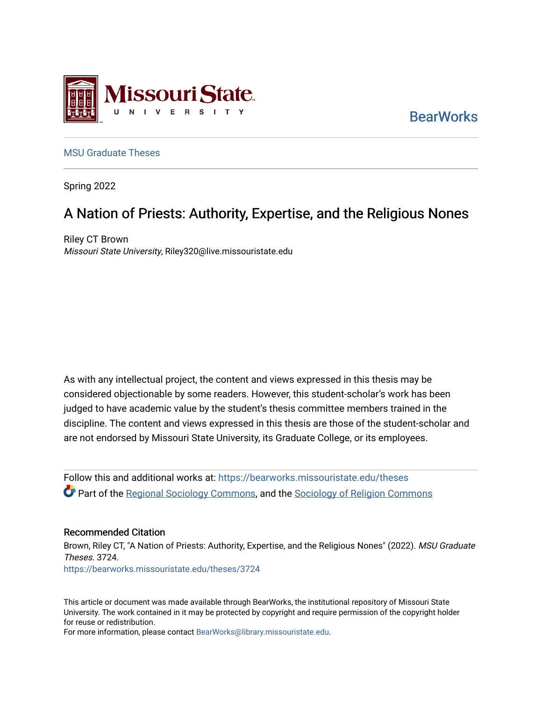

**BearWorks** 

### [MSU Graduate Theses](https://bearworks.missouristate.edu/theses)

Spring 2022

# A Nation of Priests: Authority, Expertise, and the Religious Nones

Riley CT Brown Missouri State University, Riley320@live.missouristate.edu

As with any intellectual project, the content and views expressed in this thesis may be considered objectionable by some readers. However, this student-scholar's work has been judged to have academic value by the student's thesis committee members trained in the discipline. The content and views expressed in this thesis are those of the student-scholar and are not endorsed by Missouri State University, its Graduate College, or its employees.

Follow this and additional works at: [https://bearworks.missouristate.edu/theses](https://bearworks.missouristate.edu/theses?utm_source=bearworks.missouristate.edu%2Ftheses%2F3724&utm_medium=PDF&utm_campaign=PDFCoverPages)  **C** Part of the [Regional Sociology Commons,](http://network.bepress.com/hgg/discipline/427?utm_source=bearworks.missouristate.edu%2Ftheses%2F3724&utm_medium=PDF&utm_campaign=PDFCoverPages) and the Sociology of Religion Commons

### Recommended Citation

Brown, Riley CT, "A Nation of Priests: Authority, Expertise, and the Religious Nones" (2022). MSU Graduate Theses. 3724. [https://bearworks.missouristate.edu/theses/3724](https://bearworks.missouristate.edu/theses/3724?utm_source=bearworks.missouristate.edu%2Ftheses%2F3724&utm_medium=PDF&utm_campaign=PDFCoverPages) 

This article or document was made available through BearWorks, the institutional repository of Missouri State University. The work contained in it may be protected by copyright and require permission of the copyright holder for reuse or redistribution.

For more information, please contact [BearWorks@library.missouristate.edu.](mailto:BearWorks@library.missouristate.edu)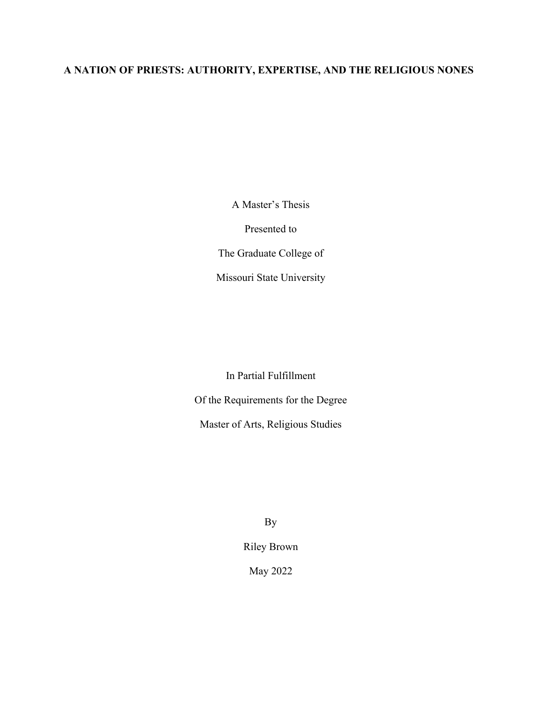## **A NATION OF PRIESTS: AUTHORITY, EXPERTISE, AND THE RELIGIOUS NONES**

A Master's Thesis

Presented to

The Graduate College of

Missouri State University

In Partial Fulfillment

Of the Requirements for the Degree

Master of Arts, Religious Studies

By

Riley Brown

May 2022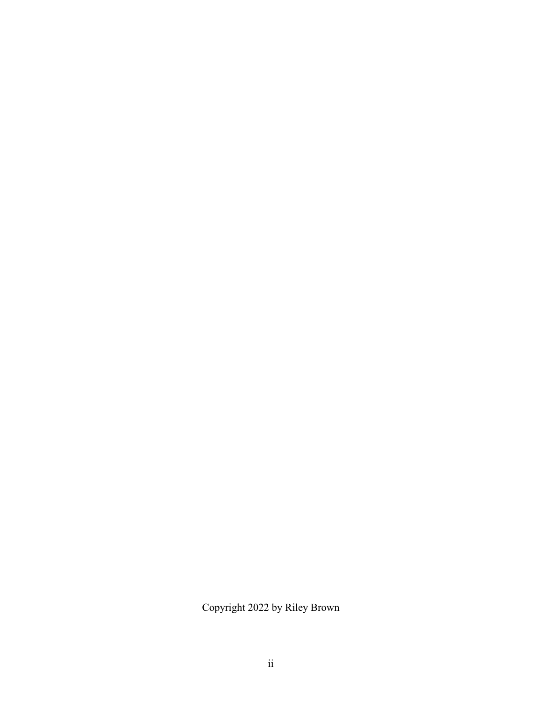Copyright 2022 by Riley Brown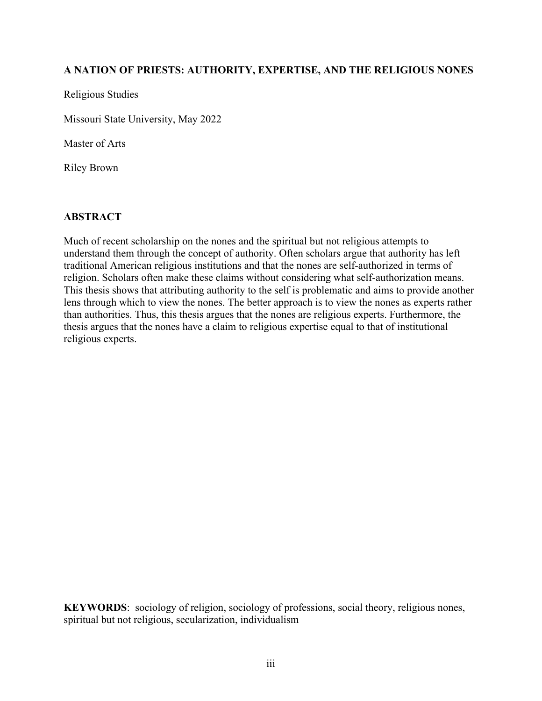## **A NATION OF PRIESTS: AUTHORITY, EXPERTISE, AND THE RELIGIOUS NONES**

Religious Studies

Missouri State University, May 2022

Master of Arts

Riley Brown

## **ABSTRACT**

Much of recent scholarship on the nones and the spiritual but not religious attempts to understand them through the concept of authority. Often scholars argue that authority has left traditional American religious institutions and that the nones are self-authorized in terms of religion. Scholars often make these claims without considering what self-authorization means. This thesis shows that attributing authority to the self is problematic and aims to provide another lens through which to view the nones. The better approach is to view the nones as experts rather than authorities. Thus, this thesis argues that the nones are religious experts. Furthermore, the thesis argues that the nones have a claim to religious expertise equal to that of institutional religious experts.

**KEYWORDS**: sociology of religion, sociology of professions, social theory, religious nones, spiritual but not religious, secularization, individualism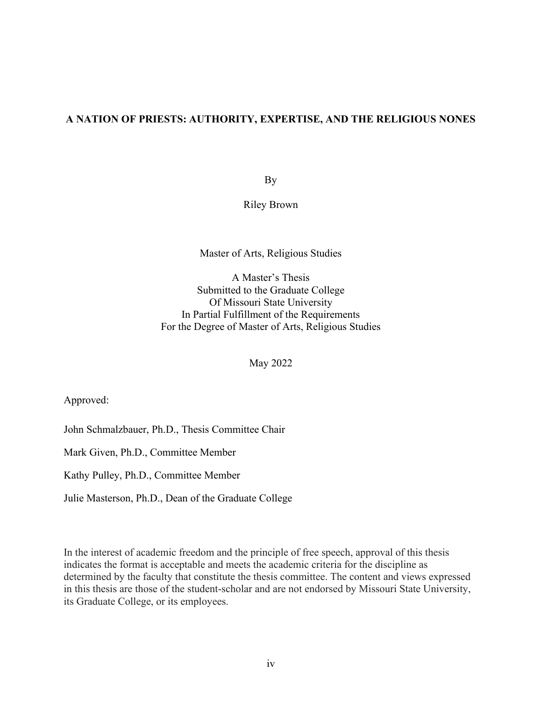## **A NATION OF PRIESTS: AUTHORITY, EXPERTISE, AND THE RELIGIOUS NONES**

By

Riley Brown

### Master of Arts, Religious Studies

A Master's Thesis Submitted to the Graduate College Of Missouri State University In Partial Fulfillment of the Requirements For the Degree of Master of Arts, Religious Studies

May 2022

Approved:

John Schmalzbauer, Ph.D., Thesis Committee Chair

Mark Given, Ph.D., Committee Member

Kathy Pulley, Ph.D., Committee Member

Julie Masterson, Ph.D., Dean of the Graduate College

In the interest of academic freedom and the principle of free speech, approval of this thesis indicates the format is acceptable and meets the academic criteria for the discipline as determined by the faculty that constitute the thesis committee. The content and views expressed in this thesis are those of the student-scholar and are not endorsed by Missouri State University, its Graduate College, or its employees.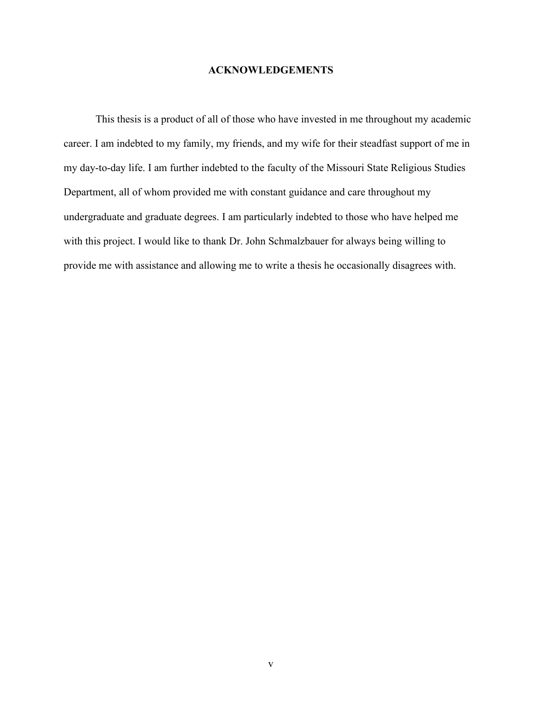### **ACKNOWLEDGEMENTS**

This thesis is a product of all of those who have invested in me throughout my academic career. I am indebted to my family, my friends, and my wife for their steadfast support of me in my day-to-day life. I am further indebted to the faculty of the Missouri State Religious Studies Department, all of whom provided me with constant guidance and care throughout my undergraduate and graduate degrees. I am particularly indebted to those who have helped me with this project. I would like to thank Dr. John Schmalzbauer for always being willing to provide me with assistance and allowing me to write a thesis he occasionally disagrees with.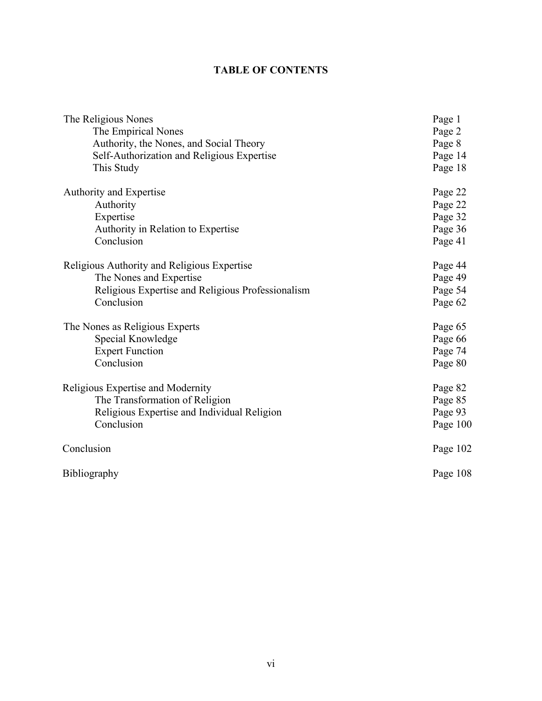## **TABLE OF CONTENTS**

| The Religious Nones                               | Page 1   |
|---------------------------------------------------|----------|
| The Empirical Nones                               | Page 2   |
| Authority, the Nones, and Social Theory           | Page 8   |
| Self-Authorization and Religious Expertise        | Page 14  |
| This Study                                        | Page 18  |
| Authority and Expertise                           | Page 22  |
| Authority                                         | Page 22  |
| Expertise                                         | Page 32  |
| Authority in Relation to Expertise                | Page 36  |
| Conclusion                                        | Page 41  |
| Religious Authority and Religious Expertise       | Page 44  |
| The Nones and Expertise                           | Page 49  |
| Religious Expertise and Religious Professionalism | Page 54  |
| Conclusion                                        | Page 62  |
| The Nones as Religious Experts                    | Page 65  |
| Special Knowledge                                 | Page 66  |
| <b>Expert Function</b>                            | Page 74  |
| Conclusion                                        | Page 80  |
| Religious Expertise and Modernity                 | Page 82  |
| The Transformation of Religion                    | Page 85  |
| Religious Expertise and Individual Religion       | Page 93  |
| Conclusion                                        | Page 100 |
| Conclusion                                        | Page 102 |
| Bibliography                                      | Page 108 |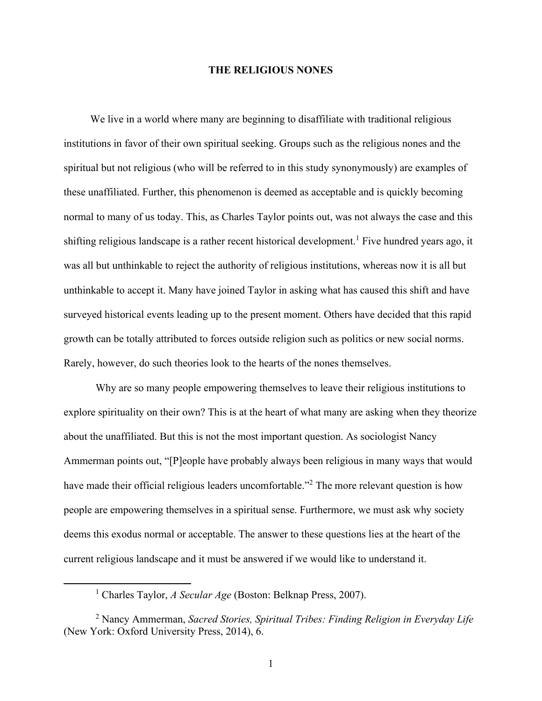### **THE RELIGIOUS NONES**

 We live in a world where many are beginning to disaffiliate with traditional religious institutions in favor of their own spiritual seeking. Groups such as the religious nones and the spiritual but not religious (who will be referred to in this study synonymously) are examples of these unaffiliated. Further, this phenomenon is deemed as acceptable and is quickly becoming normal to many of us today. This, as Charles Taylor points out, was not always the case and this shifting religious landscape is a rather recent historical development.<sup>1</sup> Five hundred years ago, it was all but unthinkable to reject the authority of religious institutions, whereas now it is all but unthinkable to accept it. Many have joined Taylor in asking what has caused this shift and have surveyed historical events leading up to the present moment. Others have decided that this rapid growth can be totally attributed to forces outside religion such as politics or new social norms. Rarely, however, do such theories look to the hearts of the nones themselves.

Why are so many people empowering themselves to leave their religious institutions to explore spirituality on their own? This is at the heart of what many are asking when they theorize about the unaffiliated. But this is not the most important question. As sociologist Nancy Ammerman points out, "[P]eople have probably always been religious in many ways that would have made their official religious leaders uncomfortable."<sup>2</sup> The more relevant question is how people are empowering themselves in a spiritual sense. Furthermore, we must ask why society deems this exodus normal or acceptable. The answer to these questions lies at the heart of the current religious landscape and it must be answered if we would like to understand it.

<sup>1</sup> Charles Taylor, *A Secular Age* (Boston: Belknap Press, 2007).

<sup>2</sup> Nancy Ammerman, *Sacred Stories, Spiritual Tribes: Finding Religion in Everyday Life* (New York: Oxford University Press, 2014), 6.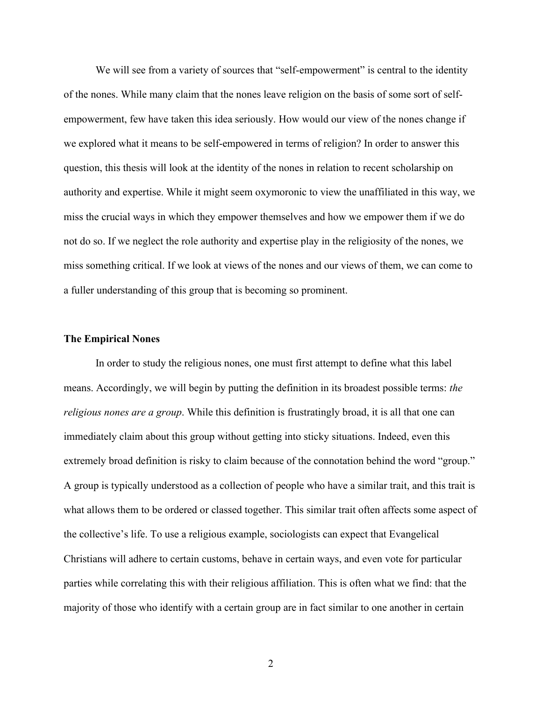We will see from a variety of sources that "self-empowerment" is central to the identity of the nones. While many claim that the nones leave religion on the basis of some sort of selfempowerment, few have taken this idea seriously. How would our view of the nones change if we explored what it means to be self-empowered in terms of religion? In order to answer this question, this thesis will look at the identity of the nones in relation to recent scholarship on authority and expertise. While it might seem oxymoronic to view the unaffiliated in this way, we miss the crucial ways in which they empower themselves and how we empower them if we do not do so. If we neglect the role authority and expertise play in the religiosity of the nones, we miss something critical. If we look at views of the nones and our views of them, we can come to a fuller understanding of this group that is becoming so prominent.

#### **The Empirical Nones**

In order to study the religious nones, one must first attempt to define what this label means. Accordingly, we will begin by putting the definition in its broadest possible terms: *the religious nones are a group*. While this definition is frustratingly broad, it is all that one can immediately claim about this group without getting into sticky situations. Indeed, even this extremely broad definition is risky to claim because of the connotation behind the word "group." A group is typically understood as a collection of people who have a similar trait, and this trait is what allows them to be ordered or classed together. This similar trait often affects some aspect of the collective's life. To use a religious example, sociologists can expect that Evangelical Christians will adhere to certain customs, behave in certain ways, and even vote for particular parties while correlating this with their religious affiliation. This is often what we find: that the majority of those who identify with a certain group are in fact similar to one another in certain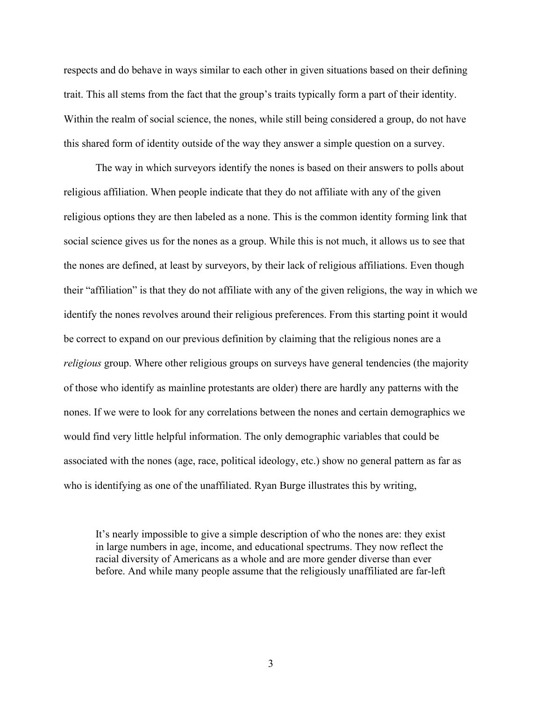respects and do behave in ways similar to each other in given situations based on their defining trait. This all stems from the fact that the group's traits typically form a part of their identity. Within the realm of social science, the nones, while still being considered a group, do not have this shared form of identity outside of the way they answer a simple question on a survey.

The way in which surveyors identify the nones is based on their answers to polls about religious affiliation. When people indicate that they do not affiliate with any of the given religious options they are then labeled as a none. This is the common identity forming link that social science gives us for the nones as a group. While this is not much, it allows us to see that the nones are defined, at least by surveyors, by their lack of religious affiliations. Even though their "affiliation" is that they do not affiliate with any of the given religions, the way in which we identify the nones revolves around their religious preferences. From this starting point it would be correct to expand on our previous definition by claiming that the religious nones are a *religious* group. Where other religious groups on surveys have general tendencies (the majority of those who identify as mainline protestants are older) there are hardly any patterns with the nones. If we were to look for any correlations between the nones and certain demographics we would find very little helpful information. The only demographic variables that could be associated with the nones (age, race, political ideology, etc.) show no general pattern as far as who is identifying as one of the unaffiliated. Ryan Burge illustrates this by writing,

It's nearly impossible to give a simple description of who the nones are: they exist in large numbers in age, income, and educational spectrums. They now reflect the racial diversity of Americans as a whole and are more gender diverse than ever before. And while many people assume that the religiously unaffiliated are far-left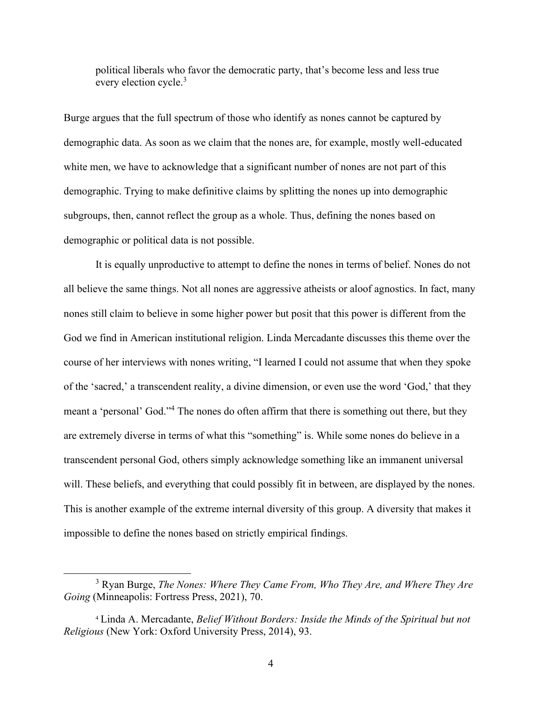political liberals who favor the democratic party, that's become less and less true every election cycle.<sup>3</sup>

Burge argues that the full spectrum of those who identify as nones cannot be captured by demographic data. As soon as we claim that the nones are, for example, mostly well-educated white men, we have to acknowledge that a significant number of nones are not part of this demographic. Trying to make definitive claims by splitting the nones up into demographic subgroups, then, cannot reflect the group as a whole. Thus, defining the nones based on demographic or political data is not possible.

It is equally unproductive to attempt to define the nones in terms of belief. Nones do not all believe the same things. Not all nones are aggressive atheists or aloof agnostics. In fact, many nones still claim to believe in some higher power but posit that this power is different from the God we find in American institutional religion. Linda Mercadante discusses this theme over the course of her interviews with nones writing, "I learned I could not assume that when they spoke of the 'sacred,' a transcendent reality, a divine dimension, or even use the word 'God,' that they meant a 'personal' God."<sup>4</sup> The nones do often affirm that there is something out there, but they are extremely diverse in terms of what this "something" is. While some nones do believe in a transcendent personal God, others simply acknowledge something like an immanent universal will. These beliefs, and everything that could possibly fit in between, are displayed by the nones. This is another example of the extreme internal diversity of this group. A diversity that makes it impossible to define the nones based on strictly empirical findings.

<sup>3</sup> Ryan Burge, *The Nones: Where They Came From, Who They Are, and Where They Are Going* (Minneapolis: Fortress Press, 2021), 70.

<sup>4</sup> Linda A. Mercadante, *Belief Without Borders: Inside the Minds of the Spiritual but not Religious* (New York: Oxford University Press, 2014), 93.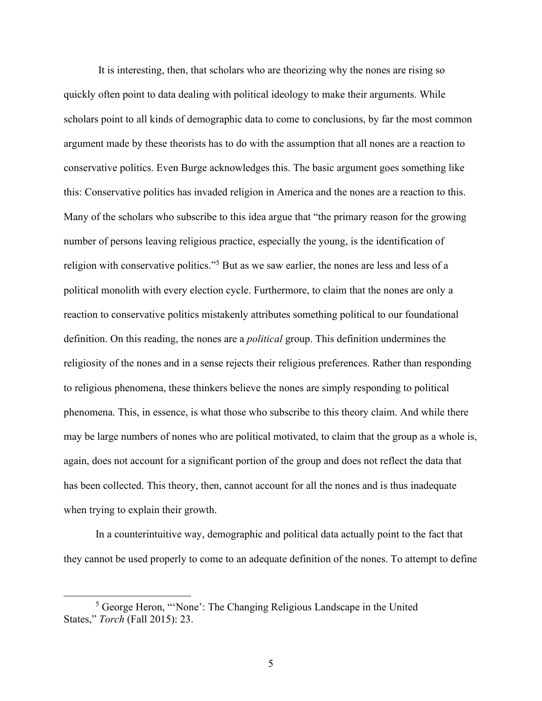It is interesting, then, that scholars who are theorizing why the nones are rising so quickly often point to data dealing with political ideology to make their arguments. While scholars point to all kinds of demographic data to come to conclusions, by far the most common argument made by these theorists has to do with the assumption that all nones are a reaction to conservative politics. Even Burge acknowledges this. The basic argument goes something like this: Conservative politics has invaded religion in America and the nones are a reaction to this. Many of the scholars who subscribe to this idea argue that "the primary reason for the growing number of persons leaving religious practice, especially the young, is the identification of religion with conservative politics."<sup>5</sup> But as we saw earlier, the nones are less and less of a political monolith with every election cycle. Furthermore, to claim that the nones are only a reaction to conservative politics mistakenly attributes something political to our foundational definition. On this reading, the nones are a *political* group. This definition undermines the religiosity of the nones and in a sense rejects their religious preferences. Rather than responding to religious phenomena, these thinkers believe the nones are simply responding to political phenomena. This, in essence, is what those who subscribe to this theory claim. And while there may be large numbers of nones who are political motivated, to claim that the group as a whole is, again, does not account for a significant portion of the group and does not reflect the data that has been collected. This theory, then, cannot account for all the nones and is thus inadequate when trying to explain their growth.

In a counterintuitive way, demographic and political data actually point to the fact that they cannot be used properly to come to an adequate definition of the nones. To attempt to define

<sup>5</sup> George Heron, "'None': The Changing Religious Landscape in the United States," *Torch* (Fall 2015): 23.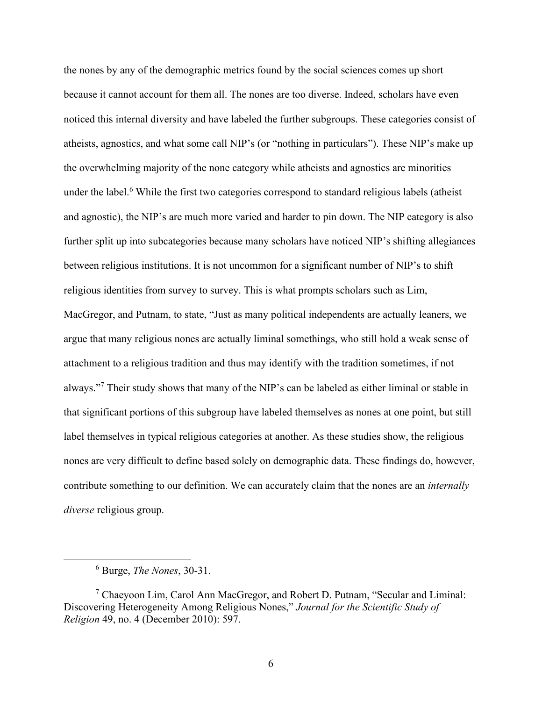the nones by any of the demographic metrics found by the social sciences comes up short because it cannot account for them all. The nones are too diverse. Indeed, scholars have even noticed this internal diversity and have labeled the further subgroups. These categories consist of atheists, agnostics, and what some call NIP's (or "nothing in particulars"). These NIP's make up the overwhelming majority of the none category while atheists and agnostics are minorities under the label.<sup>6</sup> While the first two categories correspond to standard religious labels (atheist and agnostic), the NIP's are much more varied and harder to pin down. The NIP category is also further split up into subcategories because many scholars have noticed NIP's shifting allegiances between religious institutions. It is not uncommon for a significant number of NIP's to shift religious identities from survey to survey. This is what prompts scholars such as Lim, MacGregor, and Putnam, to state, "Just as many political independents are actually leaners, we argue that many religious nones are actually liminal somethings, who still hold a weak sense of attachment to a religious tradition and thus may identify with the tradition sometimes, if not always."<sup>7</sup> Their study shows that many of the NIP's can be labeled as either liminal or stable in that significant portions of this subgroup have labeled themselves as nones at one point, but still label themselves in typical religious categories at another. As these studies show, the religious nones are very difficult to define based solely on demographic data. These findings do, however, contribute something to our definition. We can accurately claim that the nones are an *internally diverse* religious group.

<sup>6</sup> Burge, *The Nones*, 30-31.

<sup>7</sup> Chaeyoon Lim, Carol Ann MacGregor, and Robert D. Putnam, "Secular and Liminal: Discovering Heterogeneity Among Religious Nones," *Journal for the Scientific Study of Religion* 49, no. 4 (December 2010): 597.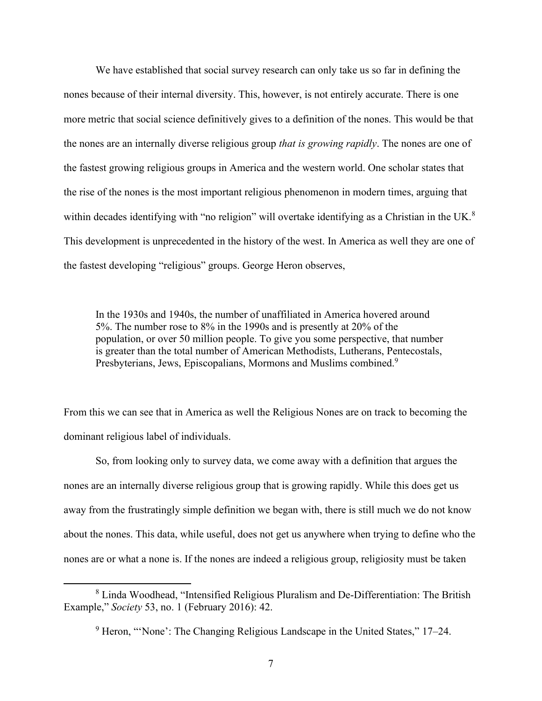We have established that social survey research can only take us so far in defining the nones because of their internal diversity. This, however, is not entirely accurate. There is one more metric that social science definitively gives to a definition of the nones. This would be that the nones are an internally diverse religious group *that is growing rapidly*. The nones are one of the fastest growing religious groups in America and the western world. One scholar states that the rise of the nones is the most important religious phenomenon in modern times, arguing that within decades identifying with "no religion" will overtake identifying as a Christian in the UK.<sup>8</sup> This development is unprecedented in the history of the west. In America as well they are one of the fastest developing "religious" groups. George Heron observes,

In the 1930s and 1940s, the number of unaffiliated in America hovered around 5%. The number rose to 8% in the 1990s and is presently at 20% of the population, or over 50 million people. To give you some perspective, that number is greater than the total number of American Methodists, Lutherans, Pentecostals, Presbyterians, Jews, Episcopalians, Mormons and Muslims combined.<sup>9</sup>

From this we can see that in America as well the Religious Nones are on track to becoming the dominant religious label of individuals.

So, from looking only to survey data, we come away with a definition that argues the nones are an internally diverse religious group that is growing rapidly. While this does get us away from the frustratingly simple definition we began with, there is still much we do not know about the nones. This data, while useful, does not get us anywhere when trying to define who the nones are or what a none is. If the nones are indeed a religious group, religiosity must be taken

<sup>8</sup> Linda Woodhead, "Intensified Religious Pluralism and De-Differentiation: The British Example," *Society* 53, no. 1 (February 2016): 42.

<sup>&</sup>lt;sup>9</sup> Heron, "'None': The Changing Religious Landscape in the United States," 17–24.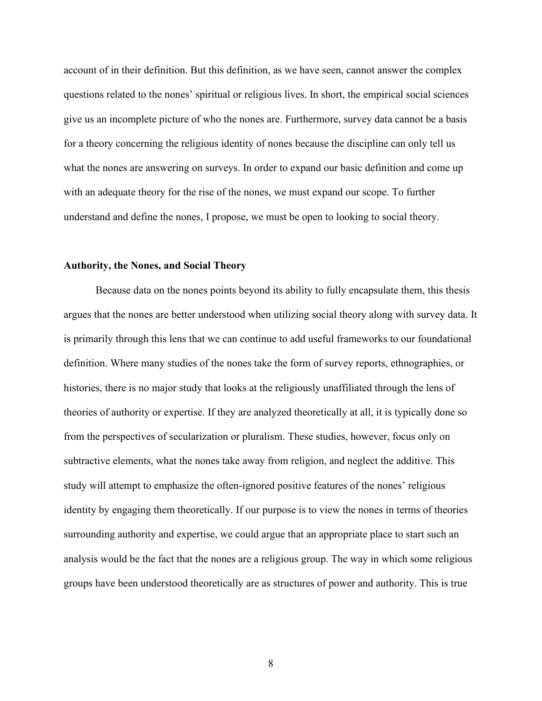account of in their definition. But this definition, as we have seen, cannot answer the complex questions related to the nones' spiritual or religious lives. In short, the empirical social sciences give us an incomplete picture of who the nones are. Furthermore, survey data cannot be a basis for a theory concerning the religious identity of nones because the discipline can only tell us what the nones are answering on surveys. In order to expand our basic definition and come up with an adequate theory for the rise of the nones, we must expand our scope. To further understand and define the nones, I propose, we must be open to looking to social theory.

#### **Authority, the Nones, and Social Theory**

Because data on the nones points beyond its ability to fully encapsulate them, this thesis argues that the nones are better understood when utilizing social theory along with survey data. It is primarily through this lens that we can continue to add useful frameworks to our foundational definition. Where many studies of the nones take the form of survey reports, ethnographies, or histories, there is no major study that looks at the religiously unaffiliated through the lens of theories of authority or expertise. If they are analyzed theoretically at all, it is typically done so from the perspectives of secularization or pluralism. These studies, however, focus only on subtractive elements, what the nones take away from religion, and neglect the additive. This study will attempt to emphasize the often-ignored positive features of the nones' religious identity by engaging them theoretically. If our purpose is to view the nones in terms of theories surrounding authority and expertise, we could argue that an appropriate place to start such an analysis would be the fact that the nones are a religious group. The way in which some religious groups have been understood theoretically are as structures of power and authority. This is true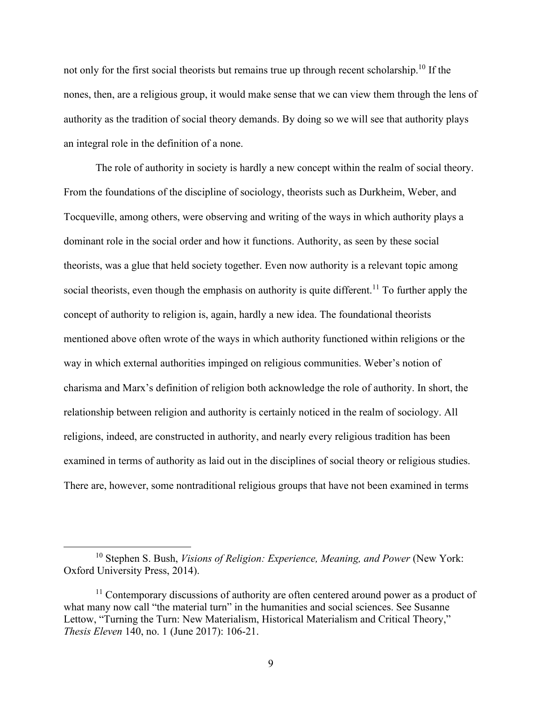not only for the first social theorists but remains true up through recent scholarship.<sup>10</sup> If the nones, then, are a religious group, it would make sense that we can view them through the lens of authority as the tradition of social theory demands. By doing so we will see that authority plays an integral role in the definition of a none.

The role of authority in society is hardly a new concept within the realm of social theory. From the foundations of the discipline of sociology, theorists such as Durkheim, Weber, and Tocqueville, among others, were observing and writing of the ways in which authority plays a dominant role in the social order and how it functions. Authority, as seen by these social theorists, was a glue that held society together. Even now authority is a relevant topic among social theorists, even though the emphasis on authority is quite different.<sup>11</sup> To further apply the concept of authority to religion is, again, hardly a new idea. The foundational theorists mentioned above often wrote of the ways in which authority functioned within religions or the way in which external authorities impinged on religious communities. Weber's notion of charisma and Marx's definition of religion both acknowledge the role of authority. In short, the relationship between religion and authority is certainly noticed in the realm of sociology. All religions, indeed, are constructed in authority, and nearly every religious tradition has been examined in terms of authority as laid out in the disciplines of social theory or religious studies. There are, however, some nontraditional religious groups that have not been examined in terms

<sup>10</sup> Stephen S. Bush, *Visions of Religion: Experience, Meaning, and Power* (New York: Oxford University Press, 2014).

 $11$  Contemporary discussions of authority are often centered around power as a product of what many now call "the material turn" in the humanities and social sciences. See Susanne Lettow, "Turning the Turn: New Materialism, Historical Materialism and Critical Theory," *Thesis Eleven* 140, no. 1 (June 2017): 106-21.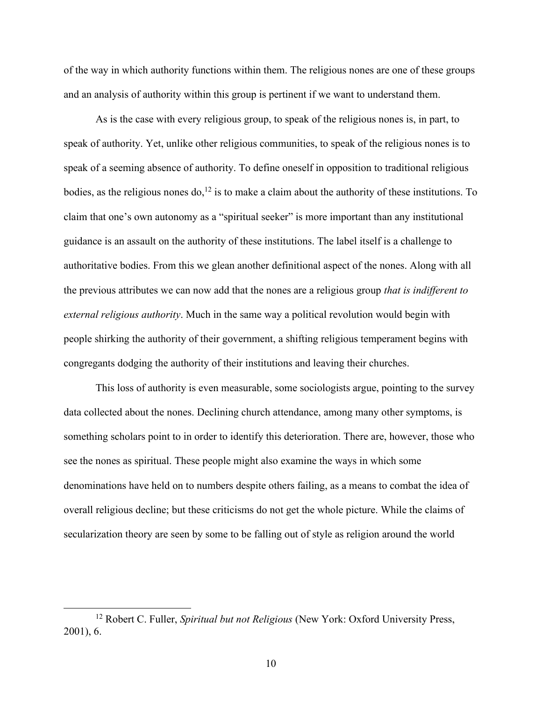of the way in which authority functions within them. The religious nones are one of these groups and an analysis of authority within this group is pertinent if we want to understand them.

As is the case with every religious group, to speak of the religious nones is, in part, to speak of authority. Yet, unlike other religious communities, to speak of the religious nones is to speak of a seeming absence of authority. To define oneself in opposition to traditional religious bodies, as the religious nones do,<sup>12</sup> is to make a claim about the authority of these institutions. To claim that one's own autonomy as a "spiritual seeker" is more important than any institutional guidance is an assault on the authority of these institutions. The label itself is a challenge to authoritative bodies. From this we glean another definitional aspect of the nones. Along with all the previous attributes we can now add that the nones are a religious group *that is indifferent to external religious authority*. Much in the same way a political revolution would begin with people shirking the authority of their government, a shifting religious temperament begins with congregants dodging the authority of their institutions and leaving their churches.

This loss of authority is even measurable, some sociologists argue, pointing to the survey data collected about the nones. Declining church attendance, among many other symptoms, is something scholars point to in order to identify this deterioration. There are, however, those who see the nones as spiritual. These people might also examine the ways in which some denominations have held on to numbers despite others failing, as a means to combat the idea of overall religious decline; but these criticisms do not get the whole picture. While the claims of secularization theory are seen by some to be falling out of style as religion around the world

<sup>12</sup> Robert C. Fuller, *Spiritual but not Religious* (New York: Oxford University Press, 2001), 6.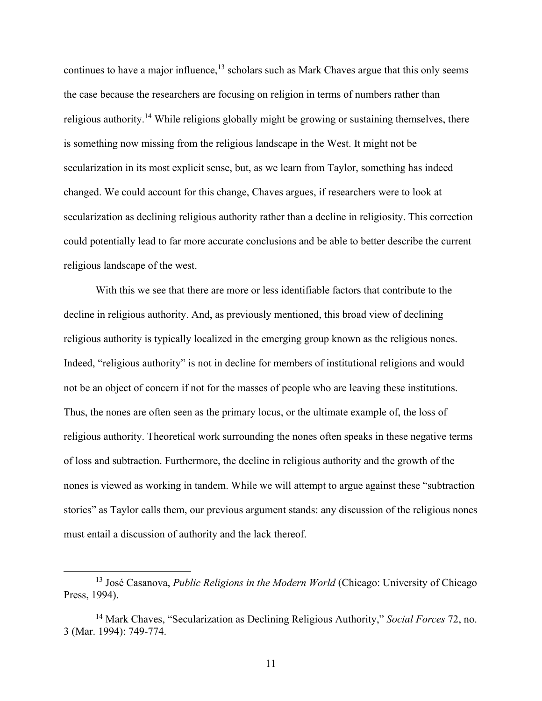continues to have a major influence,  $^{13}$  scholars such as Mark Chaves argue that this only seems the case because the researchers are focusing on religion in terms of numbers rather than religious authority.<sup>14</sup> While religions globally might be growing or sustaining themselves, there is something now missing from the religious landscape in the West. It might not be secularization in its most explicit sense, but, as we learn from Taylor, something has indeed changed. We could account for this change, Chaves argues, if researchers were to look at secularization as declining religious authority rather than a decline in religiosity. This correction could potentially lead to far more accurate conclusions and be able to better describe the current religious landscape of the west.

With this we see that there are more or less identifiable factors that contribute to the decline in religious authority. And, as previously mentioned, this broad view of declining religious authority is typically localized in the emerging group known as the religious nones. Indeed, "religious authority" is not in decline for members of institutional religions and would not be an object of concern if not for the masses of people who are leaving these institutions. Thus, the nones are often seen as the primary locus, or the ultimate example of, the loss of religious authority. Theoretical work surrounding the nones often speaks in these negative terms of loss and subtraction. Furthermore, the decline in religious authority and the growth of the nones is viewed as working in tandem. While we will attempt to argue against these "subtraction stories" as Taylor calls them, our previous argument stands: any discussion of the religious nones must entail a discussion of authority and the lack thereof.

<sup>13</sup> José Casanova, *Public Religions in the Modern World* (Chicago: University of Chicago Press, 1994).

<sup>14</sup> Mark Chaves, "Secularization as Declining Religious Authority," *Social Forces* 72, no. 3 (Mar. 1994): 749-774.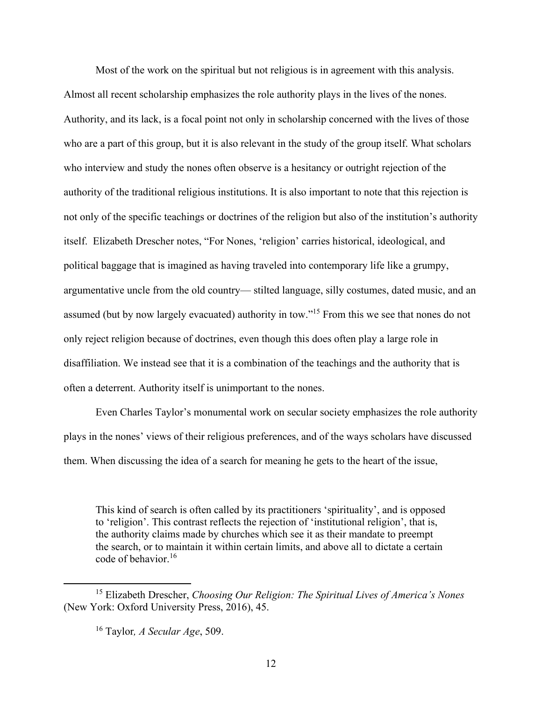Most of the work on the spiritual but not religious is in agreement with this analysis. Almost all recent scholarship emphasizes the role authority plays in the lives of the nones. Authority, and its lack, is a focal point not only in scholarship concerned with the lives of those who are a part of this group, but it is also relevant in the study of the group itself. What scholars who interview and study the nones often observe is a hesitancy or outright rejection of the authority of the traditional religious institutions. It is also important to note that this rejection is not only of the specific teachings or doctrines of the religion but also of the institution's authority itself. Elizabeth Drescher notes, "For Nones, 'religion' carries historical, ideological, and political baggage that is imagined as having traveled into contemporary life like a grumpy, argumentative uncle from the old country— stilted language, silly costumes, dated music, and an assumed (but by now largely evacuated) authority in tow."<sup>15</sup> From this we see that nones do not only reject religion because of doctrines, even though this does often play a large role in disaffiliation. We instead see that it is a combination of the teachings and the authority that is often a deterrent. Authority itself is unimportant to the nones.

Even Charles Taylor's monumental work on secular society emphasizes the role authority plays in the nones' views of their religious preferences, and of the ways scholars have discussed them. When discussing the idea of a search for meaning he gets to the heart of the issue,

This kind of search is often called by its practitioners 'spirituality', and is opposed to 'religion'. This contrast reflects the rejection of 'institutional religion', that is, the authority claims made by churches which see it as their mandate to preempt the search, or to maintain it within certain limits, and above all to dictate a certain code of behavior.<sup>16</sup>

<sup>15</sup> Elizabeth Drescher, *Choosing Our Religion: The Spiritual Lives of America's Nones* (New York: Oxford University Press, 2016), 45.

<sup>16</sup> Taylor*, A Secular Age*, 509.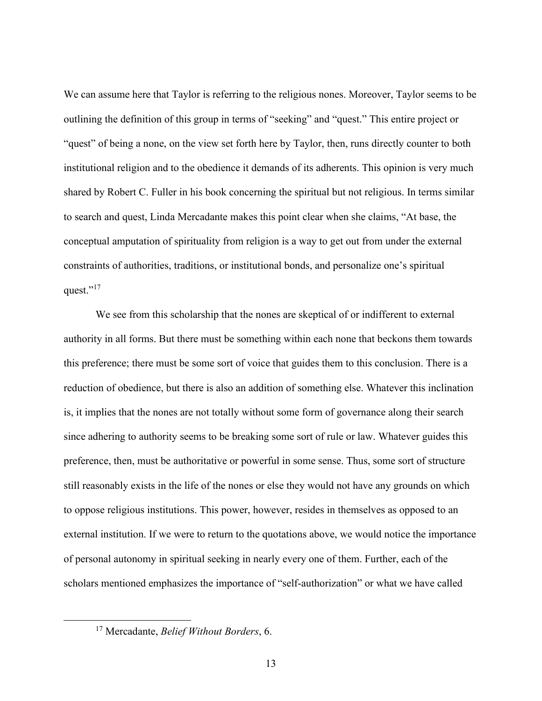We can assume here that Taylor is referring to the religious nones. Moreover, Taylor seems to be outlining the definition of this group in terms of "seeking" and "quest." This entire project or "quest" of being a none, on the view set forth here by Taylor, then, runs directly counter to both institutional religion and to the obedience it demands of its adherents. This opinion is very much shared by Robert C. Fuller in his book concerning the spiritual but not religious. In terms similar to search and quest, Linda Mercadante makes this point clear when she claims, "At base, the conceptual amputation of spirituality from religion is a way to get out from under the external constraints of authorities, traditions, or institutional bonds, and personalize one's spiritual quest."<sup>17</sup>

We see from this scholarship that the nones are skeptical of or indifferent to external authority in all forms. But there must be something within each none that beckons them towards this preference; there must be some sort of voice that guides them to this conclusion. There is a reduction of obedience, but there is also an addition of something else. Whatever this inclination is, it implies that the nones are not totally without some form of governance along their search since adhering to authority seems to be breaking some sort of rule or law. Whatever guides this preference, then, must be authoritative or powerful in some sense. Thus, some sort of structure still reasonably exists in the life of the nones or else they would not have any grounds on which to oppose religious institutions. This power, however, resides in themselves as opposed to an external institution. If we were to return to the quotations above, we would notice the importance of personal autonomy in spiritual seeking in nearly every one of them. Further, each of the scholars mentioned emphasizes the importance of "self-authorization" or what we have called

<sup>17</sup> Mercadante, *Belief Without Borders*, 6.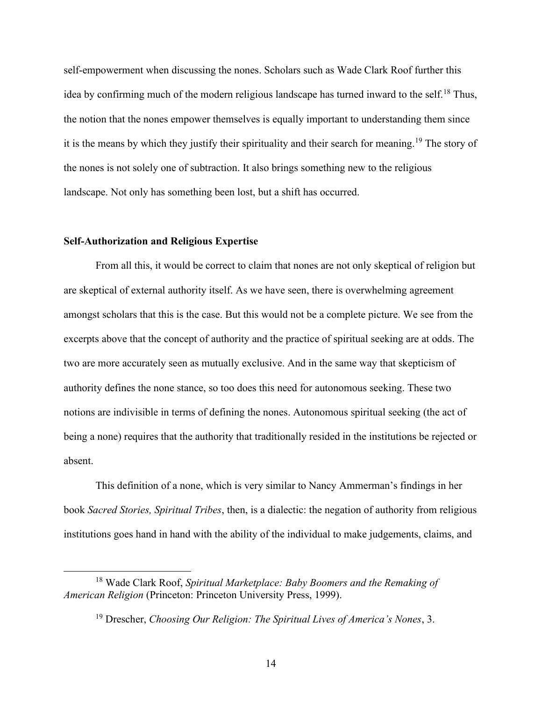self-empowerment when discussing the nones. Scholars such as Wade Clark Roof further this idea by confirming much of the modern religious landscape has turned inward to the self.<sup>18</sup> Thus, the notion that the nones empower themselves is equally important to understanding them since it is the means by which they justify their spirituality and their search for meaning.<sup>19</sup> The story of the nones is not solely one of subtraction. It also brings something new to the religious landscape. Not only has something been lost, but a shift has occurred.

### **Self-Authorization and Religious Expertise**

From all this, it would be correct to claim that nones are not only skeptical of religion but are skeptical of external authority itself. As we have seen, there is overwhelming agreement amongst scholars that this is the case. But this would not be a complete picture. We see from the excerpts above that the concept of authority and the practice of spiritual seeking are at odds. The two are more accurately seen as mutually exclusive. And in the same way that skepticism of authority defines the none stance, so too does this need for autonomous seeking. These two notions are indivisible in terms of defining the nones. Autonomous spiritual seeking (the act of being a none) requires that the authority that traditionally resided in the institutions be rejected or absent.

This definition of a none, which is very similar to Nancy Ammerman's findings in her book *Sacred Stories, Spiritual Tribes*, then, is a dialectic: the negation of authority from religious institutions goes hand in hand with the ability of the individual to make judgements, claims, and

<sup>18</sup> Wade Clark Roof, *Spiritual Marketplace: Baby Boomers and the Remaking of American Religion* (Princeton: Princeton University Press, 1999).

<sup>19</sup> Drescher, *Choosing Our Religion: The Spiritual Lives of America's Nones*, 3.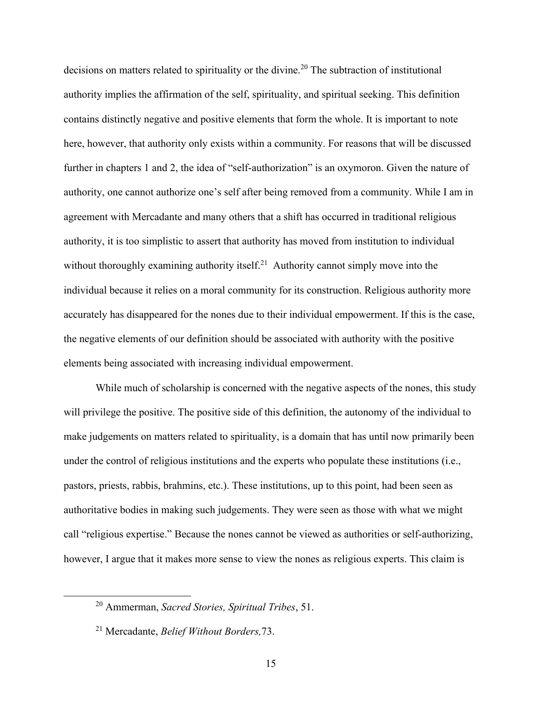decisions on matters related to spirituality or the divine.<sup>20</sup> The subtraction of institutional authority implies the affirmation of the self, spirituality, and spiritual seeking. This definition contains distinctly negative and positive elements that form the whole. It is important to note here, however, that authority only exists within a community. For reasons that will be discussed further in chapters 1 and 2, the idea of "self-authorization" is an oxymoron. Given the nature of authority, one cannot authorize one's self after being removed from a community. While I am in agreement with Mercadante and many others that a shift has occurred in traditional religious authority, it is too simplistic to assert that authority has moved from institution to individual without thoroughly examining authority itself.<sup>21</sup> Authority cannot simply move into the individual because it relies on a moral community for its construction. Religious authority more accurately has disappeared for the nones due to their individual empowerment. If this is the case, the negative elements of our definition should be associated with authority with the positive elements being associated with increasing individual empowerment.

While much of scholarship is concerned with the negative aspects of the nones, this study will privilege the positive. The positive side of this definition, the autonomy of the individual to make judgements on matters related to spirituality, is a domain that has until now primarily been under the control of religious institutions and the experts who populate these institutions (i.e., pastors, priests, rabbis, brahmins, etc.). These institutions, up to this point, had been seen as authoritative bodies in making such judgements. They were seen as those with what we might call "religious expertise." Because the nones cannot be viewed as authorities or self-authorizing, however, I argue that it makes more sense to view the nones as religious experts. This claim is

<sup>20</sup> Ammerman, *Sacred Stories, Spiritual Tribes*, 51.

<sup>21</sup> Mercadante, *Belief Without Borders,*73.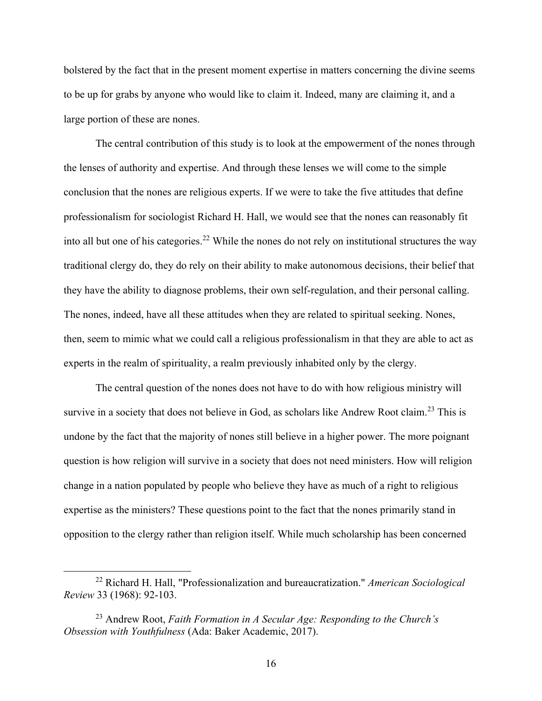bolstered by the fact that in the present moment expertise in matters concerning the divine seems to be up for grabs by anyone who would like to claim it. Indeed, many are claiming it, and a large portion of these are nones.

The central contribution of this study is to look at the empowerment of the nones through the lenses of authority and expertise. And through these lenses we will come to the simple conclusion that the nones are religious experts. If we were to take the five attitudes that define professionalism for sociologist Richard H. Hall, we would see that the nones can reasonably fit into all but one of his categories.<sup>22</sup> While the nones do not rely on institutional structures the way traditional clergy do, they do rely on their ability to make autonomous decisions, their belief that they have the ability to diagnose problems, their own self-regulation, and their personal calling. The nones, indeed, have all these attitudes when they are related to spiritual seeking. Nones, then, seem to mimic what we could call a religious professionalism in that they are able to act as experts in the realm of spirituality, a realm previously inhabited only by the clergy.

The central question of the nones does not have to do with how religious ministry will survive in a society that does not believe in God, as scholars like Andrew Root claim.<sup>23</sup> This is undone by the fact that the majority of nones still believe in a higher power. The more poignant question is how religion will survive in a society that does not need ministers. How will religion change in a nation populated by people who believe they have as much of a right to religious expertise as the ministers? These questions point to the fact that the nones primarily stand in opposition to the clergy rather than religion itself. While much scholarship has been concerned

<sup>22</sup> Richard H. Hall, "Professionalization and bureaucratization." *American Sociological Review* 33 (1968): 92-103.

<sup>23</sup> Andrew Root, *Faith Formation in A Secular Age: Responding to the Church's Obsession with Youthfulness* (Ada: Baker Academic, 2017).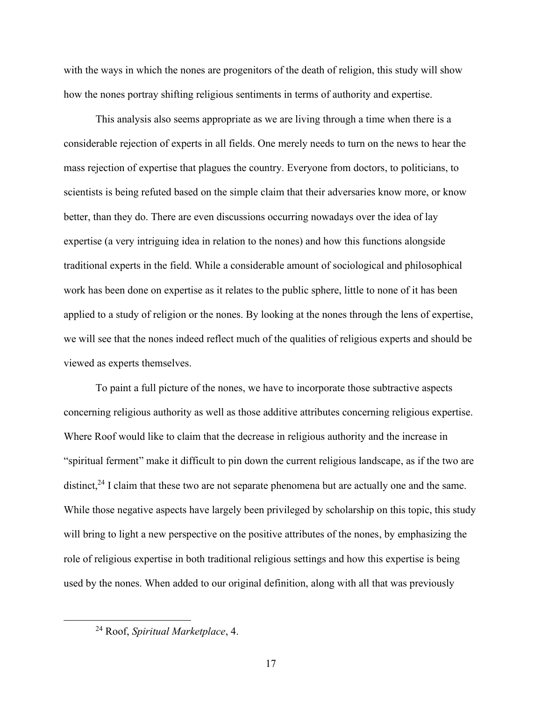with the ways in which the nones are progenitors of the death of religion, this study will show how the nones portray shifting religious sentiments in terms of authority and expertise.

This analysis also seems appropriate as we are living through a time when there is a considerable rejection of experts in all fields. One merely needs to turn on the news to hear the mass rejection of expertise that plagues the country. Everyone from doctors, to politicians, to scientists is being refuted based on the simple claim that their adversaries know more, or know better, than they do. There are even discussions occurring nowadays over the idea of lay expertise (a very intriguing idea in relation to the nones) and how this functions alongside traditional experts in the field. While a considerable amount of sociological and philosophical work has been done on expertise as it relates to the public sphere, little to none of it has been applied to a study of religion or the nones. By looking at the nones through the lens of expertise, we will see that the nones indeed reflect much of the qualities of religious experts and should be viewed as experts themselves.

To paint a full picture of the nones, we have to incorporate those subtractive aspects concerning religious authority as well as those additive attributes concerning religious expertise. Where Roof would like to claim that the decrease in religious authority and the increase in "spiritual ferment" make it difficult to pin down the current religious landscape, as if the two are distinct,<sup>24</sup> I claim that these two are not separate phenomena but are actually one and the same. While those negative aspects have largely been privileged by scholarship on this topic, this study will bring to light a new perspective on the positive attributes of the nones, by emphasizing the role of religious expertise in both traditional religious settings and how this expertise is being used by the nones. When added to our original definition, along with all that was previously

<sup>24</sup> Roof, *Spiritual Marketplace*, 4.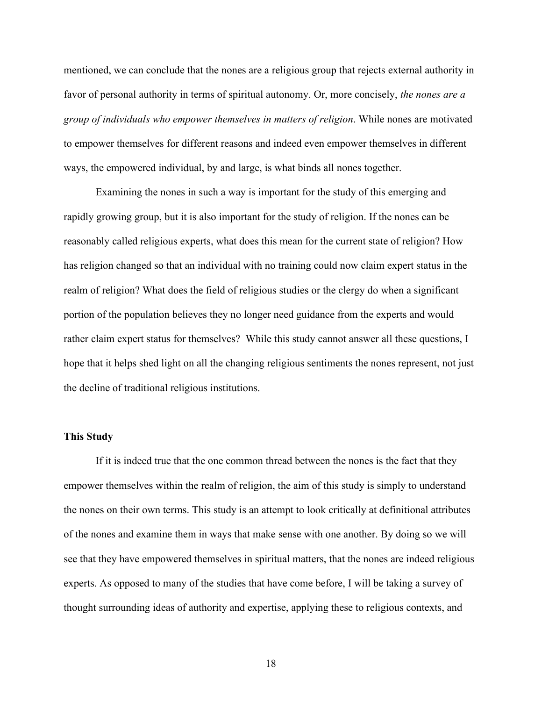mentioned, we can conclude that the nones are a religious group that rejects external authority in favor of personal authority in terms of spiritual autonomy. Or, more concisely, *the nones are a group of individuals who empower themselves in matters of religion*. While nones are motivated to empower themselves for different reasons and indeed even empower themselves in different ways, the empowered individual, by and large, is what binds all nones together.

Examining the nones in such a way is important for the study of this emerging and rapidly growing group, but it is also important for the study of religion. If the nones can be reasonably called religious experts, what does this mean for the current state of religion? How has religion changed so that an individual with no training could now claim expert status in the realm of religion? What does the field of religious studies or the clergy do when a significant portion of the population believes they no longer need guidance from the experts and would rather claim expert status for themselves? While this study cannot answer all these questions, I hope that it helps shed light on all the changing religious sentiments the nones represent, not just the decline of traditional religious institutions.

### **This Study**

If it is indeed true that the one common thread between the nones is the fact that they empower themselves within the realm of religion, the aim of this study is simply to understand the nones on their own terms. This study is an attempt to look critically at definitional attributes of the nones and examine them in ways that make sense with one another. By doing so we will see that they have empowered themselves in spiritual matters, that the nones are indeed religious experts. As opposed to many of the studies that have come before, I will be taking a survey of thought surrounding ideas of authority and expertise, applying these to religious contexts, and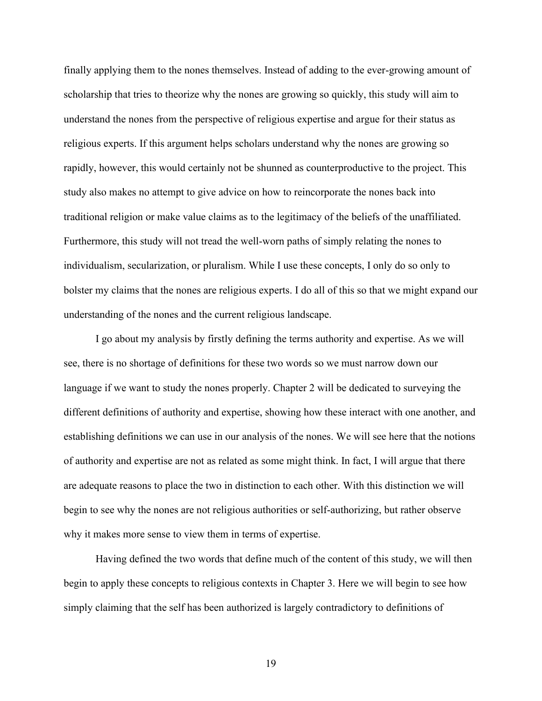finally applying them to the nones themselves. Instead of adding to the ever-growing amount of scholarship that tries to theorize why the nones are growing so quickly, this study will aim to understand the nones from the perspective of religious expertise and argue for their status as religious experts. If this argument helps scholars understand why the nones are growing so rapidly, however, this would certainly not be shunned as counterproductive to the project. This study also makes no attempt to give advice on how to reincorporate the nones back into traditional religion or make value claims as to the legitimacy of the beliefs of the unaffiliated. Furthermore, this study will not tread the well-worn paths of simply relating the nones to individualism, secularization, or pluralism. While I use these concepts, I only do so only to bolster my claims that the nones are religious experts. I do all of this so that we might expand our understanding of the nones and the current religious landscape.

I go about my analysis by firstly defining the terms authority and expertise. As we will see, there is no shortage of definitions for these two words so we must narrow down our language if we want to study the nones properly. Chapter 2 will be dedicated to surveying the different definitions of authority and expertise, showing how these interact with one another, and establishing definitions we can use in our analysis of the nones. We will see here that the notions of authority and expertise are not as related as some might think. In fact, I will argue that there are adequate reasons to place the two in distinction to each other. With this distinction we will begin to see why the nones are not religious authorities or self-authorizing, but rather observe why it makes more sense to view them in terms of expertise.

Having defined the two words that define much of the content of this study, we will then begin to apply these concepts to religious contexts in Chapter 3. Here we will begin to see how simply claiming that the self has been authorized is largely contradictory to definitions of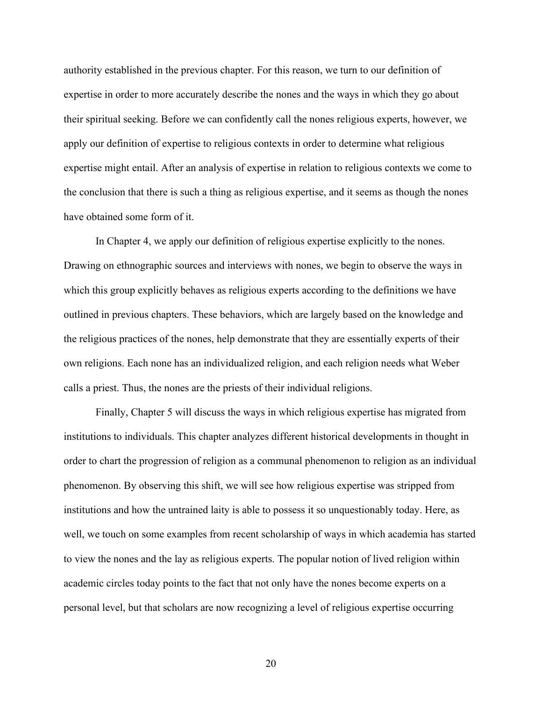authority established in the previous chapter. For this reason, we turn to our definition of expertise in order to more accurately describe the nones and the ways in which they go about their spiritual seeking. Before we can confidently call the nones religious experts, however, we apply our definition of expertise to religious contexts in order to determine what religious expertise might entail. After an analysis of expertise in relation to religious contexts we come to the conclusion that there is such a thing as religious expertise, and it seems as though the nones have obtained some form of it.

In Chapter 4, we apply our definition of religious expertise explicitly to the nones. Drawing on ethnographic sources and interviews with nones, we begin to observe the ways in which this group explicitly behaves as religious experts according to the definitions we have outlined in previous chapters. These behaviors, which are largely based on the knowledge and the religious practices of the nones, help demonstrate that they are essentially experts of their own religions. Each none has an individualized religion, and each religion needs what Weber calls a priest. Thus, the nones are the priests of their individual religions.

Finally, Chapter 5 will discuss the ways in which religious expertise has migrated from institutions to individuals. This chapter analyzes different historical developments in thought in order to chart the progression of religion as a communal phenomenon to religion as an individual phenomenon. By observing this shift, we will see how religious expertise was stripped from institutions and how the untrained laity is able to possess it so unquestionably today. Here, as well, we touch on some examples from recent scholarship of ways in which academia has started to view the nones and the lay as religious experts. The popular notion of lived religion within academic circles today points to the fact that not only have the nones become experts on a personal level, but that scholars are now recognizing a level of religious expertise occurring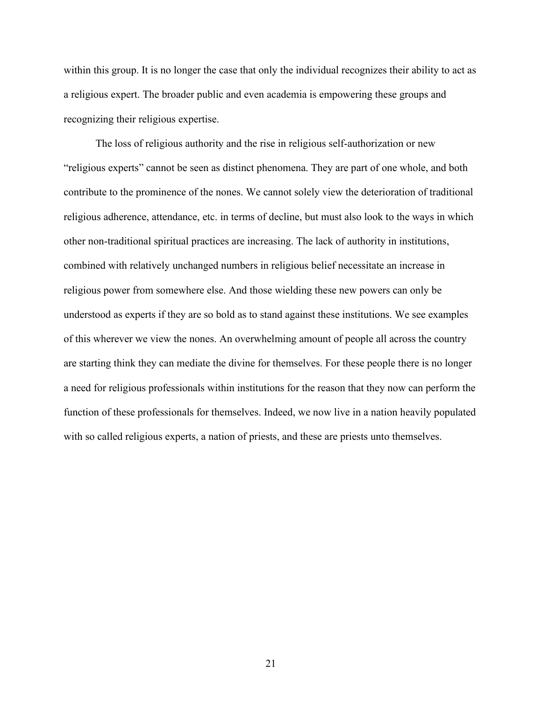within this group. It is no longer the case that only the individual recognizes their ability to act as a religious expert. The broader public and even academia is empowering these groups and recognizing their religious expertise.

The loss of religious authority and the rise in religious self-authorization or new "religious experts" cannot be seen as distinct phenomena. They are part of one whole, and both contribute to the prominence of the nones. We cannot solely view the deterioration of traditional religious adherence, attendance, etc. in terms of decline, but must also look to the ways in which other non-traditional spiritual practices are increasing. The lack of authority in institutions, combined with relatively unchanged numbers in religious belief necessitate an increase in religious power from somewhere else. And those wielding these new powers can only be understood as experts if they are so bold as to stand against these institutions. We see examples of this wherever we view the nones. An overwhelming amount of people all across the country are starting think they can mediate the divine for themselves. For these people there is no longer a need for religious professionals within institutions for the reason that they now can perform the function of these professionals for themselves. Indeed, we now live in a nation heavily populated with so called religious experts, a nation of priests, and these are priests unto themselves.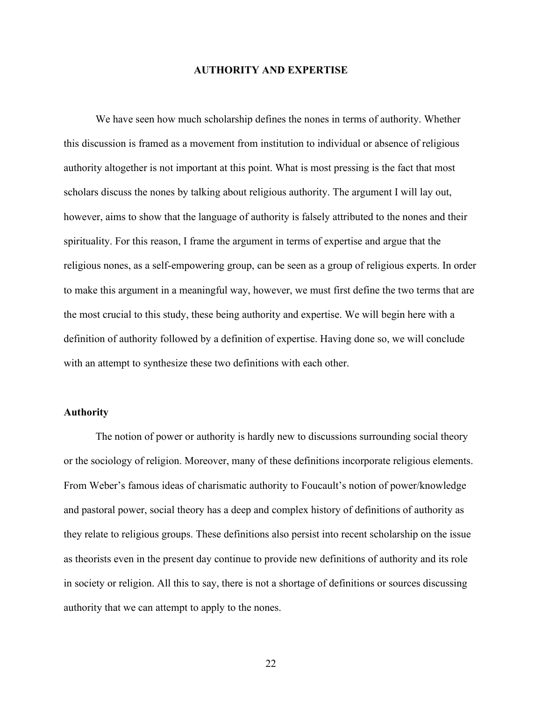### **AUTHORITY AND EXPERTISE**

We have seen how much scholarship defines the nones in terms of authority. Whether this discussion is framed as a movement from institution to individual or absence of religious authority altogether is not important at this point. What is most pressing is the fact that most scholars discuss the nones by talking about religious authority. The argument I will lay out, however, aims to show that the language of authority is falsely attributed to the nones and their spirituality. For this reason, I frame the argument in terms of expertise and argue that the religious nones, as a self-empowering group, can be seen as a group of religious experts. In order to make this argument in a meaningful way, however, we must first define the two terms that are the most crucial to this study, these being authority and expertise. We will begin here with a definition of authority followed by a definition of expertise. Having done so, we will conclude with an attempt to synthesize these two definitions with each other.

### **Authority**

The notion of power or authority is hardly new to discussions surrounding social theory or the sociology of religion. Moreover, many of these definitions incorporate religious elements. From Weber's famous ideas of charismatic authority to Foucault's notion of power/knowledge and pastoral power, social theory has a deep and complex history of definitions of authority as they relate to religious groups. These definitions also persist into recent scholarship on the issue as theorists even in the present day continue to provide new definitions of authority and its role in society or religion. All this to say, there is not a shortage of definitions or sources discussing authority that we can attempt to apply to the nones.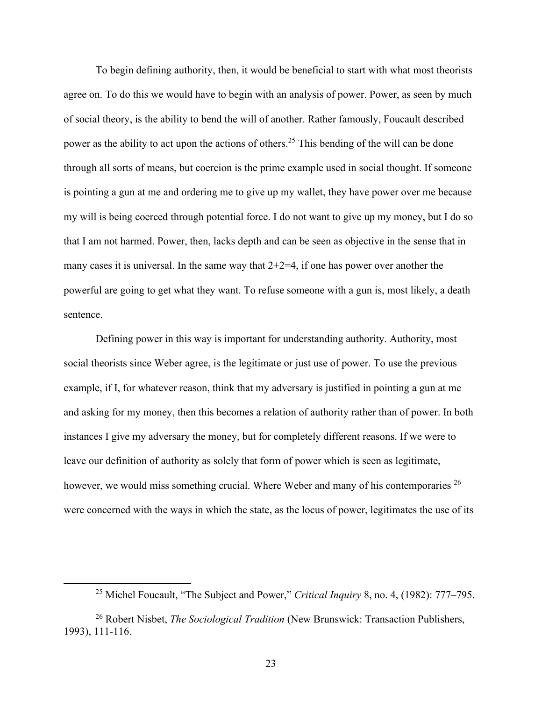To begin defining authority, then, it would be beneficial to start with what most theorists agree on. To do this we would have to begin with an analysis of power. Power, as seen by much of social theory, is the ability to bend the will of another. Rather famously, Foucault described power as the ability to act upon the actions of others.<sup>25</sup> This bending of the will can be done through all sorts of means, but coercion is the prime example used in social thought. If someone is pointing a gun at me and ordering me to give up my wallet, they have power over me because my will is being coerced through potential force. I do not want to give up my money, but I do so that I am not harmed. Power, then, lacks depth and can be seen as objective in the sense that in many cases it is universal. In the same way that  $2+2=4$ , if one has power over another the powerful are going to get what they want. To refuse someone with a gun is, most likely, a death sentence.

Defining power in this way is important for understanding authority. Authority, most social theorists since Weber agree, is the legitimate or just use of power. To use the previous example, if I, for whatever reason, think that my adversary is justified in pointing a gun at me and asking for my money, then this becomes a relation of authority rather than of power. In both instances I give my adversary the money, but for completely different reasons. If we were to leave our definition of authority as solely that form of power which is seen as legitimate, however, we would miss something crucial. Where Weber and many of his contemporaries <sup>26</sup> were concerned with the ways in which the state, as the locus of power, legitimates the use of its

<sup>25</sup> Michel Foucault, "The Subject and Power," *Critical Inquiry* 8, no. 4, (1982): 777–795.

<sup>26</sup> Robert Nisbet, *The Sociological Tradition* (New Brunswick: Transaction Publishers, 1993), 111-116.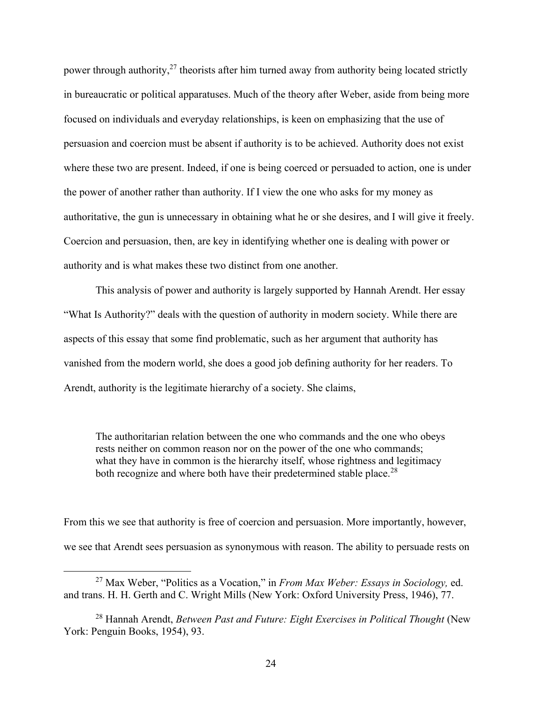power through authority, $27$  theorists after him turned away from authority being located strictly in bureaucratic or political apparatuses. Much of the theory after Weber, aside from being more focused on individuals and everyday relationships, is keen on emphasizing that the use of persuasion and coercion must be absent if authority is to be achieved. Authority does not exist where these two are present. Indeed, if one is being coerced or persuaded to action, one is under the power of another rather than authority. If I view the one who asks for my money as authoritative, the gun is unnecessary in obtaining what he or she desires, and I will give it freely. Coercion and persuasion, then, are key in identifying whether one is dealing with power or authority and is what makes these two distinct from one another.

This analysis of power and authority is largely supported by Hannah Arendt. Her essay "What Is Authority?" deals with the question of authority in modern society. While there are aspects of this essay that some find problematic, such as her argument that authority has vanished from the modern world, she does a good job defining authority for her readers. To Arendt, authority is the legitimate hierarchy of a society. She claims,

The authoritarian relation between the one who commands and the one who obeys rests neither on common reason nor on the power of the one who commands; what they have in common is the hierarchy itself, whose rightness and legitimacy both recognize and where both have their predetermined stable place.<sup>28</sup>

From this we see that authority is free of coercion and persuasion. More importantly, however, we see that Arendt sees persuasion as synonymous with reason. The ability to persuade rests on

<sup>27</sup> Max Weber, "Politics as a Vocation," in *From Max Weber: Essays in Sociology,* ed. and trans. H. H. Gerth and C. Wright Mills (New York: Oxford University Press, 1946), 77.

<sup>28</sup> Hannah Arendt, *Between Past and Future: Eight Exercises in Political Thought* (New York: Penguin Books, 1954), 93.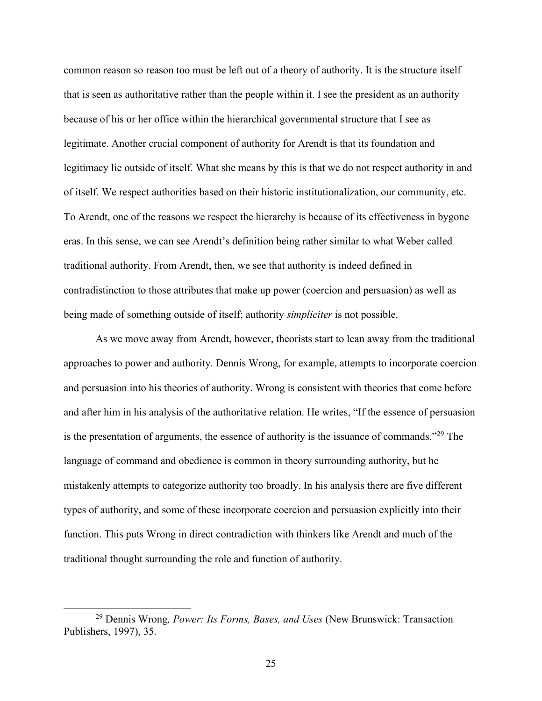common reason so reason too must be left out of a theory of authority. It is the structure itself that is seen as authoritative rather than the people within it. I see the president as an authority because of his or her office within the hierarchical governmental structure that I see as legitimate. Another crucial component of authority for Arendt is that its foundation and legitimacy lie outside of itself. What she means by this is that we do not respect authority in and of itself. We respect authorities based on their historic institutionalization, our community, etc. To Arendt, one of the reasons we respect the hierarchy is because of its effectiveness in bygone eras. In this sense, we can see Arendt's definition being rather similar to what Weber called traditional authority. From Arendt, then, we see that authority is indeed defined in contradistinction to those attributes that make up power (coercion and persuasion) as well as being made of something outside of itself; authority *simpliciter* is not possible.

As we move away from Arendt, however, theorists start to lean away from the traditional approaches to power and authority. Dennis Wrong, for example, attempts to incorporate coercion and persuasion into his theories of authority. Wrong is consistent with theories that come before and after him in his analysis of the authoritative relation. He writes, "If the essence of persuasion is the presentation of arguments, the essence of authority is the issuance of commands."<sup>29</sup> The language of command and obedience is common in theory surrounding authority, but he mistakenly attempts to categorize authority too broadly. In his analysis there are five different types of authority, and some of these incorporate coercion and persuasion explicitly into their function. This puts Wrong in direct contradiction with thinkers like Arendt and much of the traditional thought surrounding the role and function of authority.

<sup>29</sup> Dennis Wrong*, Power: Its Forms, Bases, and Uses* (New Brunswick: Transaction Publishers, 1997), 35.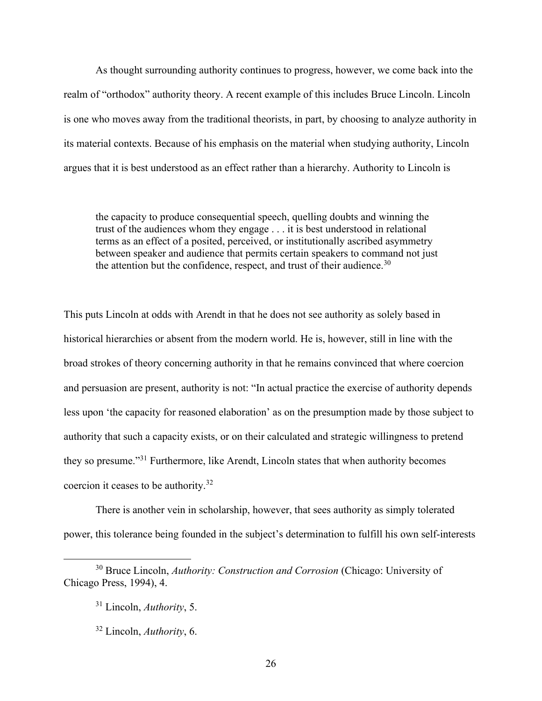As thought surrounding authority continues to progress, however, we come back into the realm of "orthodox" authority theory. A recent example of this includes Bruce Lincoln. Lincoln is one who moves away from the traditional theorists, in part, by choosing to analyze authority in its material contexts. Because of his emphasis on the material when studying authority, Lincoln argues that it is best understood as an effect rather than a hierarchy. Authority to Lincoln is

the capacity to produce consequential speech, quelling doubts and winning the trust of the audiences whom they engage . . . it is best understood in relational terms as an effect of a posited, perceived, or institutionally ascribed asymmetry between speaker and audience that permits certain speakers to command not just the attention but the confidence, respect, and trust of their audience.<sup>30</sup>

This puts Lincoln at odds with Arendt in that he does not see authority as solely based in historical hierarchies or absent from the modern world. He is, however, still in line with the broad strokes of theory concerning authority in that he remains convinced that where coercion and persuasion are present, authority is not: "In actual practice the exercise of authority depends less upon 'the capacity for reasoned elaboration' as on the presumption made by those subject to authority that such a capacity exists, or on their calculated and strategic willingness to pretend they so presume."<sup>31</sup> Furthermore, like Arendt, Lincoln states that when authority becomes coercion it ceases to be authority.<sup>32</sup>

There is another vein in scholarship, however, that sees authority as simply tolerated power, this tolerance being founded in the subject's determination to fulfill his own self-interests

<sup>30</sup> Bruce Lincoln, *Authority: Construction and Corrosion* (Chicago: University of Chicago Press, 1994), 4.

<sup>31</sup> Lincoln, *Authority*, 5.

<sup>32</sup> Lincoln, *Authority*, 6.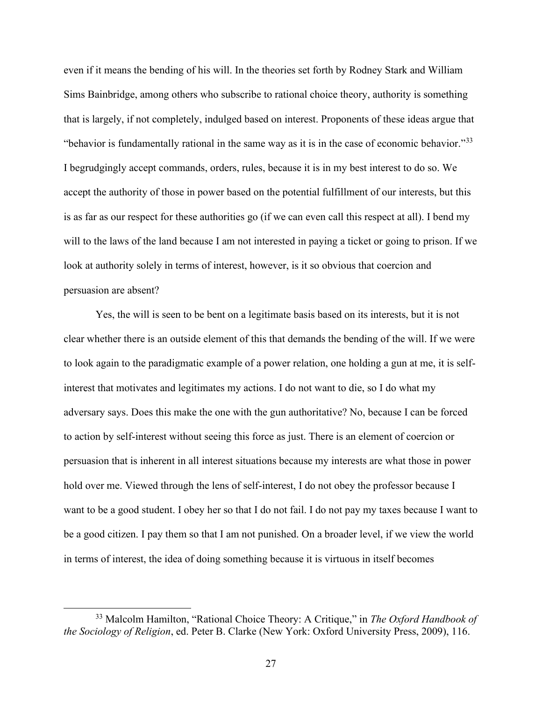even if it means the bending of his will. In the theories set forth by Rodney Stark and William Sims Bainbridge, among others who subscribe to rational choice theory, authority is something that is largely, if not completely, indulged based on interest. Proponents of these ideas argue that "behavior is fundamentally rational in the same way as it is in the case of economic behavior."<sup>33</sup> I begrudgingly accept commands, orders, rules, because it is in my best interest to do so. We accept the authority of those in power based on the potential fulfillment of our interests, but this is as far as our respect for these authorities go (if we can even call this respect at all). I bend my will to the laws of the land because I am not interested in paying a ticket or going to prison. If we look at authority solely in terms of interest, however, is it so obvious that coercion and persuasion are absent?

Yes, the will is seen to be bent on a legitimate basis based on its interests, but it is not clear whether there is an outside element of this that demands the bending of the will. If we were to look again to the paradigmatic example of a power relation, one holding a gun at me, it is selfinterest that motivates and legitimates my actions. I do not want to die, so I do what my adversary says. Does this make the one with the gun authoritative? No, because I can be forced to action by self-interest without seeing this force as just. There is an element of coercion or persuasion that is inherent in all interest situations because my interests are what those in power hold over me. Viewed through the lens of self-interest, I do not obey the professor because I want to be a good student. I obey her so that I do not fail. I do not pay my taxes because I want to be a good citizen. I pay them so that I am not punished. On a broader level, if we view the world in terms of interest, the idea of doing something because it is virtuous in itself becomes

<sup>33</sup> Malcolm Hamilton, "Rational Choice Theory: A Critique," in *The Oxford Handbook of the Sociology of Religion*, ed. Peter B. Clarke (New York: Oxford University Press, 2009), 116.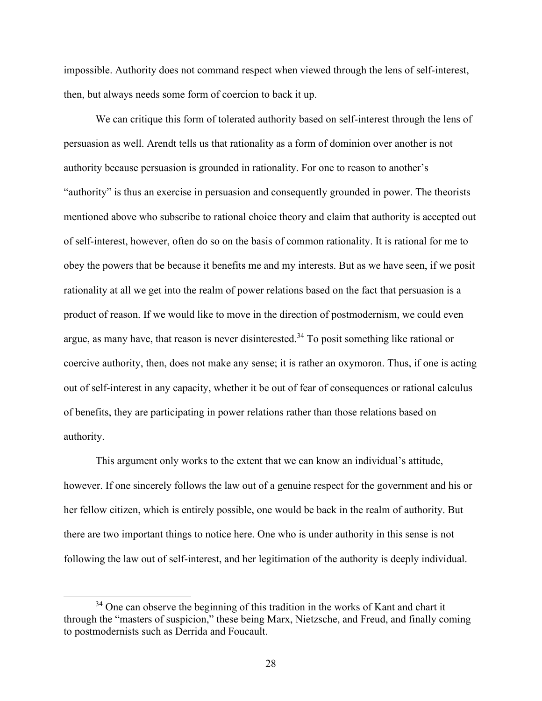impossible. Authority does not command respect when viewed through the lens of self-interest, then, but always needs some form of coercion to back it up.

We can critique this form of tolerated authority based on self-interest through the lens of persuasion as well. Arendt tells us that rationality as a form of dominion over another is not authority because persuasion is grounded in rationality. For one to reason to another's "authority" is thus an exercise in persuasion and consequently grounded in power. The theorists mentioned above who subscribe to rational choice theory and claim that authority is accepted out of self-interest, however, often do so on the basis of common rationality. It is rational for me to obey the powers that be because it benefits me and my interests. But as we have seen, if we posit rationality at all we get into the realm of power relations based on the fact that persuasion is a product of reason. If we would like to move in the direction of postmodernism, we could even argue, as many have, that reason is never disinterested.<sup>34</sup> To posit something like rational or coercive authority, then, does not make any sense; it is rather an oxymoron. Thus, if one is acting out of self-interest in any capacity, whether it be out of fear of consequences or rational calculus of benefits, they are participating in power relations rather than those relations based on authority.

This argument only works to the extent that we can know an individual's attitude, however. If one sincerely follows the law out of a genuine respect for the government and his or her fellow citizen, which is entirely possible, one would be back in the realm of authority. But there are two important things to notice here. One who is under authority in this sense is not following the law out of self-interest, and her legitimation of the authority is deeply individual.

 $34$  One can observe the beginning of this tradition in the works of Kant and chart it through the "masters of suspicion," these being Marx, Nietzsche, and Freud, and finally coming to postmodernists such as Derrida and Foucault.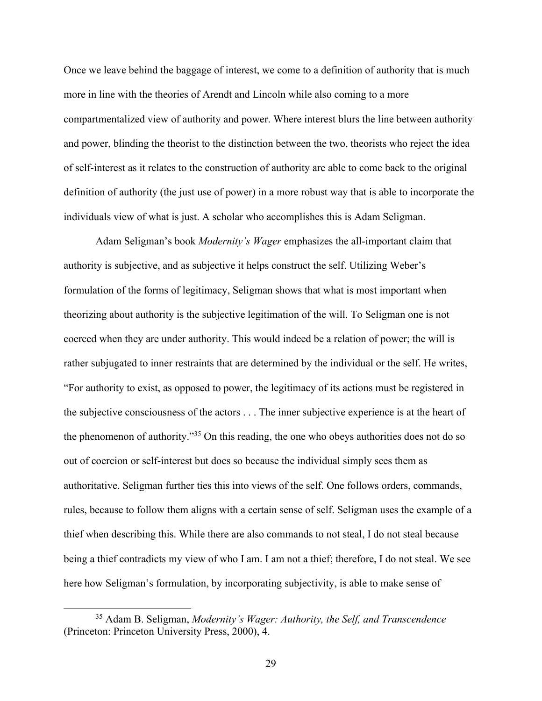Once we leave behind the baggage of interest, we come to a definition of authority that is much more in line with the theories of Arendt and Lincoln while also coming to a more compartmentalized view of authority and power. Where interest blurs the line between authority and power, blinding the theorist to the distinction between the two, theorists who reject the idea of self-interest as it relates to the construction of authority are able to come back to the original definition of authority (the just use of power) in a more robust way that is able to incorporate the individuals view of what is just. A scholar who accomplishes this is Adam Seligman.

Adam Seligman's book *Modernity's Wager* emphasizes the all-important claim that authority is subjective, and as subjective it helps construct the self. Utilizing Weber's formulation of the forms of legitimacy, Seligman shows that what is most important when theorizing about authority is the subjective legitimation of the will. To Seligman one is not coerced when they are under authority. This would indeed be a relation of power; the will is rather subjugated to inner restraints that are determined by the individual or the self. He writes, "For authority to exist, as opposed to power, the legitimacy of its actions must be registered in the subjective consciousness of the actors . . . The inner subjective experience is at the heart of the phenomenon of authority."<sup>35</sup> On this reading, the one who obeys authorities does not do so out of coercion or self-interest but does so because the individual simply sees them as authoritative. Seligman further ties this into views of the self. One follows orders, commands, rules, because to follow them aligns with a certain sense of self. Seligman uses the example of a thief when describing this. While there are also commands to not steal, I do not steal because being a thief contradicts my view of who I am. I am not a thief; therefore, I do not steal. We see here how Seligman's formulation, by incorporating subjectivity, is able to make sense of

<sup>35</sup> Adam B. Seligman, *Modernity's Wager: Authority, the Self, and Transcendence* (Princeton: Princeton University Press, 2000), 4.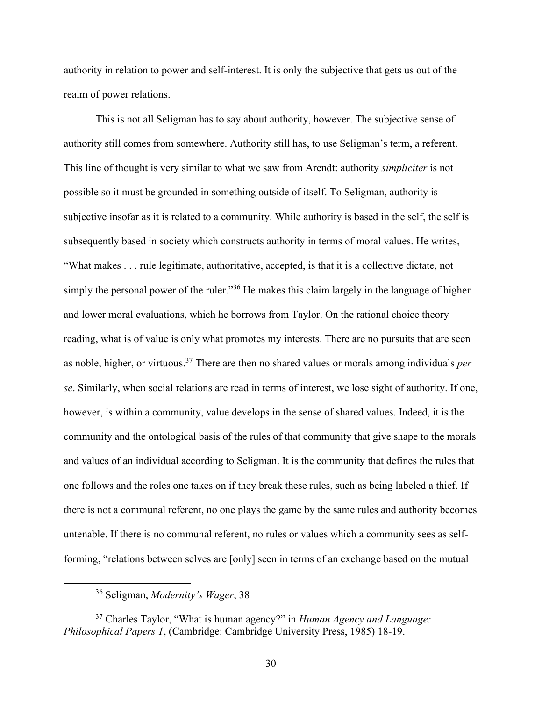authority in relation to power and self-interest. It is only the subjective that gets us out of the realm of power relations.

This is not all Seligman has to say about authority, however. The subjective sense of authority still comes from somewhere. Authority still has, to use Seligman's term, a referent. This line of thought is very similar to what we saw from Arendt: authority *simpliciter* is not possible so it must be grounded in something outside of itself. To Seligman, authority is subjective insofar as it is related to a community. While authority is based in the self, the self is subsequently based in society which constructs authority in terms of moral values. He writes, "What makes . . . rule legitimate, authoritative, accepted, is that it is a collective dictate, not simply the personal power of the ruler."<sup>36</sup> He makes this claim largely in the language of higher and lower moral evaluations, which he borrows from Taylor. On the rational choice theory reading, what is of value is only what promotes my interests. There are no pursuits that are seen as noble, higher, or virtuous.<sup>37</sup> There are then no shared values or morals among individuals *per se*. Similarly, when social relations are read in terms of interest, we lose sight of authority. If one, however, is within a community, value develops in the sense of shared values. Indeed, it is the community and the ontological basis of the rules of that community that give shape to the morals and values of an individual according to Seligman. It is the community that defines the rules that one follows and the roles one takes on if they break these rules, such as being labeled a thief. If there is not a communal referent, no one plays the game by the same rules and authority becomes untenable. If there is no communal referent, no rules or values which a community sees as selfforming, "relations between selves are [only] seen in terms of an exchange based on the mutual

<sup>36</sup> Seligman, *Modernity's Wager*, 38

<sup>37</sup> Charles Taylor, "What is human agency?" in *Human Agency and Language: Philosophical Papers 1*, (Cambridge: Cambridge University Press, 1985) 18-19.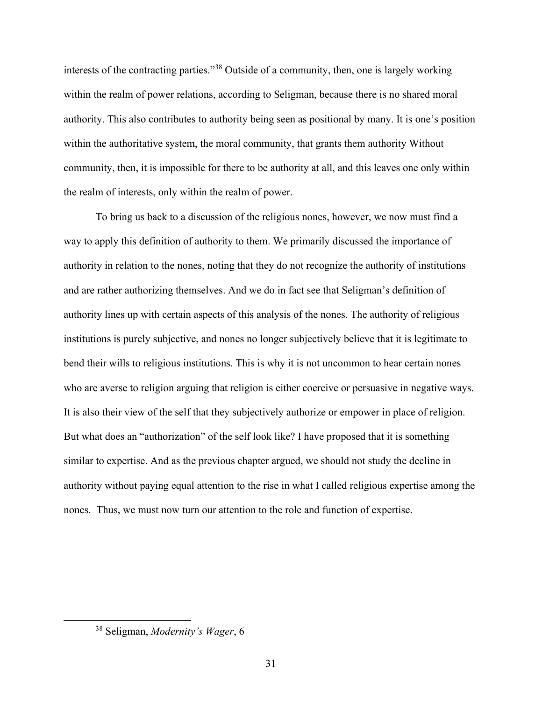interests of the contracting parties."<sup>38</sup> Outside of a community, then, one is largely working within the realm of power relations, according to Seligman, because there is no shared moral authority. This also contributes to authority being seen as positional by many. It is one's position within the authoritative system, the moral community, that grants them authority Without community, then, it is impossible for there to be authority at all, and this leaves one only within the realm of interests, only within the realm of power.

To bring us back to a discussion of the religious nones, however, we now must find a way to apply this definition of authority to them. We primarily discussed the importance of authority in relation to the nones, noting that they do not recognize the authority of institutions and are rather authorizing themselves. And we do in fact see that Seligman's definition of authority lines up with certain aspects of this analysis of the nones. The authority of religious institutions is purely subjective, and nones no longer subjectively believe that it is legitimate to bend their wills to religious institutions. This is why it is not uncommon to hear certain nones who are averse to religion arguing that religion is either coercive or persuasive in negative ways. It is also their view of the self that they subjectively authorize or empower in place of religion. But what does an "authorization" of the self look like? I have proposed that it is something similar to expertise. And as the previous chapter argued, we should not study the decline in authority without paying equal attention to the rise in what I called religious expertise among the nones. Thus, we must now turn our attention to the role and function of expertise.

<sup>38</sup> Seligman, *Modernity's Wager*, 6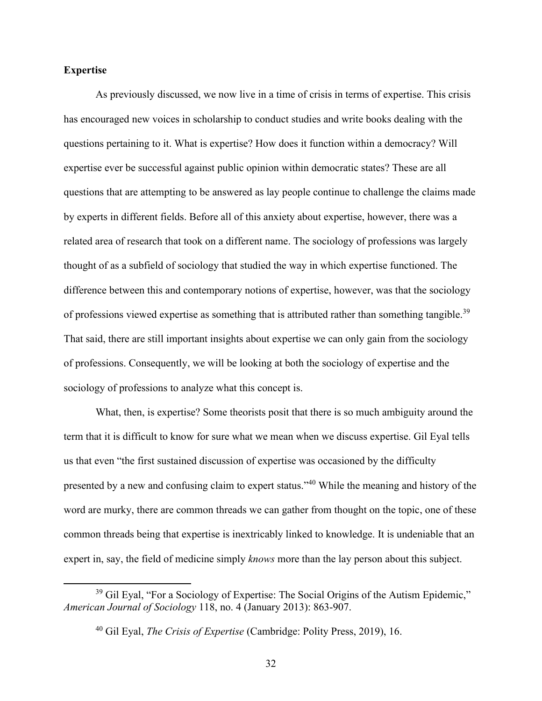# **Expertise**

As previously discussed, we now live in a time of crisis in terms of expertise. This crisis has encouraged new voices in scholarship to conduct studies and write books dealing with the questions pertaining to it. What is expertise? How does it function within a democracy? Will expertise ever be successful against public opinion within democratic states? These are all questions that are attempting to be answered as lay people continue to challenge the claims made by experts in different fields. Before all of this anxiety about expertise, however, there was a related area of research that took on a different name. The sociology of professions was largely thought of as a subfield of sociology that studied the way in which expertise functioned. The difference between this and contemporary notions of expertise, however, was that the sociology of professions viewed expertise as something that is attributed rather than something tangible.<sup>39</sup> That said, there are still important insights about expertise we can only gain from the sociology of professions. Consequently, we will be looking at both the sociology of expertise and the sociology of professions to analyze what this concept is.

What, then, is expertise? Some theorists posit that there is so much ambiguity around the term that it is difficult to know for sure what we mean when we discuss expertise. Gil Eyal tells us that even "the first sustained discussion of expertise was occasioned by the difficulty presented by a new and confusing claim to expert status."<sup>40</sup> While the meaning and history of the word are murky, there are common threads we can gather from thought on the topic, one of these common threads being that expertise is inextricably linked to knowledge. It is undeniable that an expert in, say, the field of medicine simply *knows* more than the lay person about this subject.

 $39$  Gil Eyal, "For a Sociology of Expertise: The Social Origins of the Autism Epidemic," *American Journal of Sociology* 118, no. 4 (January 2013): 863-907.

<sup>40</sup> Gil Eyal, *The Crisis of Expertise* (Cambridge: Polity Press, 2019), 16.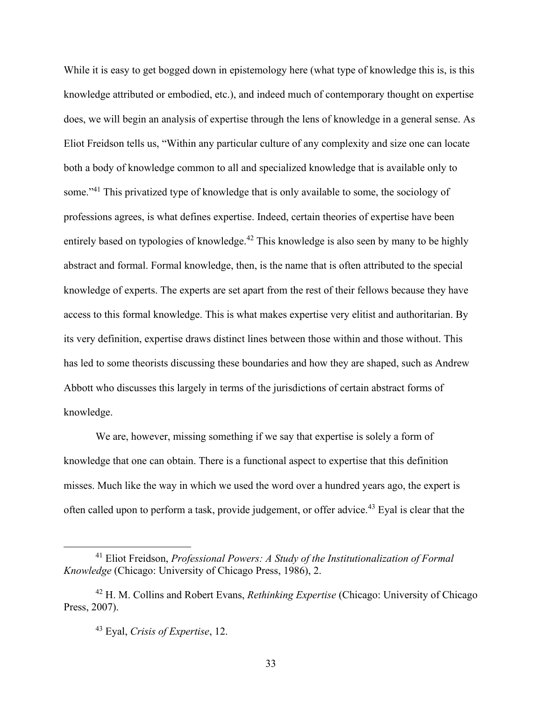While it is easy to get bogged down in epistemology here (what type of knowledge this is, is this knowledge attributed or embodied, etc.), and indeed much of contemporary thought on expertise does, we will begin an analysis of expertise through the lens of knowledge in a general sense. As Eliot Freidson tells us, "Within any particular culture of any complexity and size one can locate both a body of knowledge common to all and specialized knowledge that is available only to some."<sup>41</sup> This privatized type of knowledge that is only available to some, the sociology of professions agrees, is what defines expertise. Indeed, certain theories of expertise have been entirely based on typologies of knowledge.<sup>42</sup> This knowledge is also seen by many to be highly abstract and formal. Formal knowledge, then, is the name that is often attributed to the special knowledge of experts. The experts are set apart from the rest of their fellows because they have access to this formal knowledge. This is what makes expertise very elitist and authoritarian. By its very definition, expertise draws distinct lines between those within and those without. This has led to some theorists discussing these boundaries and how they are shaped, such as Andrew Abbott who discusses this largely in terms of the jurisdictions of certain abstract forms of knowledge.

We are, however, missing something if we say that expertise is solely a form of knowledge that one can obtain. There is a functional aspect to expertise that this definition misses. Much like the way in which we used the word over a hundred years ago, the expert is often called upon to perform a task, provide judgement, or offer advice.<sup>43</sup> Eyal is clear that the

<sup>41</sup> Eliot Freidson, *Professional Powers: A Study of the Institutionalization of Formal Knowledge* (Chicago: University of Chicago Press, 1986), 2.

<sup>42</sup> H. M. Collins and Robert Evans, *Rethinking Expertise* (Chicago: University of Chicago Press, 2007).

<sup>43</sup> Eyal, *Crisis of Expertise*, 12.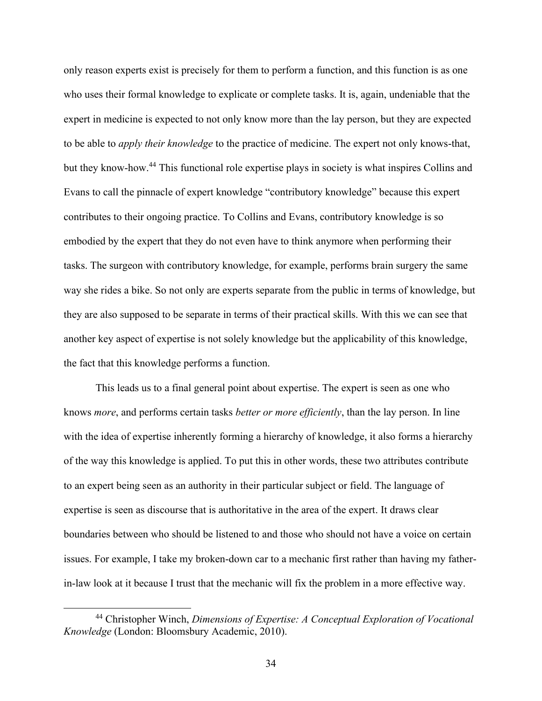only reason experts exist is precisely for them to perform a function, and this function is as one who uses their formal knowledge to explicate or complete tasks. It is, again, undeniable that the expert in medicine is expected to not only know more than the lay person, but they are expected to be able to *apply their knowledge* to the practice of medicine. The expert not only knows-that, but they know-how.<sup>44</sup> This functional role expertise plays in society is what inspires Collins and Evans to call the pinnacle of expert knowledge "contributory knowledge" because this expert contributes to their ongoing practice. To Collins and Evans, contributory knowledge is so embodied by the expert that they do not even have to think anymore when performing their tasks. The surgeon with contributory knowledge, for example, performs brain surgery the same way she rides a bike. So not only are experts separate from the public in terms of knowledge, but they are also supposed to be separate in terms of their practical skills. With this we can see that another key aspect of expertise is not solely knowledge but the applicability of this knowledge, the fact that this knowledge performs a function.

This leads us to a final general point about expertise. The expert is seen as one who knows *more*, and performs certain tasks *better or more efficiently*, than the lay person. In line with the idea of expertise inherently forming a hierarchy of knowledge, it also forms a hierarchy of the way this knowledge is applied. To put this in other words, these two attributes contribute to an expert being seen as an authority in their particular subject or field. The language of expertise is seen as discourse that is authoritative in the area of the expert. It draws clear boundaries between who should be listened to and those who should not have a voice on certain issues. For example, I take my broken-down car to a mechanic first rather than having my fatherin-law look at it because I trust that the mechanic will fix the problem in a more effective way.

<sup>44</sup> Christopher Winch, *Dimensions of Expertise: A Conceptual Exploration of Vocational Knowledge* (London: Bloomsbury Academic, 2010).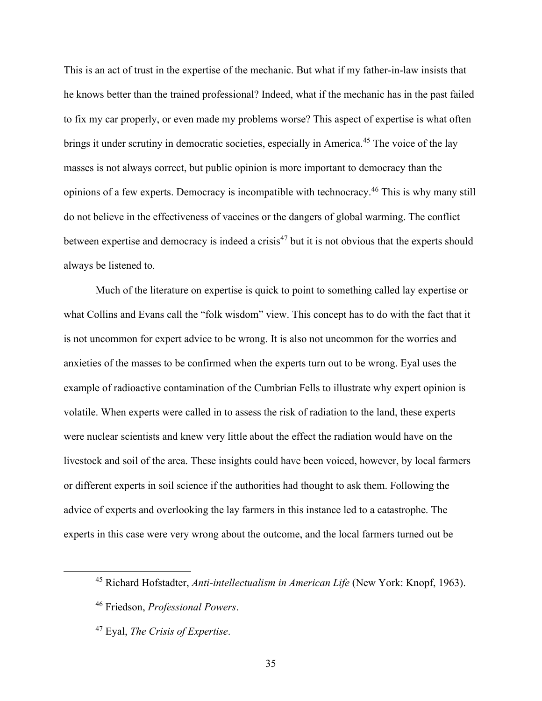This is an act of trust in the expertise of the mechanic. But what if my father-in-law insists that he knows better than the trained professional? Indeed, what if the mechanic has in the past failed to fix my car properly, or even made my problems worse? This aspect of expertise is what often brings it under scrutiny in democratic societies, especially in America.<sup>45</sup> The voice of the lay masses is not always correct, but public opinion is more important to democracy than the opinions of a few experts. Democracy is incompatible with technocracy.<sup>46</sup> This is why many still do not believe in the effectiveness of vaccines or the dangers of global warming. The conflict between expertise and democracy is indeed a crisis<sup>47</sup> but it is not obvious that the experts should always be listened to.

Much of the literature on expertise is quick to point to something called lay expertise or what Collins and Evans call the "folk wisdom" view. This concept has to do with the fact that it is not uncommon for expert advice to be wrong. It is also not uncommon for the worries and anxieties of the masses to be confirmed when the experts turn out to be wrong. Eyal uses the example of radioactive contamination of the Cumbrian Fells to illustrate why expert opinion is volatile. When experts were called in to assess the risk of radiation to the land, these experts were nuclear scientists and knew very little about the effect the radiation would have on the livestock and soil of the area. These insights could have been voiced, however, by local farmers or different experts in soil science if the authorities had thought to ask them. Following the advice of experts and overlooking the lay farmers in this instance led to a catastrophe. The experts in this case were very wrong about the outcome, and the local farmers turned out be

<sup>45</sup> Richard Hofstadter, *Anti-intellectualism in American Life* (New York: Knopf, 1963).

<sup>46</sup> Friedson, *Professional Powers*.

<sup>47</sup> Eyal, *The Crisis of Expertise*.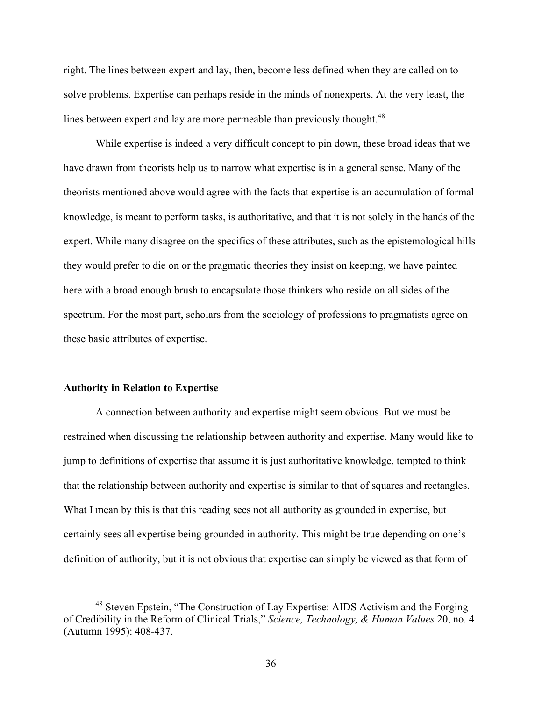right. The lines between expert and lay, then, become less defined when they are called on to solve problems. Expertise can perhaps reside in the minds of nonexperts. At the very least, the lines between expert and lay are more permeable than previously thought.<sup>48</sup>

While expertise is indeed a very difficult concept to pin down, these broad ideas that we have drawn from theorists help us to narrow what expertise is in a general sense. Many of the theorists mentioned above would agree with the facts that expertise is an accumulation of formal knowledge, is meant to perform tasks, is authoritative, and that it is not solely in the hands of the expert. While many disagree on the specifics of these attributes, such as the epistemological hills they would prefer to die on or the pragmatic theories they insist on keeping, we have painted here with a broad enough brush to encapsulate those thinkers who reside on all sides of the spectrum. For the most part, scholars from the sociology of professions to pragmatists agree on these basic attributes of expertise.

#### **Authority in Relation to Expertise**

A connection between authority and expertise might seem obvious. But we must be restrained when discussing the relationship between authority and expertise. Many would like to jump to definitions of expertise that assume it is just authoritative knowledge, tempted to think that the relationship between authority and expertise is similar to that of squares and rectangles. What I mean by this is that this reading sees not all authority as grounded in expertise, but certainly sees all expertise being grounded in authority. This might be true depending on one's definition of authority, but it is not obvious that expertise can simply be viewed as that form of

<sup>&</sup>lt;sup>48</sup> Steven Epstein, "The Construction of Lay Expertise: AIDS Activism and the Forging of Credibility in the Reform of Clinical Trials," *Science, Technology, & Human Values* 20, no. 4 (Autumn 1995): 408-437.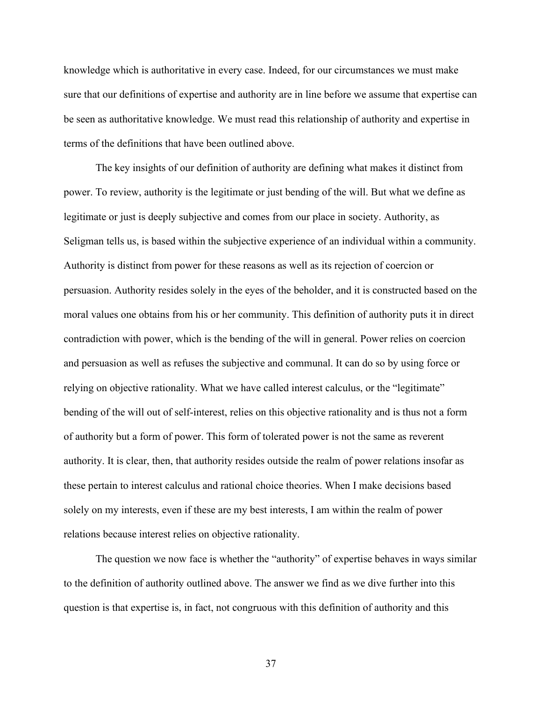knowledge which is authoritative in every case. Indeed, for our circumstances we must make sure that our definitions of expertise and authority are in line before we assume that expertise can be seen as authoritative knowledge. We must read this relationship of authority and expertise in terms of the definitions that have been outlined above.

The key insights of our definition of authority are defining what makes it distinct from power. To review, authority is the legitimate or just bending of the will. But what we define as legitimate or just is deeply subjective and comes from our place in society. Authority, as Seligman tells us, is based within the subjective experience of an individual within a community. Authority is distinct from power for these reasons as well as its rejection of coercion or persuasion. Authority resides solely in the eyes of the beholder, and it is constructed based on the moral values one obtains from his or her community. This definition of authority puts it in direct contradiction with power, which is the bending of the will in general. Power relies on coercion and persuasion as well as refuses the subjective and communal. It can do so by using force or relying on objective rationality. What we have called interest calculus, or the "legitimate" bending of the will out of self-interest, relies on this objective rationality and is thus not a form of authority but a form of power. This form of tolerated power is not the same as reverent authority. It is clear, then, that authority resides outside the realm of power relations insofar as these pertain to interest calculus and rational choice theories. When I make decisions based solely on my interests, even if these are my best interests, I am within the realm of power relations because interest relies on objective rationality.

The question we now face is whether the "authority" of expertise behaves in ways similar to the definition of authority outlined above. The answer we find as we dive further into this question is that expertise is, in fact, not congruous with this definition of authority and this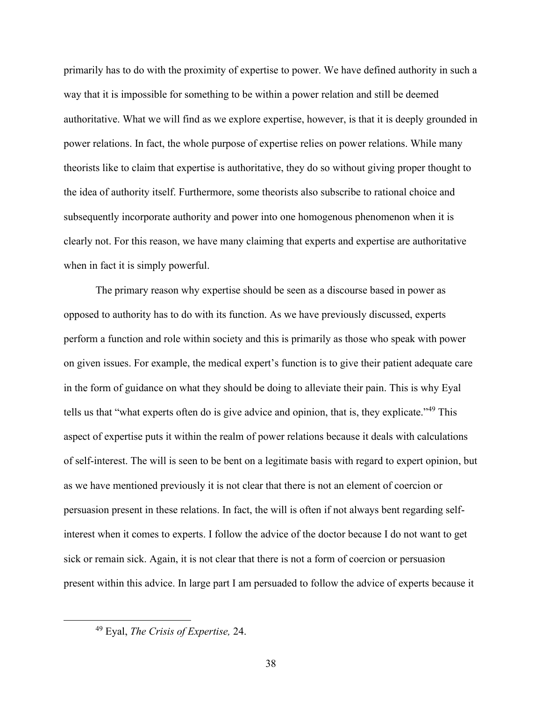primarily has to do with the proximity of expertise to power. We have defined authority in such a way that it is impossible for something to be within a power relation and still be deemed authoritative. What we will find as we explore expertise, however, is that it is deeply grounded in power relations. In fact, the whole purpose of expertise relies on power relations. While many theorists like to claim that expertise is authoritative, they do so without giving proper thought to the idea of authority itself. Furthermore, some theorists also subscribe to rational choice and subsequently incorporate authority and power into one homogenous phenomenon when it is clearly not. For this reason, we have many claiming that experts and expertise are authoritative when in fact it is simply powerful.

The primary reason why expertise should be seen as a discourse based in power as opposed to authority has to do with its function. As we have previously discussed, experts perform a function and role within society and this is primarily as those who speak with power on given issues. For example, the medical expert's function is to give their patient adequate care in the form of guidance on what they should be doing to alleviate their pain. This is why Eyal tells us that "what experts often do is give advice and opinion, that is, they explicate."<sup>49</sup> This aspect of expertise puts it within the realm of power relations because it deals with calculations of self-interest. The will is seen to be bent on a legitimate basis with regard to expert opinion, but as we have mentioned previously it is not clear that there is not an element of coercion or persuasion present in these relations. In fact, the will is often if not always bent regarding selfinterest when it comes to experts. I follow the advice of the doctor because I do not want to get sick or remain sick. Again, it is not clear that there is not a form of coercion or persuasion present within this advice. In large part I am persuaded to follow the advice of experts because it

<sup>49</sup> Eyal, *The Crisis of Expertise,* 24.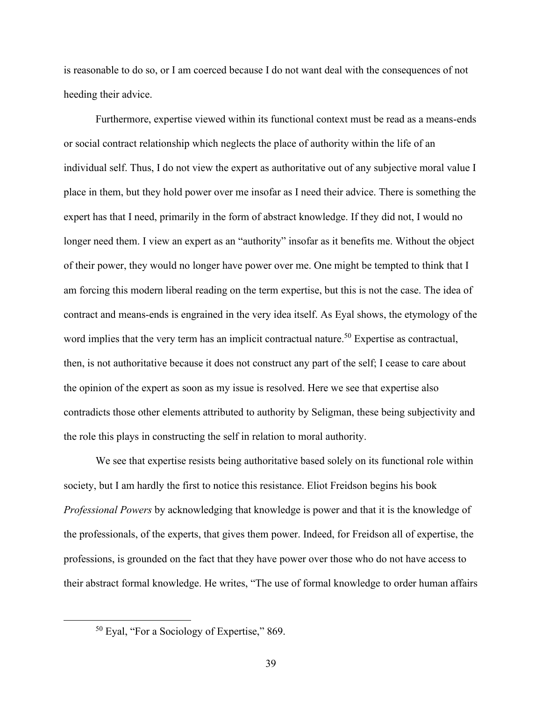is reasonable to do so, or I am coerced because I do not want deal with the consequences of not heeding their advice.

Furthermore, expertise viewed within its functional context must be read as a means-ends or social contract relationship which neglects the place of authority within the life of an individual self. Thus, I do not view the expert as authoritative out of any subjective moral value I place in them, but they hold power over me insofar as I need their advice. There is something the expert has that I need, primarily in the form of abstract knowledge. If they did not, I would no longer need them. I view an expert as an "authority" insofar as it benefits me. Without the object of their power, they would no longer have power over me. One might be tempted to think that I am forcing this modern liberal reading on the term expertise, but this is not the case. The idea of contract and means-ends is engrained in the very idea itself. As Eyal shows, the etymology of the word implies that the very term has an implicit contractual nature.<sup>50</sup> Expertise as contractual, then, is not authoritative because it does not construct any part of the self; I cease to care about the opinion of the expert as soon as my issue is resolved. Here we see that expertise also contradicts those other elements attributed to authority by Seligman, these being subjectivity and the role this plays in constructing the self in relation to moral authority.

We see that expertise resists being authoritative based solely on its functional role within society, but I am hardly the first to notice this resistance. Eliot Freidson begins his book *Professional Powers* by acknowledging that knowledge is power and that it is the knowledge of the professionals, of the experts, that gives them power. Indeed, for Freidson all of expertise, the professions, is grounded on the fact that they have power over those who do not have access to their abstract formal knowledge. He writes, "The use of formal knowledge to order human affairs

<sup>50</sup> Eyal, "For a Sociology of Expertise," 869.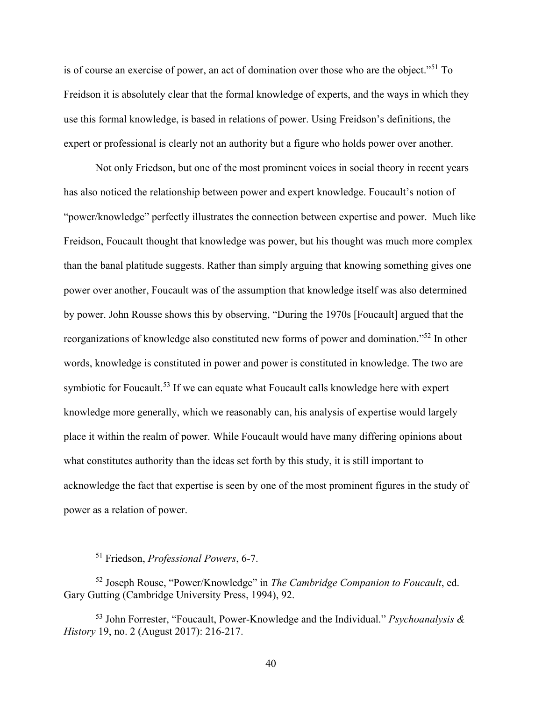is of course an exercise of power, an act of domination over those who are the object."<sup>51</sup> To Freidson it is absolutely clear that the formal knowledge of experts, and the ways in which they use this formal knowledge, is based in relations of power. Using Freidson's definitions, the expert or professional is clearly not an authority but a figure who holds power over another.

Not only Friedson, but one of the most prominent voices in social theory in recent years has also noticed the relationship between power and expert knowledge. Foucault's notion of "power/knowledge" perfectly illustrates the connection between expertise and power. Much like Freidson, Foucault thought that knowledge was power, but his thought was much more complex than the banal platitude suggests. Rather than simply arguing that knowing something gives one power over another, Foucault was of the assumption that knowledge itself was also determined by power. John Rousse shows this by observing, "During the 1970s [Foucault] argued that the reorganizations of knowledge also constituted new forms of power and domination."<sup>52</sup> In other words, knowledge is constituted in power and power is constituted in knowledge. The two are symbiotic for Foucault.<sup>53</sup> If we can equate what Foucault calls knowledge here with expert knowledge more generally, which we reasonably can, his analysis of expertise would largely place it within the realm of power. While Foucault would have many differing opinions about what constitutes authority than the ideas set forth by this study, it is still important to acknowledge the fact that expertise is seen by one of the most prominent figures in the study of power as a relation of power.

<sup>51</sup> Friedson, *Professional Powers*, 6-7.

<sup>52</sup> Joseph Rouse, "Power/Knowledge" in *The Cambridge Companion to Foucault*, ed. Gary Gutting (Cambridge University Press, 1994), 92.

<sup>53</sup> John Forrester, "Foucault, Power-Knowledge and the Individual." *Psychoanalysis & History* 19, no. 2 (August 2017): 216-217.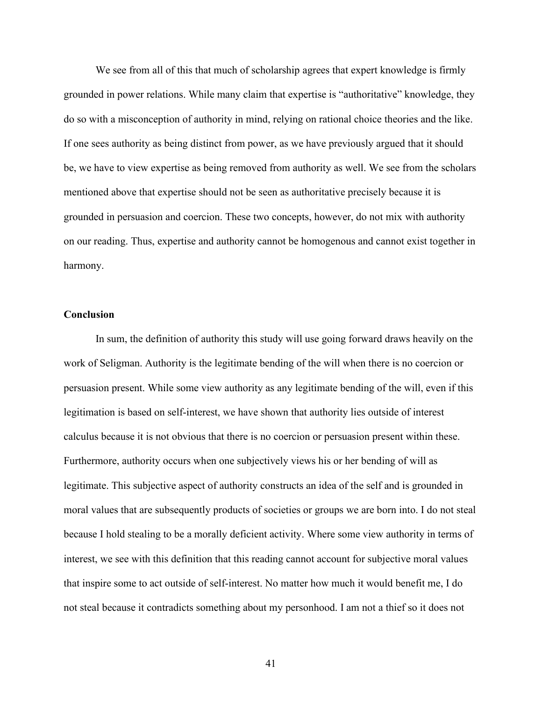We see from all of this that much of scholarship agrees that expert knowledge is firmly grounded in power relations. While many claim that expertise is "authoritative" knowledge, they do so with a misconception of authority in mind, relying on rational choice theories and the like. If one sees authority as being distinct from power, as we have previously argued that it should be, we have to view expertise as being removed from authority as well. We see from the scholars mentioned above that expertise should not be seen as authoritative precisely because it is grounded in persuasion and coercion. These two concepts, however, do not mix with authority on our reading. Thus, expertise and authority cannot be homogenous and cannot exist together in harmony.

### **Conclusion**

In sum, the definition of authority this study will use going forward draws heavily on the work of Seligman. Authority is the legitimate bending of the will when there is no coercion or persuasion present. While some view authority as any legitimate bending of the will, even if this legitimation is based on self-interest, we have shown that authority lies outside of interest calculus because it is not obvious that there is no coercion or persuasion present within these. Furthermore, authority occurs when one subjectively views his or her bending of will as legitimate. This subjective aspect of authority constructs an idea of the self and is grounded in moral values that are subsequently products of societies or groups we are born into. I do not steal because I hold stealing to be a morally deficient activity. Where some view authority in terms of interest, we see with this definition that this reading cannot account for subjective moral values that inspire some to act outside of self-interest. No matter how much it would benefit me, I do not steal because it contradicts something about my personhood. I am not a thief so it does not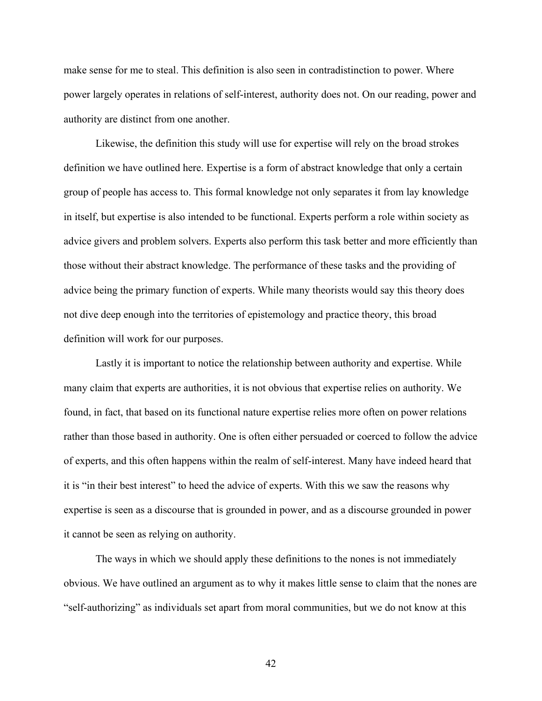make sense for me to steal. This definition is also seen in contradistinction to power. Where power largely operates in relations of self-interest, authority does not. On our reading, power and authority are distinct from one another.

Likewise, the definition this study will use for expertise will rely on the broad strokes definition we have outlined here. Expertise is a form of abstract knowledge that only a certain group of people has access to. This formal knowledge not only separates it from lay knowledge in itself, but expertise is also intended to be functional. Experts perform a role within society as advice givers and problem solvers. Experts also perform this task better and more efficiently than those without their abstract knowledge. The performance of these tasks and the providing of advice being the primary function of experts. While many theorists would say this theory does not dive deep enough into the territories of epistemology and practice theory, this broad definition will work for our purposes.

Lastly it is important to notice the relationship between authority and expertise. While many claim that experts are authorities, it is not obvious that expertise relies on authority. We found, in fact, that based on its functional nature expertise relies more often on power relations rather than those based in authority. One is often either persuaded or coerced to follow the advice of experts, and this often happens within the realm of self-interest. Many have indeed heard that it is "in their best interest" to heed the advice of experts. With this we saw the reasons why expertise is seen as a discourse that is grounded in power, and as a discourse grounded in power it cannot be seen as relying on authority.

The ways in which we should apply these definitions to the nones is not immediately obvious. We have outlined an argument as to why it makes little sense to claim that the nones are "self-authorizing" as individuals set apart from moral communities, but we do not know at this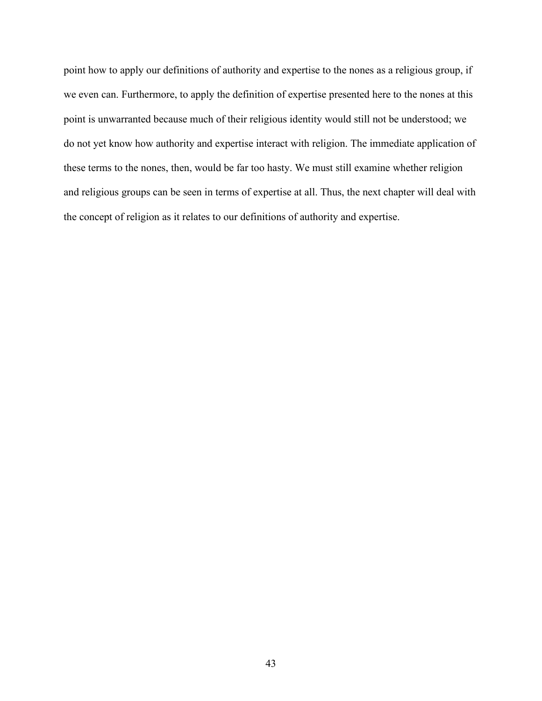point how to apply our definitions of authority and expertise to the nones as a religious group, if we even can. Furthermore, to apply the definition of expertise presented here to the nones at this point is unwarranted because much of their religious identity would still not be understood; we do not yet know how authority and expertise interact with religion. The immediate application of these terms to the nones, then, would be far too hasty. We must still examine whether religion and religious groups can be seen in terms of expertise at all. Thus, the next chapter will deal with the concept of religion as it relates to our definitions of authority and expertise.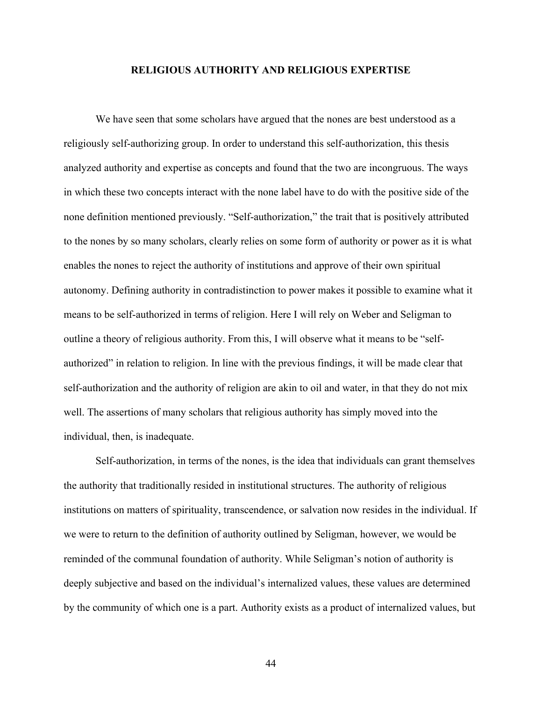## **RELIGIOUS AUTHORITY AND RELIGIOUS EXPERTISE**

We have seen that some scholars have argued that the nones are best understood as a religiously self-authorizing group. In order to understand this self-authorization, this thesis analyzed authority and expertise as concepts and found that the two are incongruous. The ways in which these two concepts interact with the none label have to do with the positive side of the none definition mentioned previously. "Self-authorization," the trait that is positively attributed to the nones by so many scholars, clearly relies on some form of authority or power as it is what enables the nones to reject the authority of institutions and approve of their own spiritual autonomy. Defining authority in contradistinction to power makes it possible to examine what it means to be self-authorized in terms of religion. Here I will rely on Weber and Seligman to outline a theory of religious authority. From this, I will observe what it means to be "selfauthorized" in relation to religion. In line with the previous findings, it will be made clear that self-authorization and the authority of religion are akin to oil and water, in that they do not mix well. The assertions of many scholars that religious authority has simply moved into the individual, then, is inadequate.

Self-authorization, in terms of the nones, is the idea that individuals can grant themselves the authority that traditionally resided in institutional structures. The authority of religious institutions on matters of spirituality, transcendence, or salvation now resides in the individual. If we were to return to the definition of authority outlined by Seligman, however, we would be reminded of the communal foundation of authority. While Seligman's notion of authority is deeply subjective and based on the individual's internalized values, these values are determined by the community of which one is a part. Authority exists as a product of internalized values, but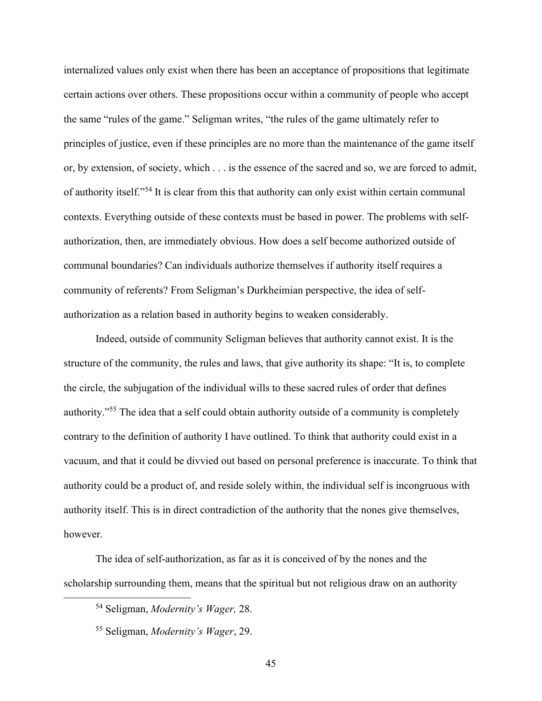internalized values only exist when there has been an acceptance of propositions that legitimate certain actions over others. These propositions occur within a community of people who accept the same "rules of the game." Seligman writes, "the rules of the game ultimately refer to principles of justice, even if these principles are no more than the maintenance of the game itself or, by extension, of society, which . . . is the essence of the sacred and so, we are forced to admit, of authority itself."<sup>54</sup> It is clear from this that authority can only exist within certain communal contexts. Everything outside of these contexts must be based in power. The problems with selfauthorization, then, are immediately obvious. How does a self become authorized outside of communal boundaries? Can individuals authorize themselves if authority itself requires a community of referents? From Seligman's Durkheimian perspective, the idea of selfauthorization as a relation based in authority begins to weaken considerably.

Indeed, outside of community Seligman believes that authority cannot exist. It is the structure of the community, the rules and laws, that give authority its shape: "It is, to complete the circle, the subjugation of the individual wills to these sacred rules of order that defines authority."<sup>55</sup> The idea that a self could obtain authority outside of a community is completely contrary to the definition of authority I have outlined. To think that authority could exist in a vacuum, and that it could be divvied out based on personal preference is inaccurate. To think that authority could be a product of, and reside solely within, the individual self is incongruous with authority itself. This is in direct contradiction of the authority that the nones give themselves, however.

The idea of self-authorization, as far as it is conceived of by the nones and the scholarship surrounding them, means that the spiritual but not religious draw on an authority

<sup>54</sup> Seligman, *Modernity's Wager,* 28.

<sup>55</sup> Seligman, *Modernity's Wager*, 29.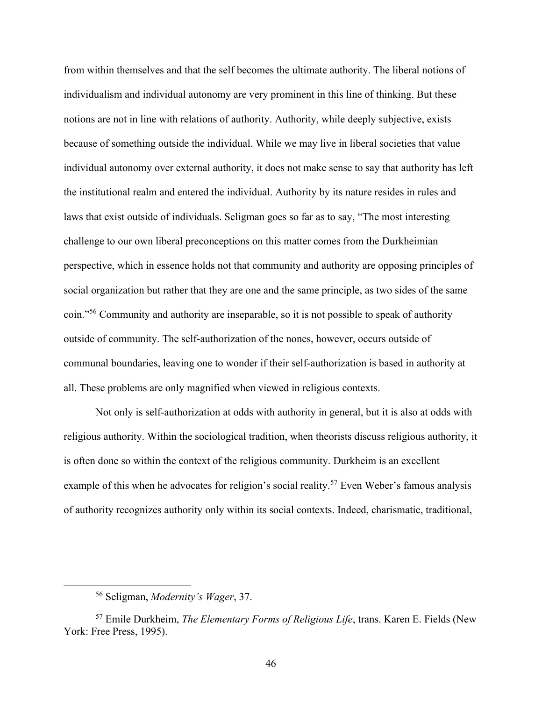from within themselves and that the self becomes the ultimate authority. The liberal notions of individualism and individual autonomy are very prominent in this line of thinking. But these notions are not in line with relations of authority. Authority, while deeply subjective, exists because of something outside the individual. While we may live in liberal societies that value individual autonomy over external authority, it does not make sense to say that authority has left the institutional realm and entered the individual. Authority by its nature resides in rules and laws that exist outside of individuals. Seligman goes so far as to say, "The most interesting challenge to our own liberal preconceptions on this matter comes from the Durkheimian perspective, which in essence holds not that community and authority are opposing principles of social organization but rather that they are one and the same principle, as two sides of the same coin."<sup>56</sup> Community and authority are inseparable, so it is not possible to speak of authority outside of community. The self-authorization of the nones, however, occurs outside of communal boundaries, leaving one to wonder if their self-authorization is based in authority at all. These problems are only magnified when viewed in religious contexts.

Not only is self-authorization at odds with authority in general, but it is also at odds with religious authority. Within the sociological tradition, when theorists discuss religious authority, it is often done so within the context of the religious community. Durkheim is an excellent example of this when he advocates for religion's social reality.<sup>57</sup> Even Weber's famous analysis of authority recognizes authority only within its social contexts. Indeed, charismatic, traditional,

<sup>56</sup> Seligman, *Modernity's Wager*, 37.

<sup>57</sup> Emile Durkheim, *The Elementary Forms of Religious Life*, trans. Karen E. Fields (New York: Free Press, 1995).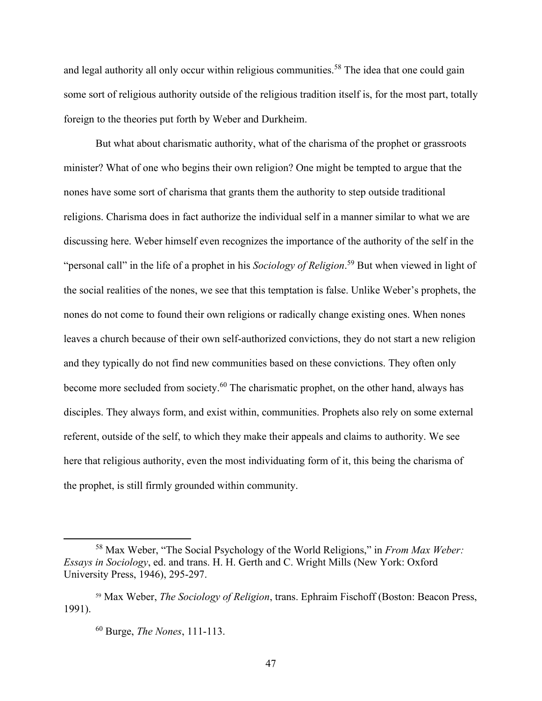and legal authority all only occur within religious communities.<sup>58</sup> The idea that one could gain some sort of religious authority outside of the religious tradition itself is, for the most part, totally foreign to the theories put forth by Weber and Durkheim.

But what about charismatic authority, what of the charisma of the prophet or grassroots minister? What of one who begins their own religion? One might be tempted to argue that the nones have some sort of charisma that grants them the authority to step outside traditional religions. Charisma does in fact authorize the individual self in a manner similar to what we are discussing here. Weber himself even recognizes the importance of the authority of the self in the "personal call" in the life of a prophet in his *Sociology of Religion*. <sup>59</sup> But when viewed in light of the social realities of the nones, we see that this temptation is false. Unlike Weber's prophets, the nones do not come to found their own religions or radically change existing ones. When nones leaves a church because of their own self-authorized convictions, they do not start a new religion and they typically do not find new communities based on these convictions. They often only become more secluded from society.<sup>60</sup> The charismatic prophet, on the other hand, always has disciples. They always form, and exist within, communities. Prophets also rely on some external referent, outside of the self, to which they make their appeals and claims to authority. We see here that religious authority, even the most individuating form of it, this being the charisma of the prophet, is still firmly grounded within community.

<sup>58</sup> Max Weber, "The Social Psychology of the World Religions," in *From Max Weber: Essays in Sociology*, ed. and trans. H. H. Gerth and C. Wright Mills (New York: Oxford University Press, 1946), 295-297.

<sup>59</sup> Max Weber, *The Sociology of Religion*, trans. Ephraim Fischoff (Boston: Beacon Press, 1991).

<sup>60</sup> Burge, *The Nones*, 111-113.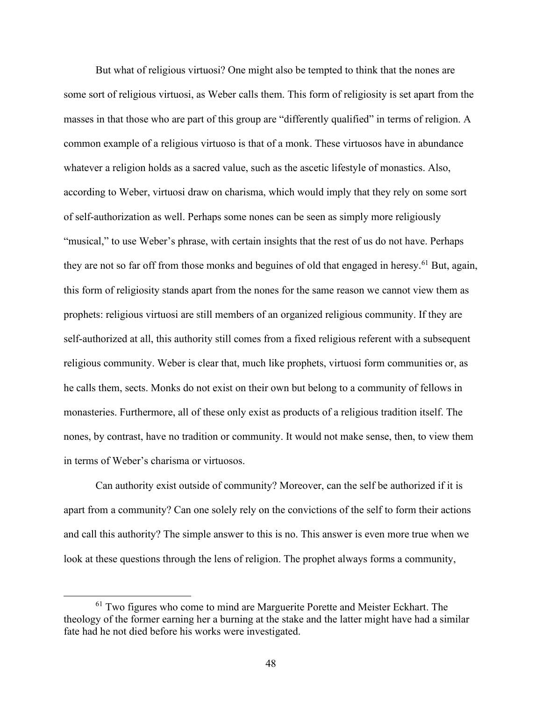But what of religious virtuosi? One might also be tempted to think that the nones are some sort of religious virtuosi, as Weber calls them. This form of religiosity is set apart from the masses in that those who are part of this group are "differently qualified" in terms of religion. A common example of a religious virtuoso is that of a monk. These virtuosos have in abundance whatever a religion holds as a sacred value, such as the ascetic lifestyle of monastics. Also, according to Weber, virtuosi draw on charisma, which would imply that they rely on some sort of self-authorization as well. Perhaps some nones can be seen as simply more religiously "musical," to use Weber's phrase, with certain insights that the rest of us do not have. Perhaps they are not so far off from those monks and beguines of old that engaged in heresy.<sup>61</sup> But, again, this form of religiosity stands apart from the nones for the same reason we cannot view them as prophets: religious virtuosi are still members of an organized religious community. If they are self-authorized at all, this authority still comes from a fixed religious referent with a subsequent religious community. Weber is clear that, much like prophets, virtuosi form communities or, as he calls them, sects. Monks do not exist on their own but belong to a community of fellows in monasteries. Furthermore, all of these only exist as products of a religious tradition itself. The nones, by contrast, have no tradition or community. It would not make sense, then, to view them in terms of Weber's charisma or virtuosos.

Can authority exist outside of community? Moreover, can the self be authorized if it is apart from a community? Can one solely rely on the convictions of the self to form their actions and call this authority? The simple answer to this is no. This answer is even more true when we look at these questions through the lens of religion. The prophet always forms a community,

 $61$  Two figures who come to mind are Marguerite Porette and Meister Eckhart. The theology of the former earning her a burning at the stake and the latter might have had a similar fate had he not died before his works were investigated.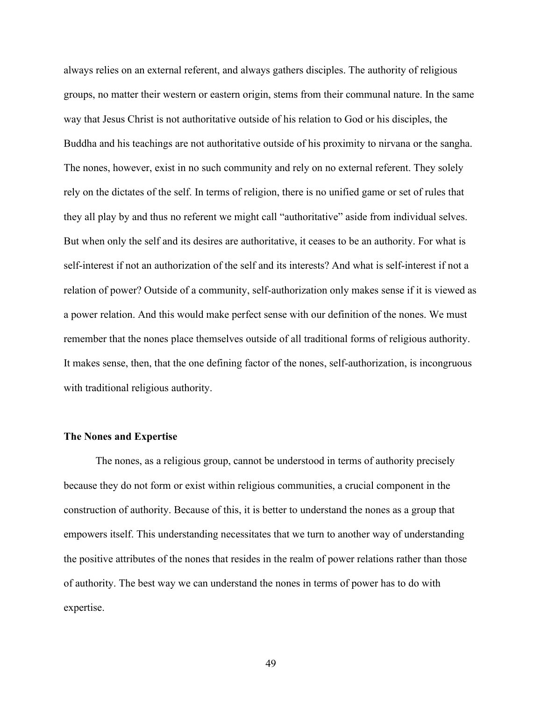always relies on an external referent, and always gathers disciples. The authority of religious groups, no matter their western or eastern origin, stems from their communal nature. In the same way that Jesus Christ is not authoritative outside of his relation to God or his disciples, the Buddha and his teachings are not authoritative outside of his proximity to nirvana or the sangha. The nones, however, exist in no such community and rely on no external referent. They solely rely on the dictates of the self. In terms of religion, there is no unified game or set of rules that they all play by and thus no referent we might call "authoritative" aside from individual selves. But when only the self and its desires are authoritative, it ceases to be an authority. For what is self-interest if not an authorization of the self and its interests? And what is self-interest if not a relation of power? Outside of a community, self-authorization only makes sense if it is viewed as a power relation. And this would make perfect sense with our definition of the nones. We must remember that the nones place themselves outside of all traditional forms of religious authority. It makes sense, then, that the one defining factor of the nones, self-authorization, is incongruous with traditional religious authority.

### **The Nones and Expertise**

The nones, as a religious group, cannot be understood in terms of authority precisely because they do not form or exist within religious communities, a crucial component in the construction of authority. Because of this, it is better to understand the nones as a group that empowers itself. This understanding necessitates that we turn to another way of understanding the positive attributes of the nones that resides in the realm of power relations rather than those of authority. The best way we can understand the nones in terms of power has to do with expertise.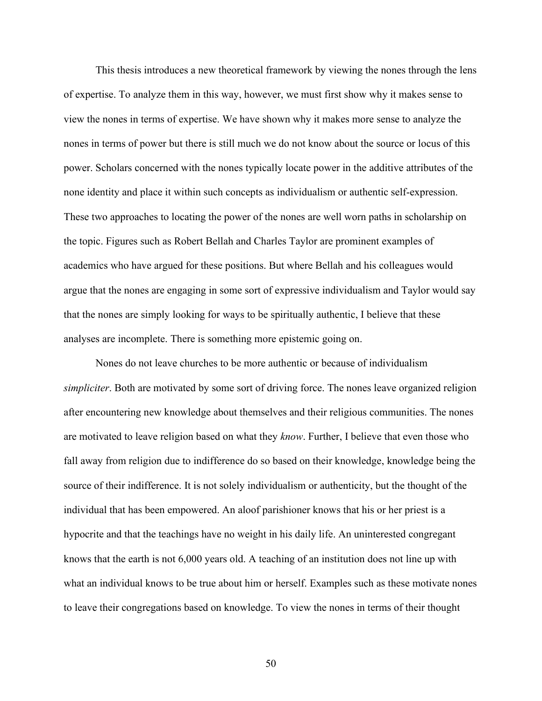This thesis introduces a new theoretical framework by viewing the nones through the lens of expertise. To analyze them in this way, however, we must first show why it makes sense to view the nones in terms of expertise. We have shown why it makes more sense to analyze the nones in terms of power but there is still much we do not know about the source or locus of this power. Scholars concerned with the nones typically locate power in the additive attributes of the none identity and place it within such concepts as individualism or authentic self-expression. These two approaches to locating the power of the nones are well worn paths in scholarship on the topic. Figures such as Robert Bellah and Charles Taylor are prominent examples of academics who have argued for these positions. But where Bellah and his colleagues would argue that the nones are engaging in some sort of expressive individualism and Taylor would say that the nones are simply looking for ways to be spiritually authentic, I believe that these analyses are incomplete. There is something more epistemic going on.

Nones do not leave churches to be more authentic or because of individualism *simpliciter*. Both are motivated by some sort of driving force. The nones leave organized religion after encountering new knowledge about themselves and their religious communities. The nones are motivated to leave religion based on what they *know*. Further, I believe that even those who fall away from religion due to indifference do so based on their knowledge, knowledge being the source of their indifference. It is not solely individualism or authenticity, but the thought of the individual that has been empowered. An aloof parishioner knows that his or her priest is a hypocrite and that the teachings have no weight in his daily life. An uninterested congregant knows that the earth is not 6,000 years old. A teaching of an institution does not line up with what an individual knows to be true about him or herself. Examples such as these motivate nones to leave their congregations based on knowledge. To view the nones in terms of their thought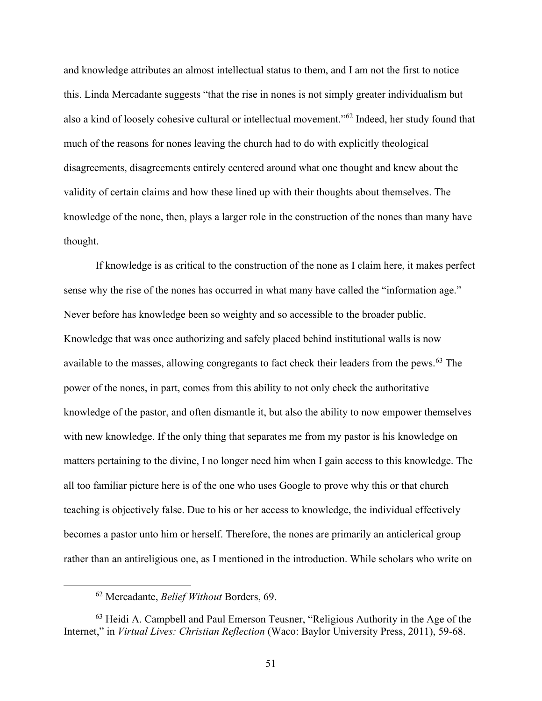and knowledge attributes an almost intellectual status to them, and I am not the first to notice this. Linda Mercadante suggests "that the rise in nones is not simply greater individualism but also a kind of loosely cohesive cultural or intellectual movement."<sup>62</sup> Indeed, her study found that much of the reasons for nones leaving the church had to do with explicitly theological disagreements, disagreements entirely centered around what one thought and knew about the validity of certain claims and how these lined up with their thoughts about themselves. The knowledge of the none, then, plays a larger role in the construction of the nones than many have thought.

If knowledge is as critical to the construction of the none as I claim here, it makes perfect sense why the rise of the nones has occurred in what many have called the "information age." Never before has knowledge been so weighty and so accessible to the broader public. Knowledge that was once authorizing and safely placed behind institutional walls is now available to the masses, allowing congregants to fact check their leaders from the pews.<sup>63</sup> The power of the nones, in part, comes from this ability to not only check the authoritative knowledge of the pastor, and often dismantle it, but also the ability to now empower themselves with new knowledge. If the only thing that separates me from my pastor is his knowledge on matters pertaining to the divine, I no longer need him when I gain access to this knowledge. The all too familiar picture here is of the one who uses Google to prove why this or that church teaching is objectively false. Due to his or her access to knowledge, the individual effectively becomes a pastor unto him or herself. Therefore, the nones are primarily an anticlerical group rather than an antireligious one, as I mentioned in the introduction. While scholars who write on

<sup>62</sup> Mercadante, *Belief Without* Borders, 69.

<sup>63</sup> Heidi A. Campbell and Paul Emerson Teusner, "Religious Authority in the Age of the Internet," in *Virtual Lives: Christian Reflection* (Waco: Baylor University Press, 2011), 59-68.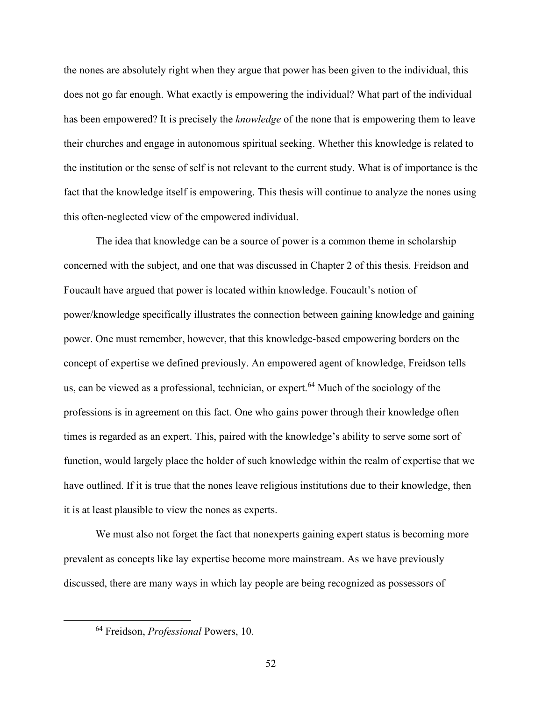the nones are absolutely right when they argue that power has been given to the individual, this does not go far enough. What exactly is empowering the individual? What part of the individual has been empowered? It is precisely the *knowledge* of the none that is empowering them to leave their churches and engage in autonomous spiritual seeking. Whether this knowledge is related to the institution or the sense of self is not relevant to the current study. What is of importance is the fact that the knowledge itself is empowering. This thesis will continue to analyze the nones using this often-neglected view of the empowered individual.

The idea that knowledge can be a source of power is a common theme in scholarship concerned with the subject, and one that was discussed in Chapter 2 of this thesis. Freidson and Foucault have argued that power is located within knowledge. Foucault's notion of power/knowledge specifically illustrates the connection between gaining knowledge and gaining power. One must remember, however, that this knowledge-based empowering borders on the concept of expertise we defined previously. An empowered agent of knowledge, Freidson tells us, can be viewed as a professional, technician, or expert.<sup>64</sup> Much of the sociology of the professions is in agreement on this fact. One who gains power through their knowledge often times is regarded as an expert. This, paired with the knowledge's ability to serve some sort of function, would largely place the holder of such knowledge within the realm of expertise that we have outlined. If it is true that the nones leave religious institutions due to their knowledge, then it is at least plausible to view the nones as experts.

We must also not forget the fact that nonexperts gaining expert status is becoming more prevalent as concepts like lay expertise become more mainstream. As we have previously discussed, there are many ways in which lay people are being recognized as possessors of

<sup>64</sup> Freidson, *Professional* Powers, 10.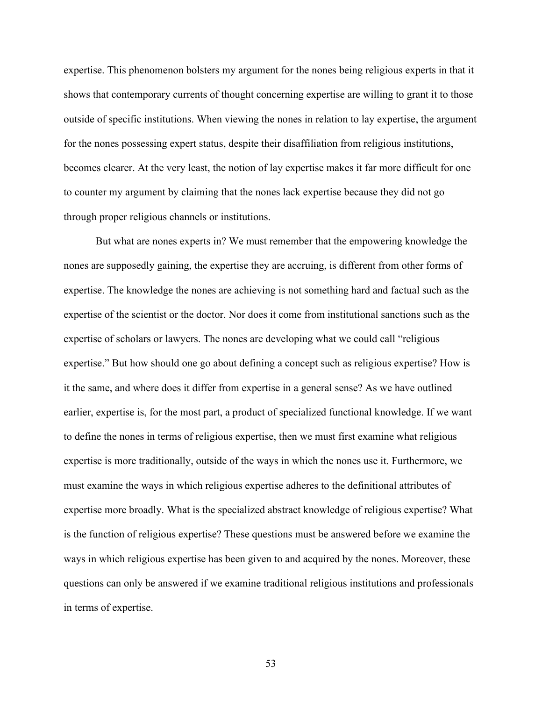expertise. This phenomenon bolsters my argument for the nones being religious experts in that it shows that contemporary currents of thought concerning expertise are willing to grant it to those outside of specific institutions. When viewing the nones in relation to lay expertise, the argument for the nones possessing expert status, despite their disaffiliation from religious institutions, becomes clearer. At the very least, the notion of lay expertise makes it far more difficult for one to counter my argument by claiming that the nones lack expertise because they did not go through proper religious channels or institutions.

But what are nones experts in? We must remember that the empowering knowledge the nones are supposedly gaining, the expertise they are accruing, is different from other forms of expertise. The knowledge the nones are achieving is not something hard and factual such as the expertise of the scientist or the doctor. Nor does it come from institutional sanctions such as the expertise of scholars or lawyers. The nones are developing what we could call "religious expertise." But how should one go about defining a concept such as religious expertise? How is it the same, and where does it differ from expertise in a general sense? As we have outlined earlier, expertise is, for the most part, a product of specialized functional knowledge. If we want to define the nones in terms of religious expertise, then we must first examine what religious expertise is more traditionally, outside of the ways in which the nones use it. Furthermore, we must examine the ways in which religious expertise adheres to the definitional attributes of expertise more broadly. What is the specialized abstract knowledge of religious expertise? What is the function of religious expertise? These questions must be answered before we examine the ways in which religious expertise has been given to and acquired by the nones. Moreover, these questions can only be answered if we examine traditional religious institutions and professionals in terms of expertise.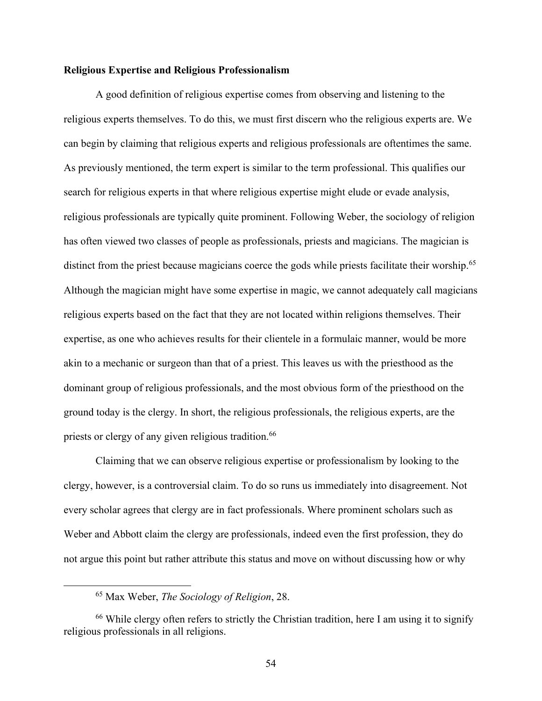# **Religious Expertise and Religious Professionalism**

A good definition of religious expertise comes from observing and listening to the religious experts themselves. To do this, we must first discern who the religious experts are. We can begin by claiming that religious experts and religious professionals are oftentimes the same. As previously mentioned, the term expert is similar to the term professional. This qualifies our search for religious experts in that where religious expertise might elude or evade analysis, religious professionals are typically quite prominent. Following Weber, the sociology of religion has often viewed two classes of people as professionals, priests and magicians. The magician is distinct from the priest because magicians coerce the gods while priests facilitate their worship.<sup>65</sup> Although the magician might have some expertise in magic, we cannot adequately call magicians religious experts based on the fact that they are not located within religions themselves. Their expertise, as one who achieves results for their clientele in a formulaic manner, would be more akin to a mechanic or surgeon than that of a priest. This leaves us with the priesthood as the dominant group of religious professionals, and the most obvious form of the priesthood on the ground today is the clergy. In short, the religious professionals, the religious experts, are the priests or clergy of any given religious tradition.<sup>66</sup>

Claiming that we can observe religious expertise or professionalism by looking to the clergy, however, is a controversial claim. To do so runs us immediately into disagreement. Not every scholar agrees that clergy are in fact professionals. Where prominent scholars such as Weber and Abbott claim the clergy are professionals, indeed even the first profession, they do not argue this point but rather attribute this status and move on without discussing how or why

<sup>65</sup> Max Weber, *The Sociology of Religion*, 28.

<sup>&</sup>lt;sup>66</sup> While clergy often refers to strictly the Christian tradition, here I am using it to signify religious professionals in all religions.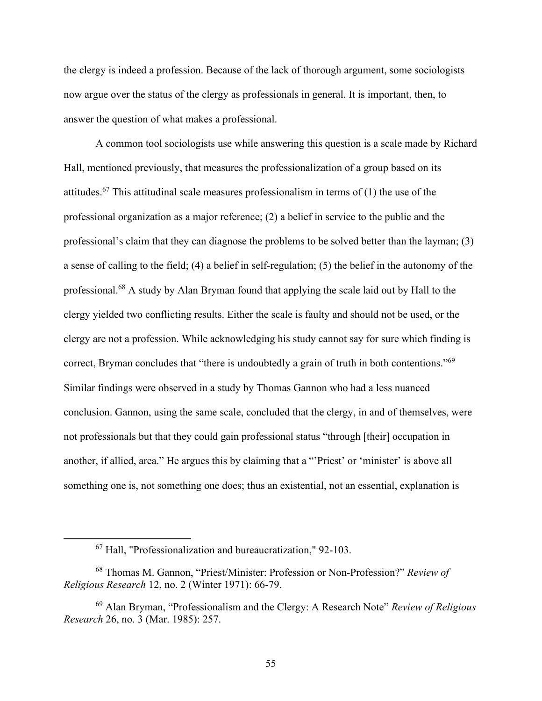the clergy is indeed a profession. Because of the lack of thorough argument, some sociologists now argue over the status of the clergy as professionals in general. It is important, then, to answer the question of what makes a professional.

A common tool sociologists use while answering this question is a scale made by Richard Hall, mentioned previously, that measures the professionalization of a group based on its attitudes.<sup>67</sup> This attitudinal scale measures professionalism in terms of (1) the use of the professional organization as a major reference; (2) a belief in service to the public and the professional's claim that they can diagnose the problems to be solved better than the layman; (3) a sense of calling to the field; (4) a belief in self-regulation; (5) the belief in the autonomy of the professional.<sup>68</sup> A study by Alan Bryman found that applying the scale laid out by Hall to the clergy yielded two conflicting results. Either the scale is faulty and should not be used, or the clergy are not a profession. While acknowledging his study cannot say for sure which finding is correct, Bryman concludes that "there is undoubtedly a grain of truth in both contentions."<sup>69</sup> Similar findings were observed in a study by Thomas Gannon who had a less nuanced conclusion. Gannon, using the same scale, concluded that the clergy, in and of themselves, were not professionals but that they could gain professional status "through [their] occupation in another, if allied, area." He argues this by claiming that a "'Priest' or 'minister' is above all something one is, not something one does; thus an existential, not an essential, explanation is

<sup>67</sup> Hall, "Professionalization and bureaucratization," 92-103.

<sup>68</sup> Thomas M. Gannon, "Priest/Minister: Profession or Non-Profession?" *Review of Religious Research* 12, no. 2 (Winter 1971): 66-79.

<sup>69</sup> Alan Bryman, "Professionalism and the Clergy: A Research Note" *Review of Religious Research* 26, no. 3 (Mar. 1985): 257.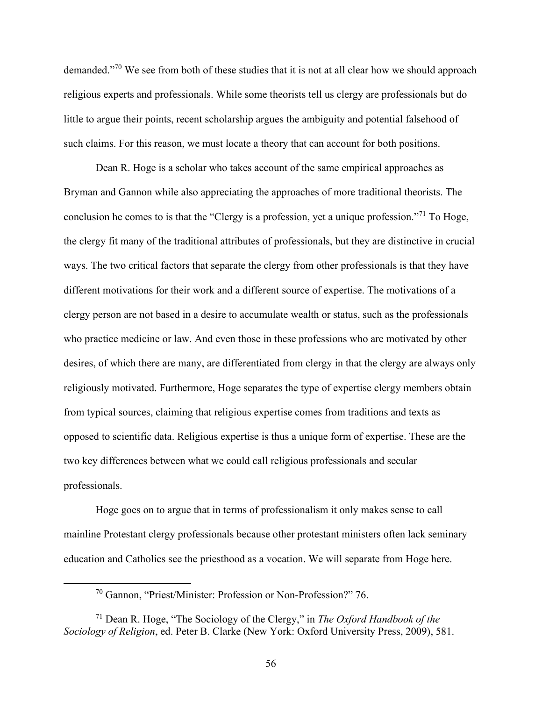demanded."<sup>70</sup> We see from both of these studies that it is not at all clear how we should approach religious experts and professionals. While some theorists tell us clergy are professionals but do little to argue their points, recent scholarship argues the ambiguity and potential falsehood of such claims. For this reason, we must locate a theory that can account for both positions.

Dean R. Hoge is a scholar who takes account of the same empirical approaches as Bryman and Gannon while also appreciating the approaches of more traditional theorists. The conclusion he comes to is that the "Clergy is a profession, yet a unique profession."<sup>71</sup> To Hoge, the clergy fit many of the traditional attributes of professionals, but they are distinctive in crucial ways. The two critical factors that separate the clergy from other professionals is that they have different motivations for their work and a different source of expertise. The motivations of a clergy person are not based in a desire to accumulate wealth or status, such as the professionals who practice medicine or law. And even those in these professions who are motivated by other desires, of which there are many, are differentiated from clergy in that the clergy are always only religiously motivated. Furthermore, Hoge separates the type of expertise clergy members obtain from typical sources, claiming that religious expertise comes from traditions and texts as opposed to scientific data. Religious expertise is thus a unique form of expertise. These are the two key differences between what we could call religious professionals and secular professionals.

Hoge goes on to argue that in terms of professionalism it only makes sense to call mainline Protestant clergy professionals because other protestant ministers often lack seminary education and Catholics see the priesthood as a vocation. We will separate from Hoge here.

<sup>70</sup> Gannon, "Priest/Minister: Profession or Non-Profession?" 76.

<sup>71</sup> Dean R. Hoge, "The Sociology of the Clergy," in *The Oxford Handbook of the Sociology of Religion*, ed. Peter B. Clarke (New York: Oxford University Press, 2009), 581.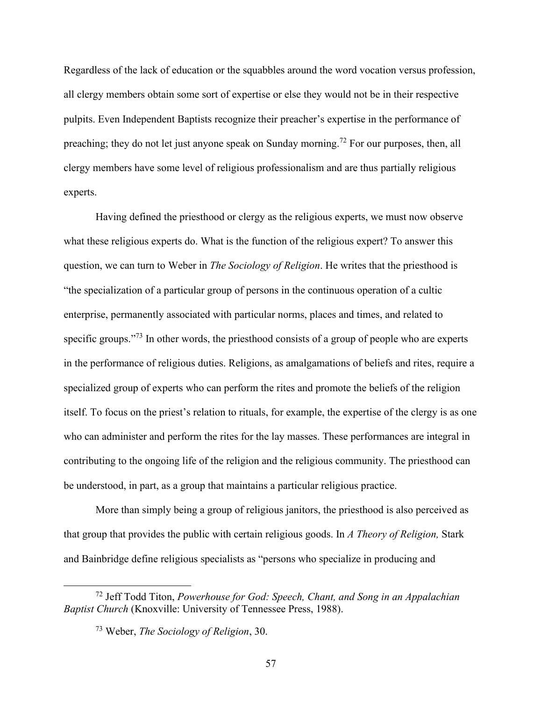Regardless of the lack of education or the squabbles around the word vocation versus profession, all clergy members obtain some sort of expertise or else they would not be in their respective pulpits. Even Independent Baptists recognize their preacher's expertise in the performance of preaching; they do not let just anyone speak on Sunday morning.<sup>72</sup> For our purposes, then, all clergy members have some level of religious professionalism and are thus partially religious experts.

Having defined the priesthood or clergy as the religious experts, we must now observe what these religious experts do. What is the function of the religious expert? To answer this question, we can turn to Weber in *The Sociology of Religion*. He writes that the priesthood is "the specialization of a particular group of persons in the continuous operation of a cultic enterprise, permanently associated with particular norms, places and times, and related to specific groups."<sup>73</sup> In other words, the priesthood consists of a group of people who are experts in the performance of religious duties. Religions, as amalgamations of beliefs and rites, require a specialized group of experts who can perform the rites and promote the beliefs of the religion itself. To focus on the priest's relation to rituals, for example, the expertise of the clergy is as one who can administer and perform the rites for the lay masses. These performances are integral in contributing to the ongoing life of the religion and the religious community. The priesthood can be understood, in part, as a group that maintains a particular religious practice.

More than simply being a group of religious janitors, the priesthood is also perceived as that group that provides the public with certain religious goods. In *A Theory of Religion,* Stark and Bainbridge define religious specialists as "persons who specialize in producing and

<sup>72</sup> Jeff Todd Titon, *Powerhouse for God: Speech, Chant, and Song in an Appalachian Baptist Church* (Knoxville: University of Tennessee Press, 1988).

<sup>73</sup> Weber, *The Sociology of Religion*, 30.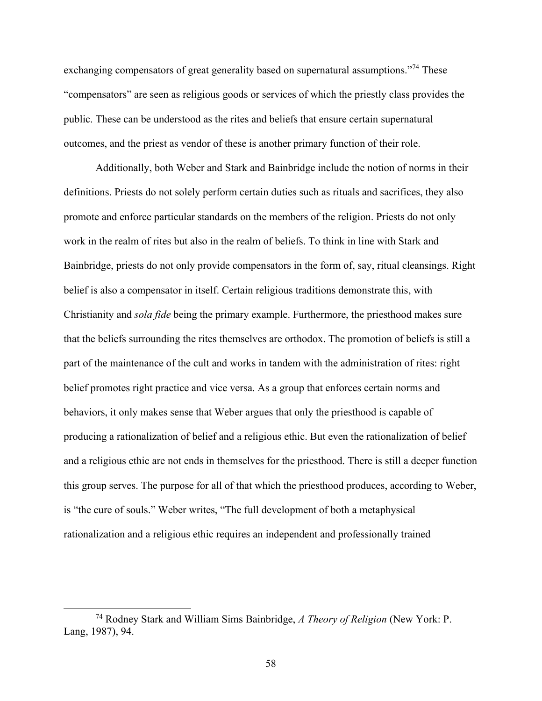exchanging compensators of great generality based on supernatural assumptions."<sup>74</sup> These "compensators" are seen as religious goods or services of which the priestly class provides the public. These can be understood as the rites and beliefs that ensure certain supernatural outcomes, and the priest as vendor of these is another primary function of their role.

Additionally, both Weber and Stark and Bainbridge include the notion of norms in their definitions. Priests do not solely perform certain duties such as rituals and sacrifices, they also promote and enforce particular standards on the members of the religion. Priests do not only work in the realm of rites but also in the realm of beliefs. To think in line with Stark and Bainbridge, priests do not only provide compensators in the form of, say, ritual cleansings. Right belief is also a compensator in itself. Certain religious traditions demonstrate this, with Christianity and *sola fide* being the primary example. Furthermore, the priesthood makes sure that the beliefs surrounding the rites themselves are orthodox. The promotion of beliefs is still a part of the maintenance of the cult and works in tandem with the administration of rites: right belief promotes right practice and vice versa. As a group that enforces certain norms and behaviors, it only makes sense that Weber argues that only the priesthood is capable of producing a rationalization of belief and a religious ethic. But even the rationalization of belief and a religious ethic are not ends in themselves for the priesthood. There is still a deeper function this group serves. The purpose for all of that which the priesthood produces, according to Weber, is "the cure of souls." Weber writes, "The full development of both a metaphysical rationalization and a religious ethic requires an independent and professionally trained

<sup>74</sup> Rodney Stark and William Sims Bainbridge, *A Theory of Religion* (New York: P. Lang, 1987), 94.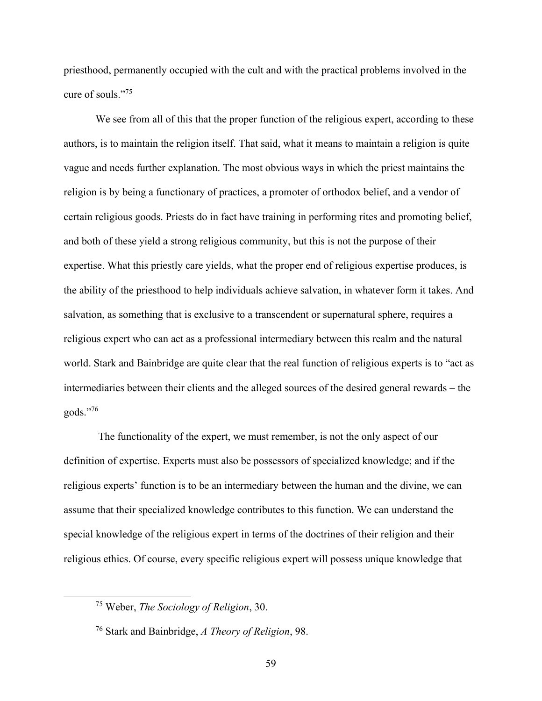priesthood, permanently occupied with the cult and with the practical problems involved in the cure of souls."<sup>75</sup>

We see from all of this that the proper function of the religious expert, according to these authors, is to maintain the religion itself. That said, what it means to maintain a religion is quite vague and needs further explanation. The most obvious ways in which the priest maintains the religion is by being a functionary of practices, a promoter of orthodox belief, and a vendor of certain religious goods. Priests do in fact have training in performing rites and promoting belief, and both of these yield a strong religious community, but this is not the purpose of their expertise. What this priestly care yields, what the proper end of religious expertise produces, is the ability of the priesthood to help individuals achieve salvation, in whatever form it takes. And salvation, as something that is exclusive to a transcendent or supernatural sphere, requires a religious expert who can act as a professional intermediary between this realm and the natural world. Stark and Bainbridge are quite clear that the real function of religious experts is to "act as intermediaries between their clients and the alleged sources of the desired general rewards – the gods."<sup>76</sup>

The functionality of the expert, we must remember, is not the only aspect of our definition of expertise. Experts must also be possessors of specialized knowledge; and if the religious experts' function is to be an intermediary between the human and the divine, we can assume that their specialized knowledge contributes to this function. We can understand the special knowledge of the religious expert in terms of the doctrines of their religion and their religious ethics. Of course, every specific religious expert will possess unique knowledge that

<sup>75</sup> Weber, *The Sociology of Religion*, 30.

<sup>76</sup> Stark and Bainbridge, *A Theory of Religion*, 98.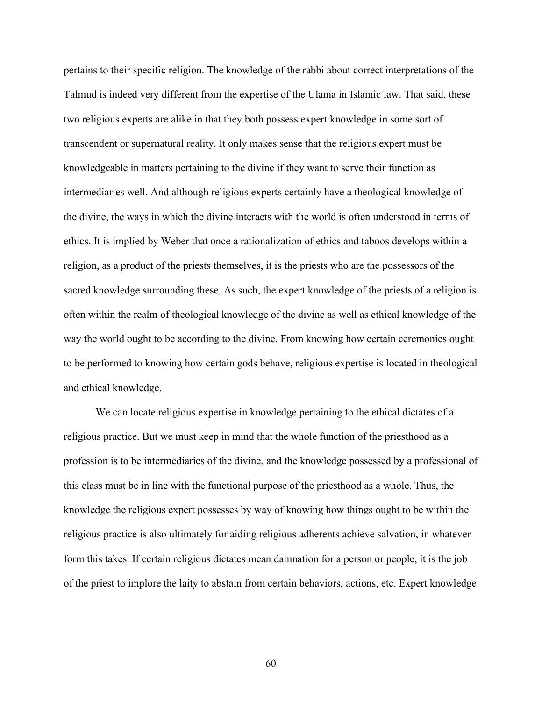pertains to their specific religion. The knowledge of the rabbi about correct interpretations of the Talmud is indeed very different from the expertise of the Ulama in Islamic law. That said, these two religious experts are alike in that they both possess expert knowledge in some sort of transcendent or supernatural reality. It only makes sense that the religious expert must be knowledgeable in matters pertaining to the divine if they want to serve their function as intermediaries well. And although religious experts certainly have a theological knowledge of the divine, the ways in which the divine interacts with the world is often understood in terms of ethics. It is implied by Weber that once a rationalization of ethics and taboos develops within a religion, as a product of the priests themselves, it is the priests who are the possessors of the sacred knowledge surrounding these. As such, the expert knowledge of the priests of a religion is often within the realm of theological knowledge of the divine as well as ethical knowledge of the way the world ought to be according to the divine. From knowing how certain ceremonies ought to be performed to knowing how certain gods behave, religious expertise is located in theological and ethical knowledge.

We can locate religious expertise in knowledge pertaining to the ethical dictates of a religious practice. But we must keep in mind that the whole function of the priesthood as a profession is to be intermediaries of the divine, and the knowledge possessed by a professional of this class must be in line with the functional purpose of the priesthood as a whole. Thus, the knowledge the religious expert possesses by way of knowing how things ought to be within the religious practice is also ultimately for aiding religious adherents achieve salvation, in whatever form this takes. If certain religious dictates mean damnation for a person or people, it is the job of the priest to implore the laity to abstain from certain behaviors, actions, etc. Expert knowledge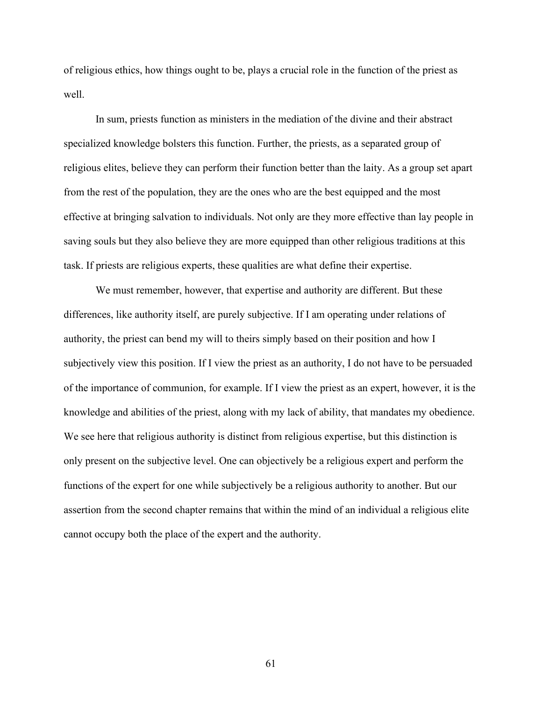of religious ethics, how things ought to be, plays a crucial role in the function of the priest as well.

In sum, priests function as ministers in the mediation of the divine and their abstract specialized knowledge bolsters this function. Further, the priests, as a separated group of religious elites, believe they can perform their function better than the laity. As a group set apart from the rest of the population, they are the ones who are the best equipped and the most effective at bringing salvation to individuals. Not only are they more effective than lay people in saving souls but they also believe they are more equipped than other religious traditions at this task. If priests are religious experts, these qualities are what define their expertise.

We must remember, however, that expertise and authority are different. But these differences, like authority itself, are purely subjective. If I am operating under relations of authority, the priest can bend my will to theirs simply based on their position and how I subjectively view this position. If I view the priest as an authority, I do not have to be persuaded of the importance of communion, for example. If I view the priest as an expert, however, it is the knowledge and abilities of the priest, along with my lack of ability, that mandates my obedience. We see here that religious authority is distinct from religious expertise, but this distinction is only present on the subjective level. One can objectively be a religious expert and perform the functions of the expert for one while subjectively be a religious authority to another. But our assertion from the second chapter remains that within the mind of an individual a religious elite cannot occupy both the place of the expert and the authority.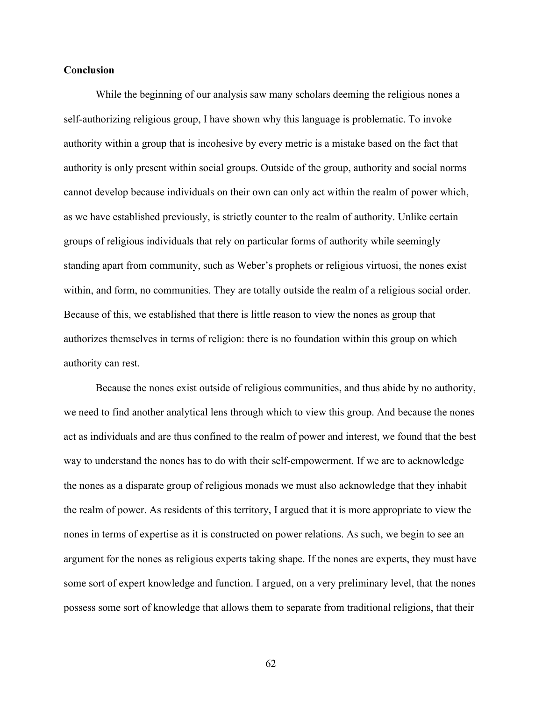## **Conclusion**

While the beginning of our analysis saw many scholars deeming the religious nones a self-authorizing religious group, I have shown why this language is problematic. To invoke authority within a group that is incohesive by every metric is a mistake based on the fact that authority is only present within social groups. Outside of the group, authority and social norms cannot develop because individuals on their own can only act within the realm of power which, as we have established previously, is strictly counter to the realm of authority. Unlike certain groups of religious individuals that rely on particular forms of authority while seemingly standing apart from community, such as Weber's prophets or religious virtuosi, the nones exist within, and form, no communities. They are totally outside the realm of a religious social order. Because of this, we established that there is little reason to view the nones as group that authorizes themselves in terms of religion: there is no foundation within this group on which authority can rest.

Because the nones exist outside of religious communities, and thus abide by no authority, we need to find another analytical lens through which to view this group. And because the nones act as individuals and are thus confined to the realm of power and interest, we found that the best way to understand the nones has to do with their self-empowerment. If we are to acknowledge the nones as a disparate group of religious monads we must also acknowledge that they inhabit the realm of power. As residents of this territory, I argued that it is more appropriate to view the nones in terms of expertise as it is constructed on power relations. As such, we begin to see an argument for the nones as religious experts taking shape. If the nones are experts, they must have some sort of expert knowledge and function. I argued, on a very preliminary level, that the nones possess some sort of knowledge that allows them to separate from traditional religions, that their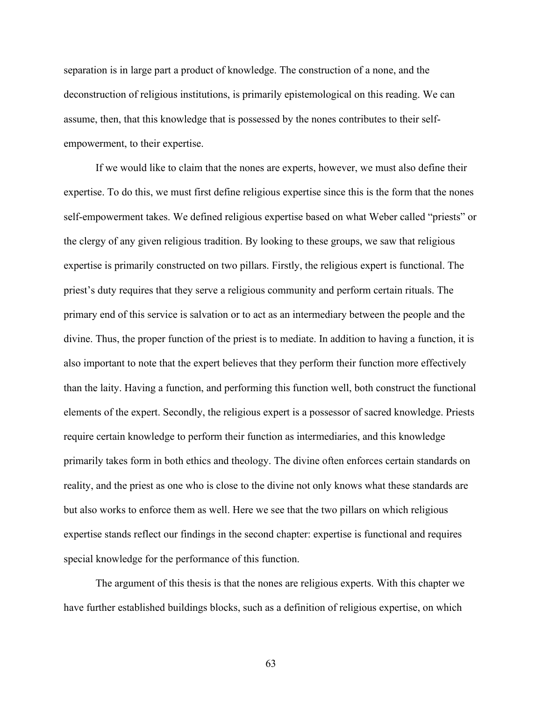separation is in large part a product of knowledge. The construction of a none, and the deconstruction of religious institutions, is primarily epistemological on this reading. We can assume, then, that this knowledge that is possessed by the nones contributes to their selfempowerment, to their expertise.

If we would like to claim that the nones are experts, however, we must also define their expertise. To do this, we must first define religious expertise since this is the form that the nones self-empowerment takes. We defined religious expertise based on what Weber called "priests" or the clergy of any given religious tradition. By looking to these groups, we saw that religious expertise is primarily constructed on two pillars. Firstly, the religious expert is functional. The priest's duty requires that they serve a religious community and perform certain rituals. The primary end of this service is salvation or to act as an intermediary between the people and the divine. Thus, the proper function of the priest is to mediate. In addition to having a function, it is also important to note that the expert believes that they perform their function more effectively than the laity. Having a function, and performing this function well, both construct the functional elements of the expert. Secondly, the religious expert is a possessor of sacred knowledge. Priests require certain knowledge to perform their function as intermediaries, and this knowledge primarily takes form in both ethics and theology. The divine often enforces certain standards on reality, and the priest as one who is close to the divine not only knows what these standards are but also works to enforce them as well. Here we see that the two pillars on which religious expertise stands reflect our findings in the second chapter: expertise is functional and requires special knowledge for the performance of this function.

The argument of this thesis is that the nones are religious experts. With this chapter we have further established buildings blocks, such as a definition of religious expertise, on which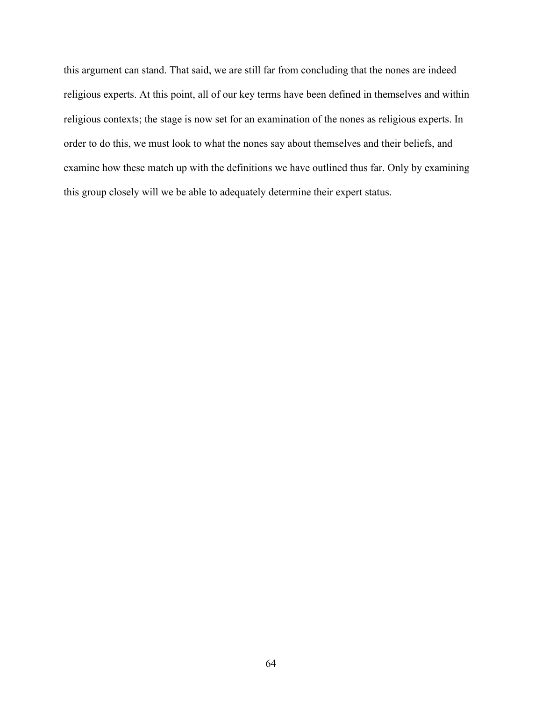this argument can stand. That said, we are still far from concluding that the nones are indeed religious experts. At this point, all of our key terms have been defined in themselves and within religious contexts; the stage is now set for an examination of the nones as religious experts. In order to do this, we must look to what the nones say about themselves and their beliefs, and examine how these match up with the definitions we have outlined thus far. Only by examining this group closely will we be able to adequately determine their expert status.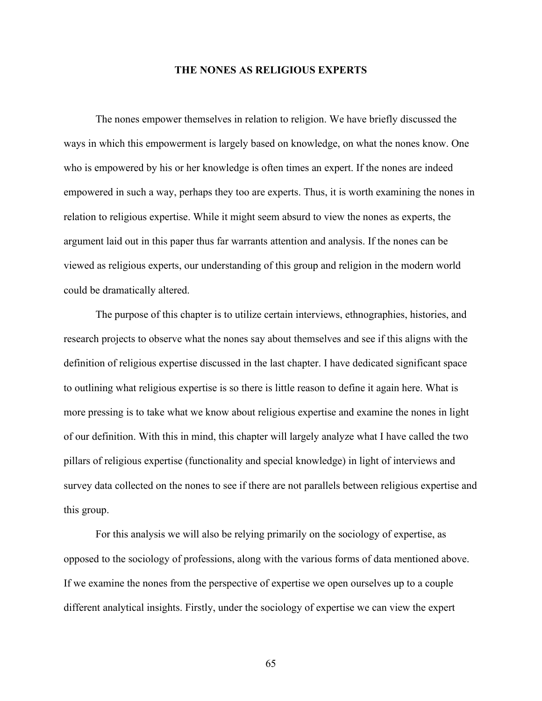### **THE NONES AS RELIGIOUS EXPERTS**

The nones empower themselves in relation to religion. We have briefly discussed the ways in which this empowerment is largely based on knowledge, on what the nones know. One who is empowered by his or her knowledge is often times an expert. If the nones are indeed empowered in such a way, perhaps they too are experts. Thus, it is worth examining the nones in relation to religious expertise. While it might seem absurd to view the nones as experts, the argument laid out in this paper thus far warrants attention and analysis. If the nones can be viewed as religious experts, our understanding of this group and religion in the modern world could be dramatically altered.

The purpose of this chapter is to utilize certain interviews, ethnographies, histories, and research projects to observe what the nones say about themselves and see if this aligns with the definition of religious expertise discussed in the last chapter. I have dedicated significant space to outlining what religious expertise is so there is little reason to define it again here. What is more pressing is to take what we know about religious expertise and examine the nones in light of our definition. With this in mind, this chapter will largely analyze what I have called the two pillars of religious expertise (functionality and special knowledge) in light of interviews and survey data collected on the nones to see if there are not parallels between religious expertise and this group.

For this analysis we will also be relying primarily on the sociology of expertise, as opposed to the sociology of professions, along with the various forms of data mentioned above. If we examine the nones from the perspective of expertise we open ourselves up to a couple different analytical insights. Firstly, under the sociology of expertise we can view the expert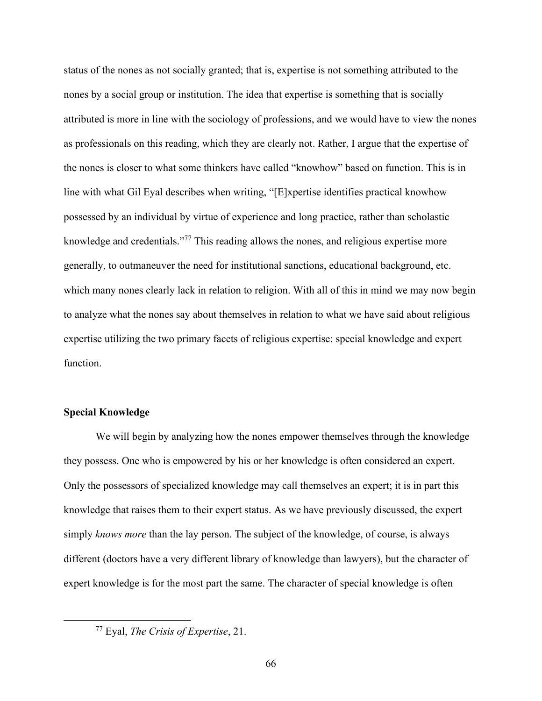status of the nones as not socially granted; that is, expertise is not something attributed to the nones by a social group or institution. The idea that expertise is something that is socially attributed is more in line with the sociology of professions, and we would have to view the nones as professionals on this reading, which they are clearly not. Rather, I argue that the expertise of the nones is closer to what some thinkers have called "knowhow" based on function. This is in line with what Gil Eyal describes when writing, "[E]xpertise identifies practical knowhow possessed by an individual by virtue of experience and long practice, rather than scholastic knowledge and credentials."<sup>77</sup> This reading allows the nones, and religious expertise more generally, to outmaneuver the need for institutional sanctions, educational background, etc. which many nones clearly lack in relation to religion. With all of this in mind we may now begin to analyze what the nones say about themselves in relation to what we have said about religious expertise utilizing the two primary facets of religious expertise: special knowledge and expert function.

## **Special Knowledge**

We will begin by analyzing how the nones empower themselves through the knowledge they possess. One who is empowered by his or her knowledge is often considered an expert. Only the possessors of specialized knowledge may call themselves an expert; it is in part this knowledge that raises them to their expert status. As we have previously discussed, the expert simply *knows more* than the lay person. The subject of the knowledge, of course, is always different (doctors have a very different library of knowledge than lawyers), but the character of expert knowledge is for the most part the same. The character of special knowledge is often

<sup>77</sup> Eyal, *The Crisis of Expertise*, 21.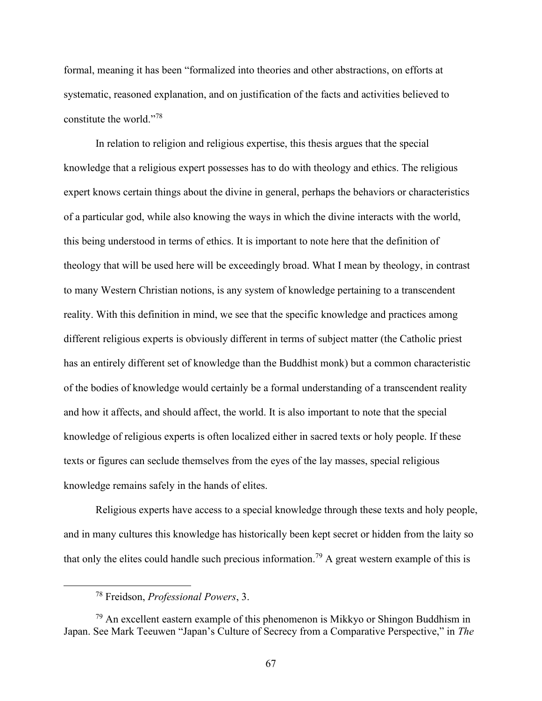formal, meaning it has been "formalized into theories and other abstractions, on efforts at systematic, reasoned explanation, and on justification of the facts and activities believed to constitute the world."<sup>78</sup>

In relation to religion and religious expertise, this thesis argues that the special knowledge that a religious expert possesses has to do with theology and ethics. The religious expert knows certain things about the divine in general, perhaps the behaviors or characteristics of a particular god, while also knowing the ways in which the divine interacts with the world, this being understood in terms of ethics. It is important to note here that the definition of theology that will be used here will be exceedingly broad. What I mean by theology, in contrast to many Western Christian notions, is any system of knowledge pertaining to a transcendent reality. With this definition in mind, we see that the specific knowledge and practices among different religious experts is obviously different in terms of subject matter (the Catholic priest has an entirely different set of knowledge than the Buddhist monk) but a common characteristic of the bodies of knowledge would certainly be a formal understanding of a transcendent reality and how it affects, and should affect, the world. It is also important to note that the special knowledge of religious experts is often localized either in sacred texts or holy people. If these texts or figures can seclude themselves from the eyes of the lay masses, special religious knowledge remains safely in the hands of elites.

Religious experts have access to a special knowledge through these texts and holy people, and in many cultures this knowledge has historically been kept secret or hidden from the laity so that only the elites could handle such precious information.<sup>79</sup> A great western example of this is

<sup>78</sup> Freidson, *Professional Powers*, 3.

 $79$  An excellent eastern example of this phenomenon is Mikkyo or Shingon Buddhism in Japan. See Mark Teeuwen "Japan's Culture of Secrecy from a Comparative Perspective," in *The*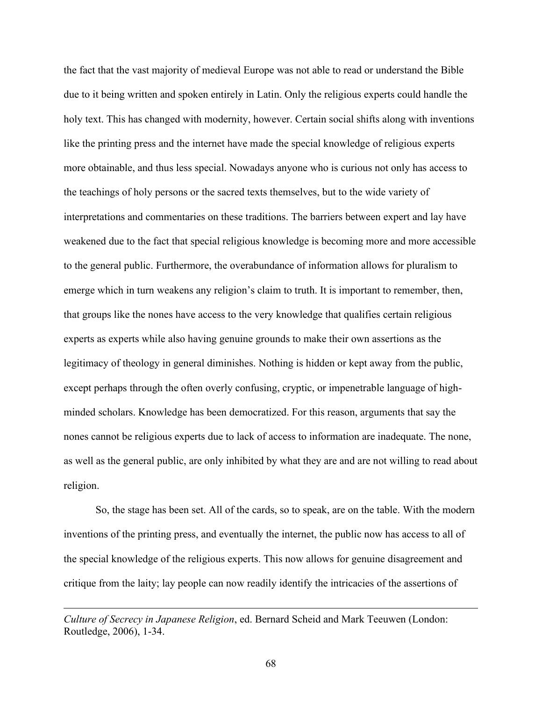the fact that the vast majority of medieval Europe was not able to read or understand the Bible due to it being written and spoken entirely in Latin. Only the religious experts could handle the holy text. This has changed with modernity, however. Certain social shifts along with inventions like the printing press and the internet have made the special knowledge of religious experts more obtainable, and thus less special. Nowadays anyone who is curious not only has access to the teachings of holy persons or the sacred texts themselves, but to the wide variety of interpretations and commentaries on these traditions. The barriers between expert and lay have weakened due to the fact that special religious knowledge is becoming more and more accessible to the general public. Furthermore, the overabundance of information allows for pluralism to emerge which in turn weakens any religion's claim to truth. It is important to remember, then, that groups like the nones have access to the very knowledge that qualifies certain religious experts as experts while also having genuine grounds to make their own assertions as the legitimacy of theology in general diminishes. Nothing is hidden or kept away from the public, except perhaps through the often overly confusing, cryptic, or impenetrable language of highminded scholars. Knowledge has been democratized. For this reason, arguments that say the nones cannot be religious experts due to lack of access to information are inadequate. The none, as well as the general public, are only inhibited by what they are and are not willing to read about religion.

So, the stage has been set. All of the cards, so to speak, are on the table. With the modern inventions of the printing press, and eventually the internet, the public now has access to all of the special knowledge of the religious experts. This now allows for genuine disagreement and critique from the laity; lay people can now readily identify the intricacies of the assertions of

*Culture of Secrecy in Japanese Religion*, ed. Bernard Scheid and Mark Teeuwen (London: Routledge, 2006), 1-34.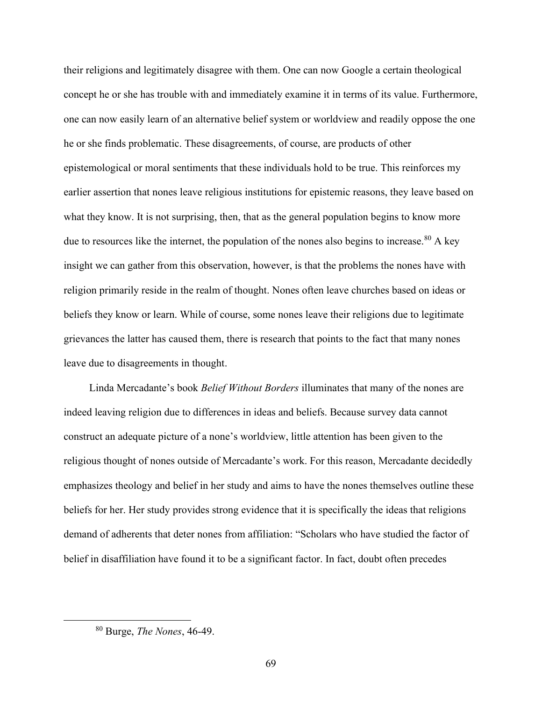their religions and legitimately disagree with them. One can now Google a certain theological concept he or she has trouble with and immediately examine it in terms of its value. Furthermore, one can now easily learn of an alternative belief system or worldview and readily oppose the one he or she finds problematic. These disagreements, of course, are products of other epistemological or moral sentiments that these individuals hold to be true. This reinforces my earlier assertion that nones leave religious institutions for epistemic reasons, they leave based on what they know. It is not surprising, then, that as the general population begins to know more due to resources like the internet, the population of the nones also begins to increase. $80$  A key insight we can gather from this observation, however, is that the problems the nones have with religion primarily reside in the realm of thought. Nones often leave churches based on ideas or beliefs they know or learn. While of course, some nones leave their religions due to legitimate grievances the latter has caused them, there is research that points to the fact that many nones leave due to disagreements in thought.

Linda Mercadante's book *Belief Without Borders* illuminates that many of the nones are indeed leaving religion due to differences in ideas and beliefs. Because survey data cannot construct an adequate picture of a none's worldview, little attention has been given to the religious thought of nones outside of Mercadante's work. For this reason, Mercadante decidedly emphasizes theology and belief in her study and aims to have the nones themselves outline these beliefs for her. Her study provides strong evidence that it is specifically the ideas that religions demand of adherents that deter nones from affiliation: "Scholars who have studied the factor of belief in disaffiliation have found it to be a significant factor. In fact, doubt often precedes

<sup>80</sup> Burge, *The Nones*, 46-49.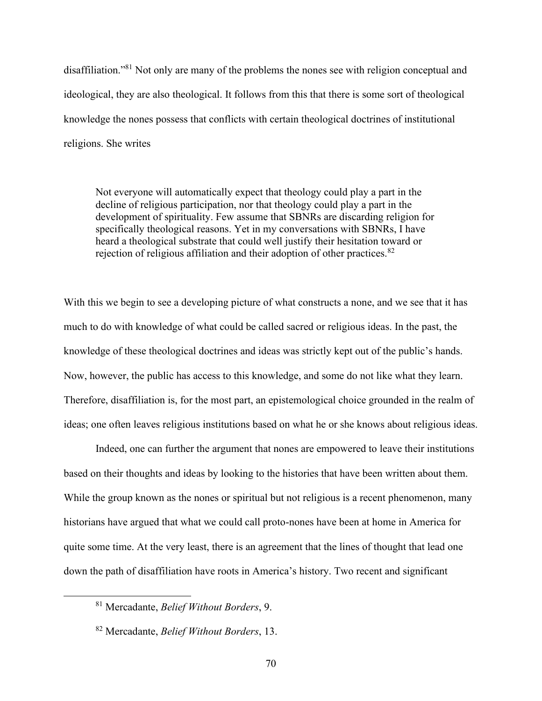disaffiliation."<sup>81</sup> Not only are many of the problems the nones see with religion conceptual and ideological, they are also theological. It follows from this that there is some sort of theological knowledge the nones possess that conflicts with certain theological doctrines of institutional religions. She writes

Not everyone will automatically expect that theology could play a part in the decline of religious participation, nor that theology could play a part in the development of spirituality. Few assume that SBNRs are discarding religion for specifically theological reasons. Yet in my conversations with SBNRs, I have heard a theological substrate that could well justify their hesitation toward or rejection of religious affiliation and their adoption of other practices.  $82$ 

With this we begin to see a developing picture of what constructs a none, and we see that it has much to do with knowledge of what could be called sacred or religious ideas. In the past, the knowledge of these theological doctrines and ideas was strictly kept out of the public's hands. Now, however, the public has access to this knowledge, and some do not like what they learn. Therefore, disaffiliation is, for the most part, an epistemological choice grounded in the realm of ideas; one often leaves religious institutions based on what he or she knows about religious ideas.

Indeed, one can further the argument that nones are empowered to leave their institutions based on their thoughts and ideas by looking to the histories that have been written about them. While the group known as the nones or spiritual but not religious is a recent phenomenon, many historians have argued that what we could call proto-nones have been at home in America for quite some time. At the very least, there is an agreement that the lines of thought that lead one down the path of disaffiliation have roots in America's history. Two recent and significant

<sup>81</sup> Mercadante, *Belief Without Borders*, 9.

<sup>82</sup> Mercadante, *Belief Without Borders*, 13.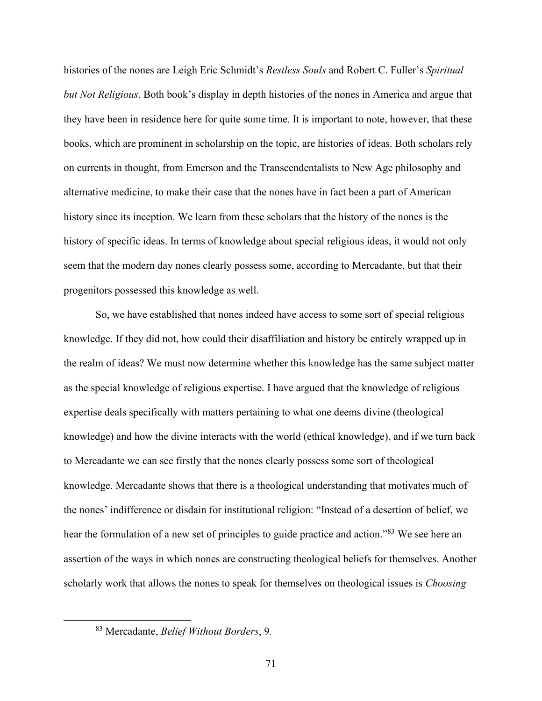histories of the nones are Leigh Eric Schmidt's *Restless Souls* and Robert C. Fuller's *Spiritual but Not Religious*. Both book's display in depth histories of the nones in America and argue that they have been in residence here for quite some time. It is important to note, however, that these books, which are prominent in scholarship on the topic, are histories of ideas. Both scholars rely on currents in thought, from Emerson and the Transcendentalists to New Age philosophy and alternative medicine, to make their case that the nones have in fact been a part of American history since its inception. We learn from these scholars that the history of the nones is the history of specific ideas. In terms of knowledge about special religious ideas, it would not only seem that the modern day nones clearly possess some, according to Mercadante, but that their progenitors possessed this knowledge as well.

So, we have established that nones indeed have access to some sort of special religious knowledge. If they did not, how could their disaffiliation and history be entirely wrapped up in the realm of ideas? We must now determine whether this knowledge has the same subject matter as the special knowledge of religious expertise. I have argued that the knowledge of religious expertise deals specifically with matters pertaining to what one deems divine (theological knowledge) and how the divine interacts with the world (ethical knowledge), and if we turn back to Mercadante we can see firstly that the nones clearly possess some sort of theological knowledge. Mercadante shows that there is a theological understanding that motivates much of the nones' indifference or disdain for institutional religion: "Instead of a desertion of belief, we hear the formulation of a new set of principles to guide practice and action."<sup>83</sup> We see here an assertion of the ways in which nones are constructing theological beliefs for themselves. Another scholarly work that allows the nones to speak for themselves on theological issues is *Choosing* 

<sup>83</sup> Mercadante, *Belief Without Borders*, 9.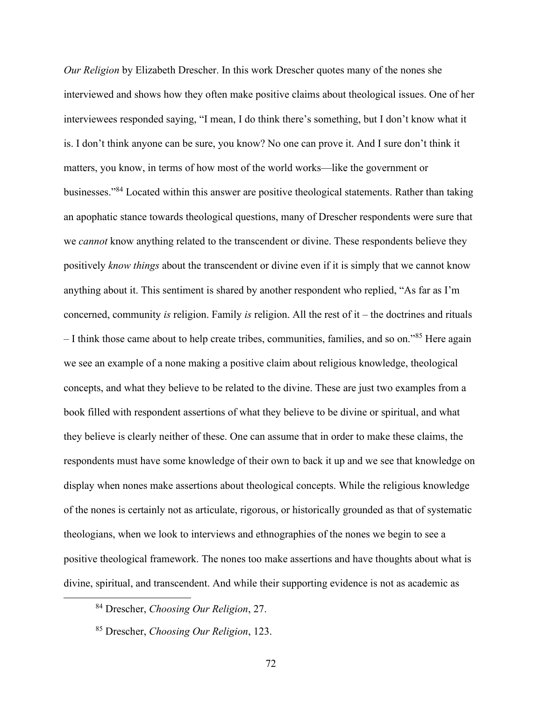*Our Religion* by Elizabeth Drescher. In this work Drescher quotes many of the nones she interviewed and shows how they often make positive claims about theological issues. One of her interviewees responded saying, "I mean, I do think there's something, but I don't know what it is. I don't think anyone can be sure, you know? No one can prove it. And I sure don't think it matters, you know, in terms of how most of the world works—like the government or businesses."<sup>84</sup> Located within this answer are positive theological statements. Rather than taking an apophatic stance towards theological questions, many of Drescher respondents were sure that we *cannot* know anything related to the transcendent or divine. These respondents believe they positively *know things* about the transcendent or divine even if it is simply that we cannot know anything about it. This sentiment is shared by another respondent who replied, "As far as I'm concerned, community *is* religion. Family *is* religion. All the rest of it – the doctrines and rituals – I think those came about to help create tribes, communities, families, and so on."<sup>85</sup> Here again we see an example of a none making a positive claim about religious knowledge, theological concepts, and what they believe to be related to the divine. These are just two examples from a book filled with respondent assertions of what they believe to be divine or spiritual, and what they believe is clearly neither of these. One can assume that in order to make these claims, the respondents must have some knowledge of their own to back it up and we see that knowledge on display when nones make assertions about theological concepts. While the religious knowledge of the nones is certainly not as articulate, rigorous, or historically grounded as that of systematic theologians, when we look to interviews and ethnographies of the nones we begin to see a positive theological framework. The nones too make assertions and have thoughts about what is divine, spiritual, and transcendent. And while their supporting evidence is not as academic as

<sup>84</sup> Drescher, *Choosing Our Religion*, 27.

<sup>85</sup> Drescher, *Choosing Our Religion*, 123.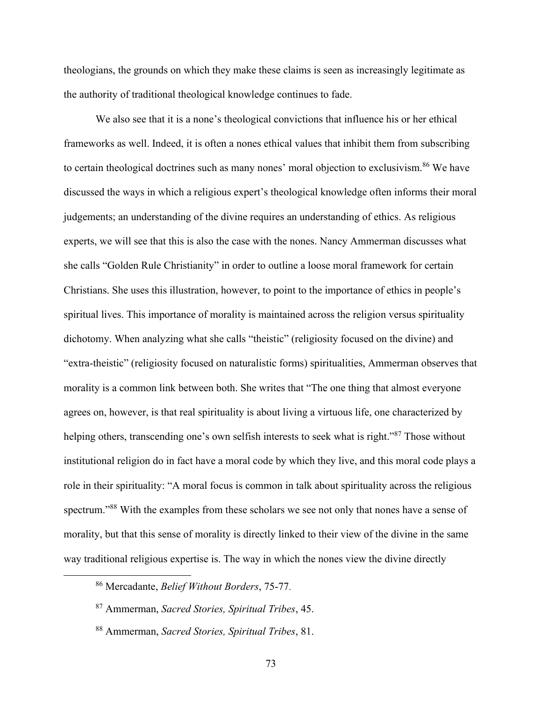theologians, the grounds on which they make these claims is seen as increasingly legitimate as the authority of traditional theological knowledge continues to fade.

We also see that it is a none's theological convictions that influence his or her ethical frameworks as well. Indeed, it is often a nones ethical values that inhibit them from subscribing to certain theological doctrines such as many nones' moral objection to exclusivism.<sup>86</sup> We have discussed the ways in which a religious expert's theological knowledge often informs their moral judgements; an understanding of the divine requires an understanding of ethics. As religious experts, we will see that this is also the case with the nones. Nancy Ammerman discusses what she calls "Golden Rule Christianity" in order to outline a loose moral framework for certain Christians. She uses this illustration, however, to point to the importance of ethics in people's spiritual lives. This importance of morality is maintained across the religion versus spirituality dichotomy. When analyzing what she calls "theistic" (religiosity focused on the divine) and "extra-theistic" (religiosity focused on naturalistic forms) spiritualities, Ammerman observes that morality is a common link between both. She writes that "The one thing that almost everyone agrees on, however, is that real spirituality is about living a virtuous life, one characterized by helping others, transcending one's own selfish interests to seek what is right."<sup>87</sup> Those without institutional religion do in fact have a moral code by which they live, and this moral code plays a role in their spirituality: "A moral focus is common in talk about spirituality across the religious spectrum."<sup>88</sup> With the examples from these scholars we see not only that nones have a sense of morality, but that this sense of morality is directly linked to their view of the divine in the same way traditional religious expertise is. The way in which the nones view the divine directly

<sup>86</sup> Mercadante, *Belief Without Borders*, 75-77.

<sup>87</sup> Ammerman, *Sacred Stories, Spiritual Tribes*, 45.

<sup>88</sup> Ammerman, *Sacred Stories, Spiritual Tribes*, 81.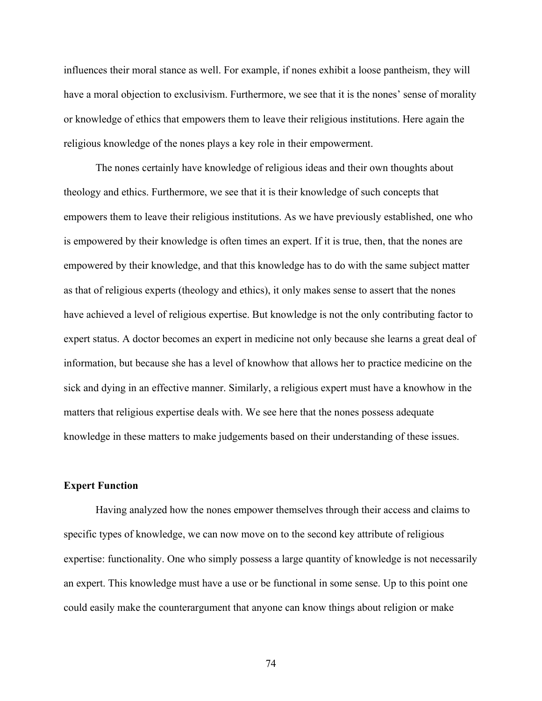influences their moral stance as well. For example, if nones exhibit a loose pantheism, they will have a moral objection to exclusivism. Furthermore, we see that it is the nones' sense of morality or knowledge of ethics that empowers them to leave their religious institutions. Here again the religious knowledge of the nones plays a key role in their empowerment.

The nones certainly have knowledge of religious ideas and their own thoughts about theology and ethics. Furthermore, we see that it is their knowledge of such concepts that empowers them to leave their religious institutions. As we have previously established, one who is empowered by their knowledge is often times an expert. If it is true, then, that the nones are empowered by their knowledge, and that this knowledge has to do with the same subject matter as that of religious experts (theology and ethics), it only makes sense to assert that the nones have achieved a level of religious expertise. But knowledge is not the only contributing factor to expert status. A doctor becomes an expert in medicine not only because she learns a great deal of information, but because she has a level of knowhow that allows her to practice medicine on the sick and dying in an effective manner. Similarly, a religious expert must have a knowhow in the matters that religious expertise deals with. We see here that the nones possess adequate knowledge in these matters to make judgements based on their understanding of these issues.

### **Expert Function**

Having analyzed how the nones empower themselves through their access and claims to specific types of knowledge, we can now move on to the second key attribute of religious expertise: functionality. One who simply possess a large quantity of knowledge is not necessarily an expert. This knowledge must have a use or be functional in some sense. Up to this point one could easily make the counterargument that anyone can know things about religion or make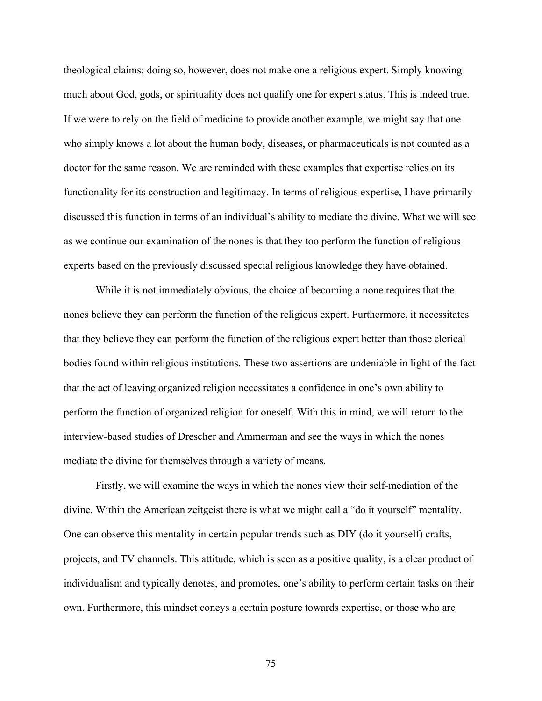theological claims; doing so, however, does not make one a religious expert. Simply knowing much about God, gods, or spirituality does not qualify one for expert status. This is indeed true. If we were to rely on the field of medicine to provide another example, we might say that one who simply knows a lot about the human body, diseases, or pharmaceuticals is not counted as a doctor for the same reason. We are reminded with these examples that expertise relies on its functionality for its construction and legitimacy. In terms of religious expertise, I have primarily discussed this function in terms of an individual's ability to mediate the divine. What we will see as we continue our examination of the nones is that they too perform the function of religious experts based on the previously discussed special religious knowledge they have obtained.

While it is not immediately obvious, the choice of becoming a none requires that the nones believe they can perform the function of the religious expert. Furthermore, it necessitates that they believe they can perform the function of the religious expert better than those clerical bodies found within religious institutions. These two assertions are undeniable in light of the fact that the act of leaving organized religion necessitates a confidence in one's own ability to perform the function of organized religion for oneself. With this in mind, we will return to the interview-based studies of Drescher and Ammerman and see the ways in which the nones mediate the divine for themselves through a variety of means.

Firstly, we will examine the ways in which the nones view their self-mediation of the divine. Within the American zeitgeist there is what we might call a "do it yourself" mentality. One can observe this mentality in certain popular trends such as DIY (do it yourself) crafts, projects, and TV channels. This attitude, which is seen as a positive quality, is a clear product of individualism and typically denotes, and promotes, one's ability to perform certain tasks on their own. Furthermore, this mindset coneys a certain posture towards expertise, or those who are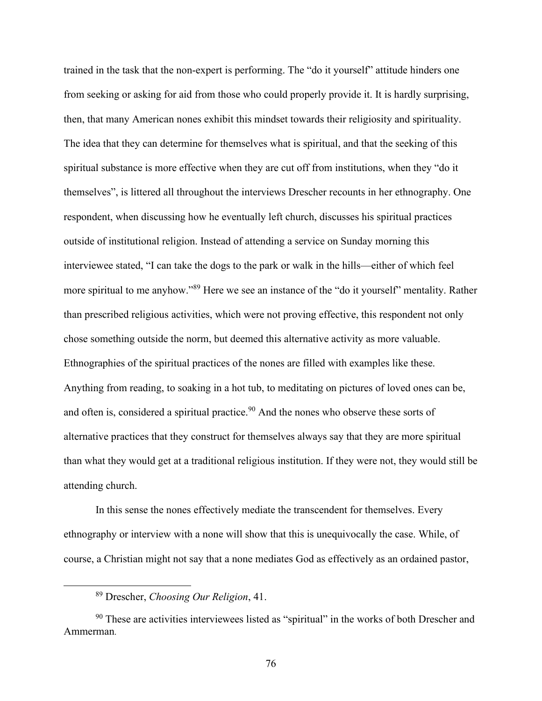trained in the task that the non-expert is performing. The "do it yourself" attitude hinders one from seeking or asking for aid from those who could properly provide it. It is hardly surprising, then, that many American nones exhibit this mindset towards their religiosity and spirituality. The idea that they can determine for themselves what is spiritual, and that the seeking of this spiritual substance is more effective when they are cut off from institutions, when they "do it themselves", is littered all throughout the interviews Drescher recounts in her ethnography. One respondent, when discussing how he eventually left church, discusses his spiritual practices outside of institutional religion. Instead of attending a service on Sunday morning this interviewee stated, "I can take the dogs to the park or walk in the hills—either of which feel more spiritual to me anyhow."<sup>89</sup> Here we see an instance of the "do it yourself" mentality. Rather than prescribed religious activities, which were not proving effective, this respondent not only chose something outside the norm, but deemed this alternative activity as more valuable. Ethnographies of the spiritual practices of the nones are filled with examples like these. Anything from reading, to soaking in a hot tub, to meditating on pictures of loved ones can be, and often is, considered a spiritual practice.<sup>90</sup> And the nones who observe these sorts of alternative practices that they construct for themselves always say that they are more spiritual than what they would get at a traditional religious institution. If they were not, they would still be attending church.

In this sense the nones effectively mediate the transcendent for themselves. Every ethnography or interview with a none will show that this is unequivocally the case. While, of course, a Christian might not say that a none mediates God as effectively as an ordained pastor,

<sup>89</sup> Drescher, *Choosing Our Religion*, 41.

<sup>&</sup>lt;sup>90</sup> These are activities interviewees listed as "spiritual" in the works of both Drescher and Ammerman.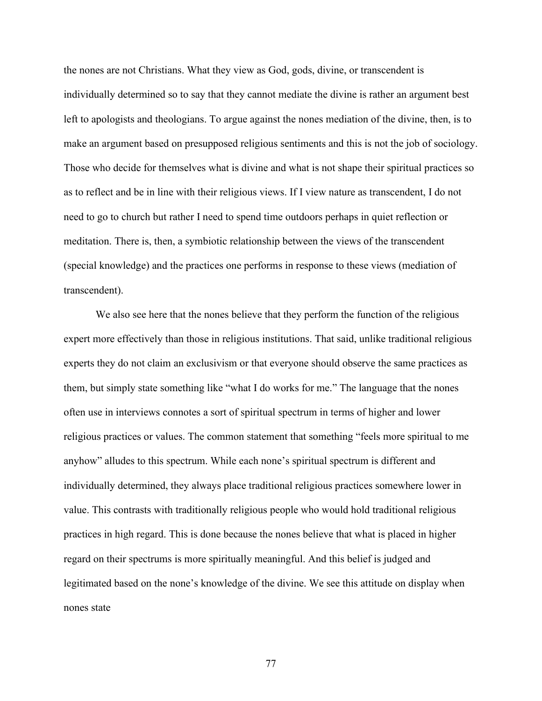the nones are not Christians. What they view as God, gods, divine, or transcendent is individually determined so to say that they cannot mediate the divine is rather an argument best left to apologists and theologians. To argue against the nones mediation of the divine, then, is to make an argument based on presupposed religious sentiments and this is not the job of sociology. Those who decide for themselves what is divine and what is not shape their spiritual practices so as to reflect and be in line with their religious views. If I view nature as transcendent, I do not need to go to church but rather I need to spend time outdoors perhaps in quiet reflection or meditation. There is, then, a symbiotic relationship between the views of the transcendent (special knowledge) and the practices one performs in response to these views (mediation of transcendent).

We also see here that the nones believe that they perform the function of the religious expert more effectively than those in religious institutions. That said, unlike traditional religious experts they do not claim an exclusivism or that everyone should observe the same practices as them, but simply state something like "what I do works for me." The language that the nones often use in interviews connotes a sort of spiritual spectrum in terms of higher and lower religious practices or values. The common statement that something "feels more spiritual to me anyhow" alludes to this spectrum. While each none's spiritual spectrum is different and individually determined, they always place traditional religious practices somewhere lower in value. This contrasts with traditionally religious people who would hold traditional religious practices in high regard. This is done because the nones believe that what is placed in higher regard on their spectrums is more spiritually meaningful. And this belief is judged and legitimated based on the none's knowledge of the divine. We see this attitude on display when nones state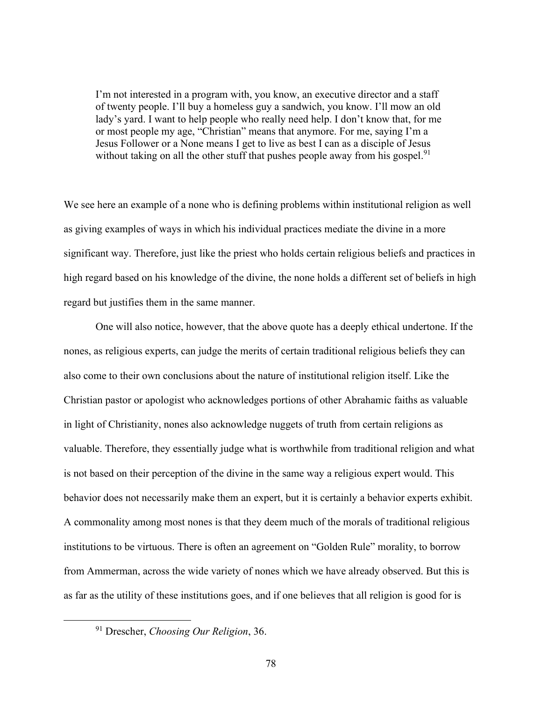I'm not interested in a program with, you know, an executive director and a staff of twenty people. I'll buy a homeless guy a sandwich, you know. I'll mow an old lady's yard. I want to help people who really need help. I don't know that, for me or most people my age, "Christian" means that anymore. For me, saying I'm a Jesus Follower or a None means I get to live as best I can as a disciple of Jesus without taking on all the other stuff that pushes people away from his gospel.<sup>91</sup>

We see here an example of a none who is defining problems within institutional religion as well as giving examples of ways in which his individual practices mediate the divine in a more significant way. Therefore, just like the priest who holds certain religious beliefs and practices in high regard based on his knowledge of the divine, the none holds a different set of beliefs in high regard but justifies them in the same manner.

One will also notice, however, that the above quote has a deeply ethical undertone. If the nones, as religious experts, can judge the merits of certain traditional religious beliefs they can also come to their own conclusions about the nature of institutional religion itself. Like the Christian pastor or apologist who acknowledges portions of other Abrahamic faiths as valuable in light of Christianity, nones also acknowledge nuggets of truth from certain religions as valuable. Therefore, they essentially judge what is worthwhile from traditional religion and what is not based on their perception of the divine in the same way a religious expert would. This behavior does not necessarily make them an expert, but it is certainly a behavior experts exhibit. A commonality among most nones is that they deem much of the morals of traditional religious institutions to be virtuous. There is often an agreement on "Golden Rule" morality, to borrow from Ammerman, across the wide variety of nones which we have already observed. But this is as far as the utility of these institutions goes, and if one believes that all religion is good for is

<sup>91</sup> Drescher, *Choosing Our Religion*, 36.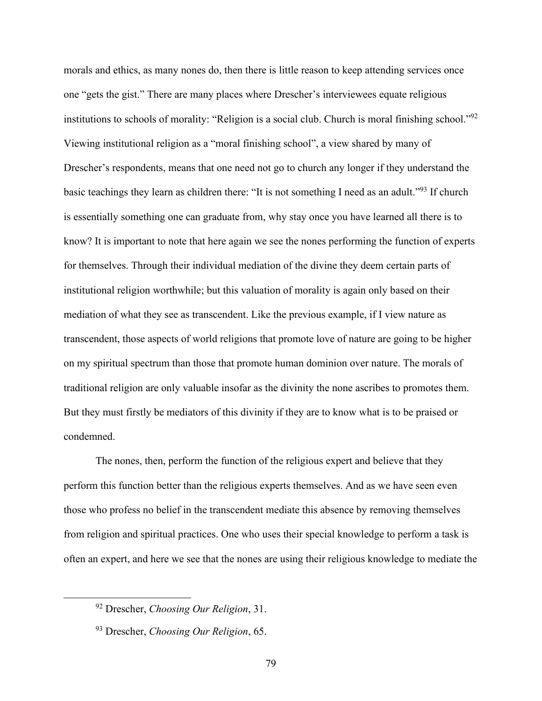morals and ethics, as many nones do, then there is little reason to keep attending services once one "gets the gist." There are many places where Drescher's interviewees equate religious institutions to schools of morality: "Religion is a social club. Church is moral finishing school."<sup>92</sup> Viewing institutional religion as a "moral finishing school", a view shared by many of Drescher's respondents, means that one need not go to church any longer if they understand the basic teachings they learn as children there: "It is not something I need as an adult."<sup>93</sup> If church is essentially something one can graduate from, why stay once you have learned all there is to know? It is important to note that here again we see the nones performing the function of experts for themselves. Through their individual mediation of the divine they deem certain parts of institutional religion worthwhile; but this valuation of morality is again only based on their mediation of what they see as transcendent. Like the previous example, if I view nature as transcendent, those aspects of world religions that promote love of nature are going to be higher on my spiritual spectrum than those that promote human dominion over nature. The morals of traditional religion are only valuable insofar as the divinity the none ascribes to promotes them. But they must firstly be mediators of this divinity if they are to know what is to be praised or condemned.

The nones, then, perform the function of the religious expert and believe that they perform this function better than the religious experts themselves. And as we have seen even those who profess no belief in the transcendent mediate this absence by removing themselves from religion and spiritual practices. One who uses their special knowledge to perform a task is often an expert, and here we see that the nones are using their religious knowledge to mediate the

<sup>92</sup> Drescher, *Choosing Our Religion*, 31.

<sup>93</sup> Drescher, *Choosing Our Religion*, 65.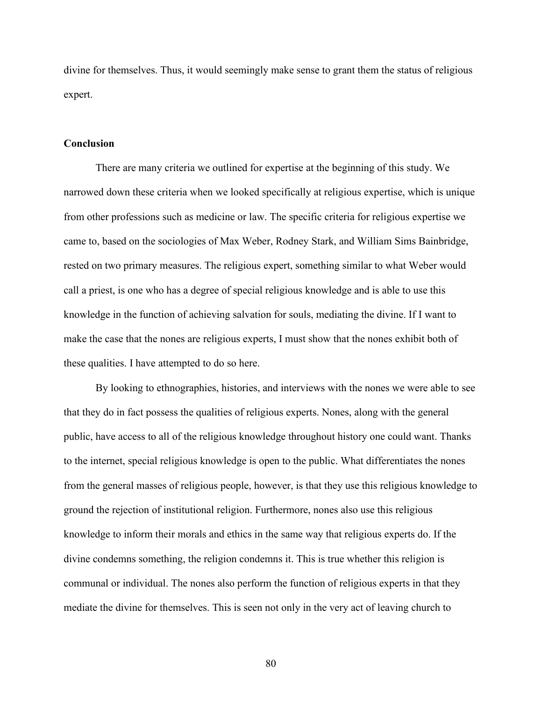divine for themselves. Thus, it would seemingly make sense to grant them the status of religious expert.

### **Conclusion**

There are many criteria we outlined for expertise at the beginning of this study. We narrowed down these criteria when we looked specifically at religious expertise, which is unique from other professions such as medicine or law. The specific criteria for religious expertise we came to, based on the sociologies of Max Weber, Rodney Stark, and William Sims Bainbridge, rested on two primary measures. The religious expert, something similar to what Weber would call a priest, is one who has a degree of special religious knowledge and is able to use this knowledge in the function of achieving salvation for souls, mediating the divine. If I want to make the case that the nones are religious experts, I must show that the nones exhibit both of these qualities. I have attempted to do so here.

By looking to ethnographies, histories, and interviews with the nones we were able to see that they do in fact possess the qualities of religious experts. Nones, along with the general public, have access to all of the religious knowledge throughout history one could want. Thanks to the internet, special religious knowledge is open to the public. What differentiates the nones from the general masses of religious people, however, is that they use this religious knowledge to ground the rejection of institutional religion. Furthermore, nones also use this religious knowledge to inform their morals and ethics in the same way that religious experts do. If the divine condemns something, the religion condemns it. This is true whether this religion is communal or individual. The nones also perform the function of religious experts in that they mediate the divine for themselves. This is seen not only in the very act of leaving church to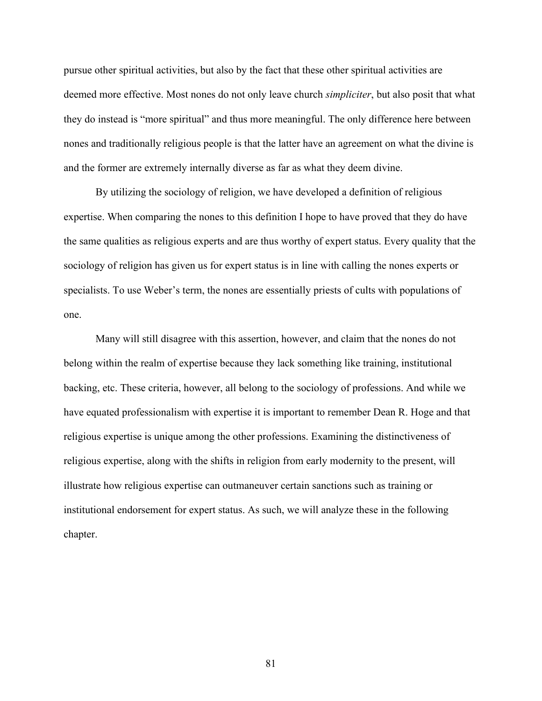pursue other spiritual activities, but also by the fact that these other spiritual activities are deemed more effective. Most nones do not only leave church *simpliciter*, but also posit that what they do instead is "more spiritual" and thus more meaningful. The only difference here between nones and traditionally religious people is that the latter have an agreement on what the divine is and the former are extremely internally diverse as far as what they deem divine.

By utilizing the sociology of religion, we have developed a definition of religious expertise. When comparing the nones to this definition I hope to have proved that they do have the same qualities as religious experts and are thus worthy of expert status. Every quality that the sociology of religion has given us for expert status is in line with calling the nones experts or specialists. To use Weber's term, the nones are essentially priests of cults with populations of one.

Many will still disagree with this assertion, however, and claim that the nones do not belong within the realm of expertise because they lack something like training, institutional backing, etc. These criteria, however, all belong to the sociology of professions. And while we have equated professionalism with expertise it is important to remember Dean R. Hoge and that religious expertise is unique among the other professions. Examining the distinctiveness of religious expertise, along with the shifts in religion from early modernity to the present, will illustrate how religious expertise can outmaneuver certain sanctions such as training or institutional endorsement for expert status. As such, we will analyze these in the following chapter.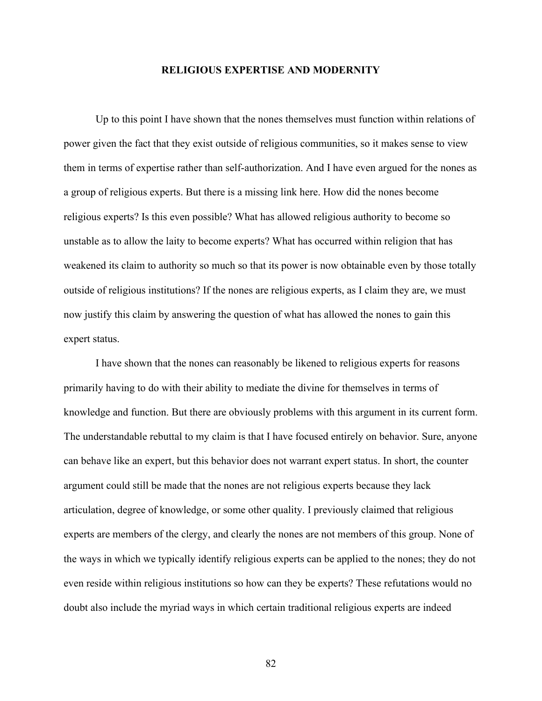### **RELIGIOUS EXPERTISE AND MODERNITY**

Up to this point I have shown that the nones themselves must function within relations of power given the fact that they exist outside of religious communities, so it makes sense to view them in terms of expertise rather than self-authorization. And I have even argued for the nones as a group of religious experts. But there is a missing link here. How did the nones become religious experts? Is this even possible? What has allowed religious authority to become so unstable as to allow the laity to become experts? What has occurred within religion that has weakened its claim to authority so much so that its power is now obtainable even by those totally outside of religious institutions? If the nones are religious experts, as I claim they are, we must now justify this claim by answering the question of what has allowed the nones to gain this expert status.

I have shown that the nones can reasonably be likened to religious experts for reasons primarily having to do with their ability to mediate the divine for themselves in terms of knowledge and function. But there are obviously problems with this argument in its current form. The understandable rebuttal to my claim is that I have focused entirely on behavior. Sure, anyone can behave like an expert, but this behavior does not warrant expert status. In short, the counter argument could still be made that the nones are not religious experts because they lack articulation, degree of knowledge, or some other quality. I previously claimed that religious experts are members of the clergy, and clearly the nones are not members of this group. None of the ways in which we typically identify religious experts can be applied to the nones; they do not even reside within religious institutions so how can they be experts? These refutations would no doubt also include the myriad ways in which certain traditional religious experts are indeed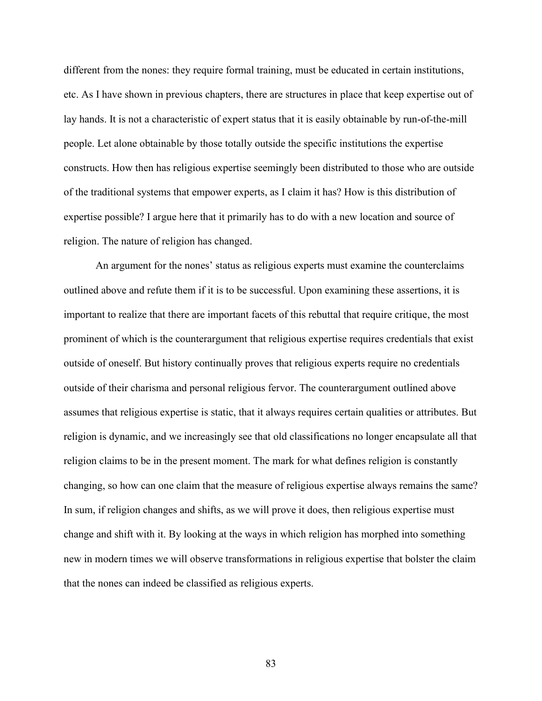different from the nones: they require formal training, must be educated in certain institutions, etc. As I have shown in previous chapters, there are structures in place that keep expertise out of lay hands. It is not a characteristic of expert status that it is easily obtainable by run-of-the-mill people. Let alone obtainable by those totally outside the specific institutions the expertise constructs. How then has religious expertise seemingly been distributed to those who are outside of the traditional systems that empower experts, as I claim it has? How is this distribution of expertise possible? I argue here that it primarily has to do with a new location and source of religion. The nature of religion has changed.

An argument for the nones' status as religious experts must examine the counterclaims outlined above and refute them if it is to be successful. Upon examining these assertions, it is important to realize that there are important facets of this rebuttal that require critique, the most prominent of which is the counterargument that religious expertise requires credentials that exist outside of oneself. But history continually proves that religious experts require no credentials outside of their charisma and personal religious fervor. The counterargument outlined above assumes that religious expertise is static, that it always requires certain qualities or attributes. But religion is dynamic, and we increasingly see that old classifications no longer encapsulate all that religion claims to be in the present moment. The mark for what defines religion is constantly changing, so how can one claim that the measure of religious expertise always remains the same? In sum, if religion changes and shifts, as we will prove it does, then religious expertise must change and shift with it. By looking at the ways in which religion has morphed into something new in modern times we will observe transformations in religious expertise that bolster the claim that the nones can indeed be classified as religious experts.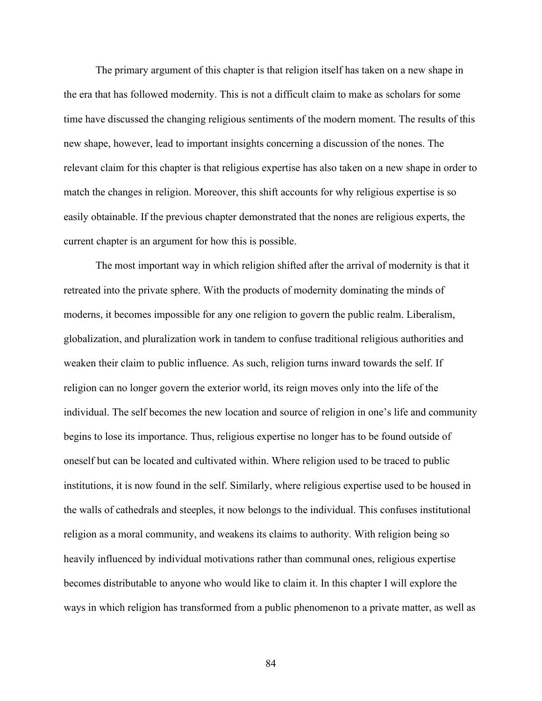The primary argument of this chapter is that religion itself has taken on a new shape in the era that has followed modernity. This is not a difficult claim to make as scholars for some time have discussed the changing religious sentiments of the modern moment. The results of this new shape, however, lead to important insights concerning a discussion of the nones. The relevant claim for this chapter is that religious expertise has also taken on a new shape in order to match the changes in religion. Moreover, this shift accounts for why religious expertise is so easily obtainable. If the previous chapter demonstrated that the nones are religious experts, the current chapter is an argument for how this is possible.

The most important way in which religion shifted after the arrival of modernity is that it retreated into the private sphere. With the products of modernity dominating the minds of moderns, it becomes impossible for any one religion to govern the public realm. Liberalism, globalization, and pluralization work in tandem to confuse traditional religious authorities and weaken their claim to public influence. As such, religion turns inward towards the self. If religion can no longer govern the exterior world, its reign moves only into the life of the individual. The self becomes the new location and source of religion in one's life and community begins to lose its importance. Thus, religious expertise no longer has to be found outside of oneself but can be located and cultivated within. Where religion used to be traced to public institutions, it is now found in the self. Similarly, where religious expertise used to be housed in the walls of cathedrals and steeples, it now belongs to the individual. This confuses institutional religion as a moral community, and weakens its claims to authority. With religion being so heavily influenced by individual motivations rather than communal ones, religious expertise becomes distributable to anyone who would like to claim it. In this chapter I will explore the ways in which religion has transformed from a public phenomenon to a private matter, as well as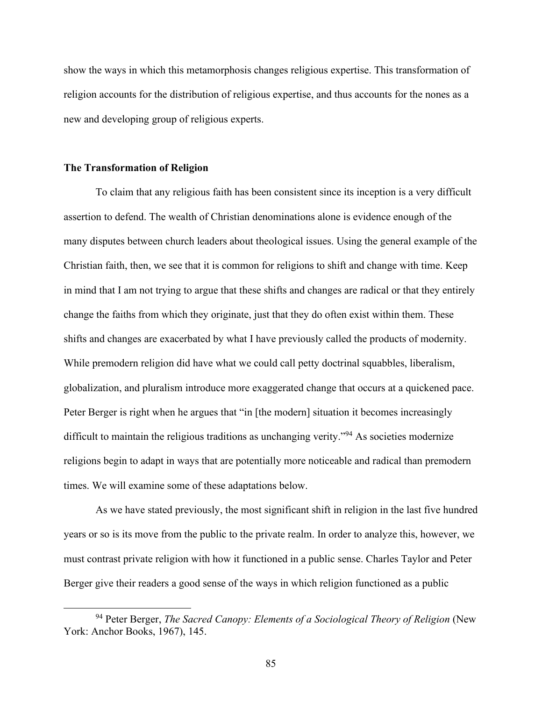show the ways in which this metamorphosis changes religious expertise. This transformation of religion accounts for the distribution of religious expertise, and thus accounts for the nones as a new and developing group of religious experts.

#### **The Transformation of Religion**

To claim that any religious faith has been consistent since its inception is a very difficult assertion to defend. The wealth of Christian denominations alone is evidence enough of the many disputes between church leaders about theological issues. Using the general example of the Christian faith, then, we see that it is common for religions to shift and change with time. Keep in mind that I am not trying to argue that these shifts and changes are radical or that they entirely change the faiths from which they originate, just that they do often exist within them. These shifts and changes are exacerbated by what I have previously called the products of modernity. While premodern religion did have what we could call petty doctrinal squabbles, liberalism, globalization, and pluralism introduce more exaggerated change that occurs at a quickened pace. Peter Berger is right when he argues that "in [the modern] situation it becomes increasingly difficult to maintain the religious traditions as unchanging verity."<sup>94</sup> As societies modernize religions begin to adapt in ways that are potentially more noticeable and radical than premodern times. We will examine some of these adaptations below.

As we have stated previously, the most significant shift in religion in the last five hundred years or so is its move from the public to the private realm. In order to analyze this, however, we must contrast private religion with how it functioned in a public sense. Charles Taylor and Peter Berger give their readers a good sense of the ways in which religion functioned as a public

<sup>94</sup> Peter Berger, *The Sacred Canopy: Elements of a Sociological Theory of Religion* (New York: Anchor Books, 1967), 145.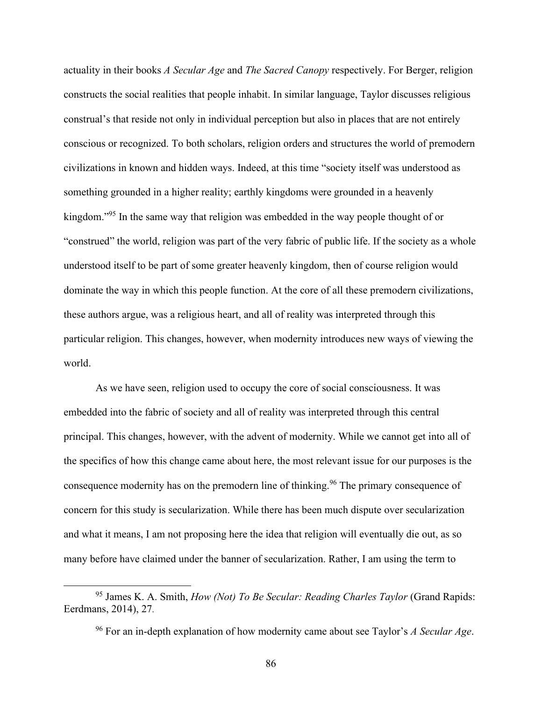actuality in their books *A Secular Age* and *The Sacred Canopy* respectively. For Berger, religion constructs the social realities that people inhabit. In similar language, Taylor discusses religious construal's that reside not only in individual perception but also in places that are not entirely conscious or recognized. To both scholars, religion orders and structures the world of premodern civilizations in known and hidden ways. Indeed, at this time "society itself was understood as something grounded in a higher reality; earthly kingdoms were grounded in a heavenly kingdom."<sup>95</sup> In the same way that religion was embedded in the way people thought of or "construed" the world, religion was part of the very fabric of public life. If the society as a whole understood itself to be part of some greater heavenly kingdom, then of course religion would dominate the way in which this people function. At the core of all these premodern civilizations, these authors argue, was a religious heart, and all of reality was interpreted through this particular religion. This changes, however, when modernity introduces new ways of viewing the world.

As we have seen, religion used to occupy the core of social consciousness. It was embedded into the fabric of society and all of reality was interpreted through this central principal. This changes, however, with the advent of modernity. While we cannot get into all of the specifics of how this change came about here, the most relevant issue for our purposes is the consequence modernity has on the premodern line of thinking.<sup>96</sup> The primary consequence of concern for this study is secularization. While there has been much dispute over secularization and what it means, I am not proposing here the idea that religion will eventually die out, as so many before have claimed under the banner of secularization. Rather, I am using the term to

<sup>95</sup> James K. A. Smith, *How (Not) To Be Secular: Reading Charles Taylor* (Grand Rapids: Eerdmans, 2014), 27.

<sup>96</sup> For an in-depth explanation of how modernity came about see Taylor's *A Secular Age*.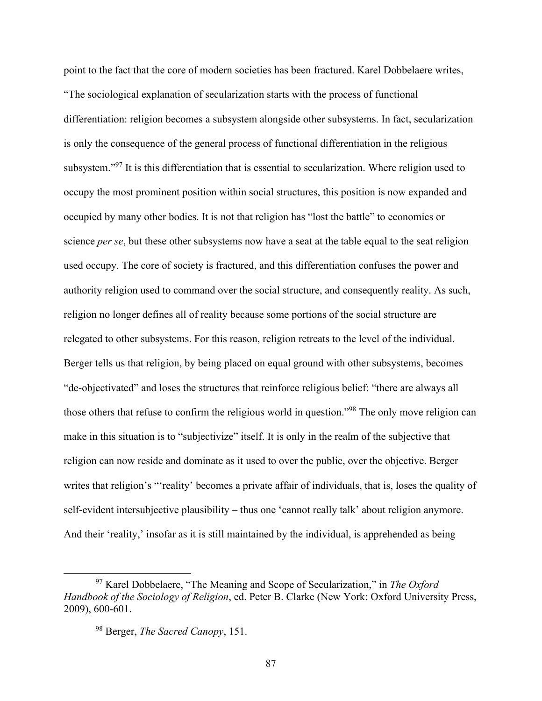point to the fact that the core of modern societies has been fractured. Karel Dobbelaere writes, "The sociological explanation of secularization starts with the process of functional differentiation: religion becomes a subsystem alongside other subsystems. In fact, secularization is only the consequence of the general process of functional differentiation in the religious subsystem."<sup>97</sup> It is this differentiation that is essential to secularization. Where religion used to occupy the most prominent position within social structures, this position is now expanded and occupied by many other bodies. It is not that religion has "lost the battle" to economics or science *per se*, but these other subsystems now have a seat at the table equal to the seat religion used occupy. The core of society is fractured, and this differentiation confuses the power and authority religion used to command over the social structure, and consequently reality. As such, religion no longer defines all of reality because some portions of the social structure are relegated to other subsystems. For this reason, religion retreats to the level of the individual. Berger tells us that religion, by being placed on equal ground with other subsystems, becomes "de-objectivated" and loses the structures that reinforce religious belief: "there are always all those others that refuse to confirm the religious world in question."<sup>98</sup> The only move religion can make in this situation is to "subjectivize" itself. It is only in the realm of the subjective that religion can now reside and dominate as it used to over the public, over the objective. Berger writes that religion's "'reality' becomes a private affair of individuals, that is, loses the quality of self-evident intersubjective plausibility – thus one 'cannot really talk' about religion anymore. And their 'reality,' insofar as it is still maintained by the individual, is apprehended as being

<sup>97</sup> Karel Dobbelaere, "The Meaning and Scope of Secularization," in *The Oxford Handbook of the Sociology of Religion*, ed. Peter B. Clarke (New York: Oxford University Press, 2009), 600-601.

<sup>98</sup> Berger, *The Sacred Canopy*, 151.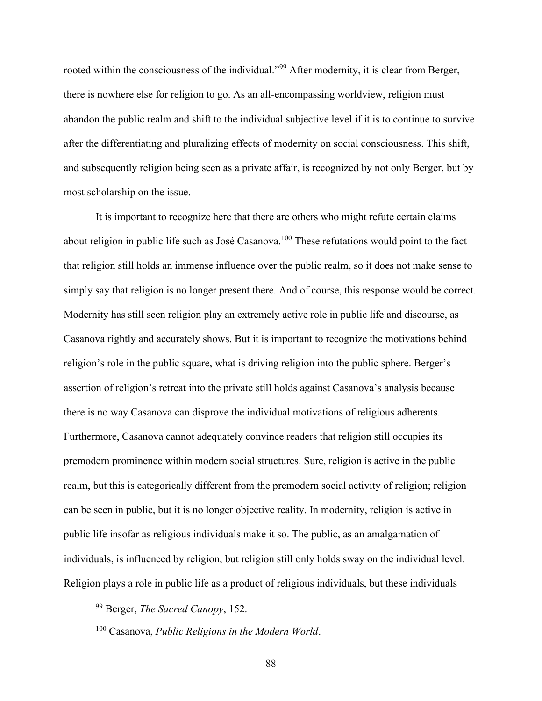rooted within the consciousness of the individual."<sup>99</sup> After modernity, it is clear from Berger, there is nowhere else for religion to go. As an all-encompassing worldview, religion must abandon the public realm and shift to the individual subjective level if it is to continue to survive after the differentiating and pluralizing effects of modernity on social consciousness. This shift, and subsequently religion being seen as a private affair, is recognized by not only Berger, but by most scholarship on the issue.

It is important to recognize here that there are others who might refute certain claims about religion in public life such as José Casanova.<sup>100</sup> These refutations would point to the fact that religion still holds an immense influence over the public realm, so it does not make sense to simply say that religion is no longer present there. And of course, this response would be correct. Modernity has still seen religion play an extremely active role in public life and discourse, as Casanova rightly and accurately shows. But it is important to recognize the motivations behind religion's role in the public square, what is driving religion into the public sphere. Berger's assertion of religion's retreat into the private still holds against Casanova's analysis because there is no way Casanova can disprove the individual motivations of religious adherents. Furthermore, Casanova cannot adequately convince readers that religion still occupies its premodern prominence within modern social structures. Sure, religion is active in the public realm, but this is categorically different from the premodern social activity of religion; religion can be seen in public, but it is no longer objective reality. In modernity, religion is active in public life insofar as religious individuals make it so. The public, as an amalgamation of individuals, is influenced by religion, but religion still only holds sway on the individual level. Religion plays a role in public life as a product of religious individuals, but these individuals

<sup>99</sup> Berger, *The Sacred Canopy*, 152.

<sup>100</sup> Casanova, *Public Religions in the Modern World*.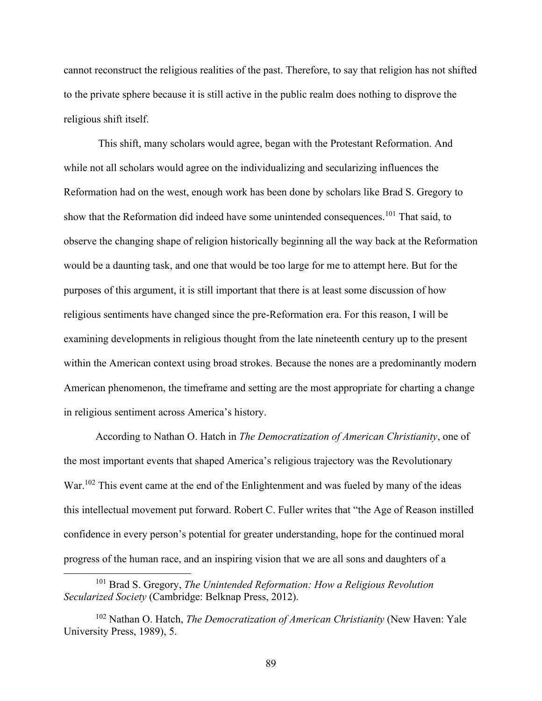cannot reconstruct the religious realities of the past. Therefore, to say that religion has not shifted to the private sphere because it is still active in the public realm does nothing to disprove the religious shift itself.

This shift, many scholars would agree, began with the Protestant Reformation. And while not all scholars would agree on the individualizing and secularizing influences the Reformation had on the west, enough work has been done by scholars like Brad S. Gregory to show that the Reformation did indeed have some unintended consequences.<sup>101</sup> That said, to observe the changing shape of religion historically beginning all the way back at the Reformation would be a daunting task, and one that would be too large for me to attempt here. But for the purposes of this argument, it is still important that there is at least some discussion of how religious sentiments have changed since the pre-Reformation era. For this reason, I will be examining developments in religious thought from the late nineteenth century up to the present within the American context using broad strokes. Because the nones are a predominantly modern American phenomenon, the timeframe and setting are the most appropriate for charting a change in religious sentiment across America's history.

According to Nathan O. Hatch in *The Democratization of American Christianity*, one of the most important events that shaped America's religious trajectory was the Revolutionary War.<sup>102</sup> This event came at the end of the Enlightenment and was fueled by many of the ideas this intellectual movement put forward. Robert C. Fuller writes that "the Age of Reason instilled confidence in every person's potential for greater understanding, hope for the continued moral progress of the human race, and an inspiring vision that we are all sons and daughters of a

<sup>101</sup> Brad S. Gregory, *The Unintended Reformation: How a Religious Revolution Secularized Society* (Cambridge: Belknap Press, 2012).

<sup>102</sup> Nathan O. Hatch, *The Democratization of American Christianity* (New Haven: Yale University Press, 1989), 5.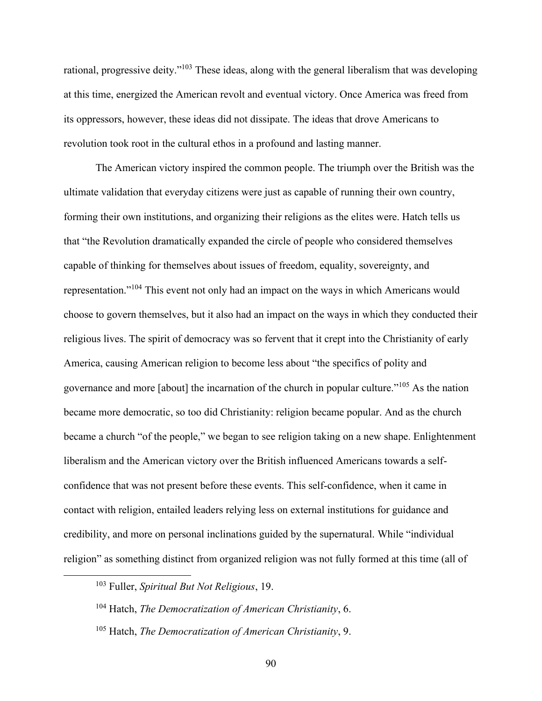rational, progressive deity."<sup>103</sup> These ideas, along with the general liberalism that was developing at this time, energized the American revolt and eventual victory. Once America was freed from its oppressors, however, these ideas did not dissipate. The ideas that drove Americans to revolution took root in the cultural ethos in a profound and lasting manner.

The American victory inspired the common people. The triumph over the British was the ultimate validation that everyday citizens were just as capable of running their own country, forming their own institutions, and organizing their religions as the elites were. Hatch tells us that "the Revolution dramatically expanded the circle of people who considered themselves capable of thinking for themselves about issues of freedom, equality, sovereignty, and representation."<sup>104</sup> This event not only had an impact on the ways in which Americans would choose to govern themselves, but it also had an impact on the ways in which they conducted their religious lives. The spirit of democracy was so fervent that it crept into the Christianity of early America, causing American religion to become less about "the specifics of polity and governance and more [about] the incarnation of the church in popular culture."<sup>105</sup> As the nation became more democratic, so too did Christianity: religion became popular. And as the church became a church "of the people," we began to see religion taking on a new shape. Enlightenment liberalism and the American victory over the British influenced Americans towards a selfconfidence that was not present before these events. This self-confidence, when it came in contact with religion, entailed leaders relying less on external institutions for guidance and credibility, and more on personal inclinations guided by the supernatural. While "individual religion" as something distinct from organized religion was not fully formed at this time (all of

<sup>103</sup> Fuller, *Spiritual But Not Religious*, 19.

<sup>104</sup> Hatch, *The Democratization of American Christianity*, 6.

<sup>105</sup> Hatch, *The Democratization of American Christianity*, 9.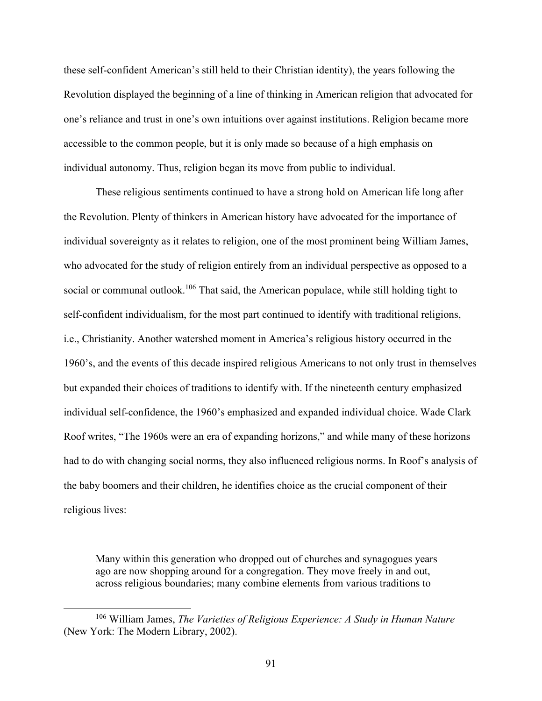these self-confident American's still held to their Christian identity), the years following the Revolution displayed the beginning of a line of thinking in American religion that advocated for one's reliance and trust in one's own intuitions over against institutions. Religion became more accessible to the common people, but it is only made so because of a high emphasis on individual autonomy. Thus, religion began its move from public to individual.

These religious sentiments continued to have a strong hold on American life long after the Revolution. Plenty of thinkers in American history have advocated for the importance of individual sovereignty as it relates to religion, one of the most prominent being William James, who advocated for the study of religion entirely from an individual perspective as opposed to a social or communal outlook.<sup>106</sup> That said, the American populace, while still holding tight to self-confident individualism, for the most part continued to identify with traditional religions, i.e., Christianity. Another watershed moment in America's religious history occurred in the 1960's, and the events of this decade inspired religious Americans to not only trust in themselves but expanded their choices of traditions to identify with. If the nineteenth century emphasized individual self-confidence, the 1960's emphasized and expanded individual choice. Wade Clark Roof writes, "The 1960s were an era of expanding horizons," and while many of these horizons had to do with changing social norms, they also influenced religious norms. In Roof's analysis of the baby boomers and their children, he identifies choice as the crucial component of their religious lives:

Many within this generation who dropped out of churches and synagogues years ago are now shopping around for a congregation. They move freely in and out, across religious boundaries; many combine elements from various traditions to

<sup>106</sup> William James, *The Varieties of Religious Experience: A Study in Human Nature* (New York: The Modern Library, 2002).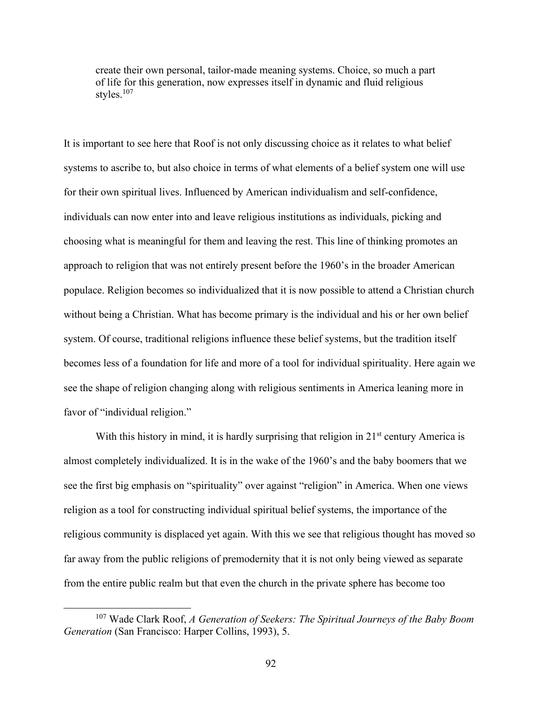create their own personal, tailor-made meaning systems. Choice, so much a part of life for this generation, now expresses itself in dynamic and fluid religious styles.<sup>107</sup>

It is important to see here that Roof is not only discussing choice as it relates to what belief systems to ascribe to, but also choice in terms of what elements of a belief system one will use for their own spiritual lives. Influenced by American individualism and self-confidence, individuals can now enter into and leave religious institutions as individuals, picking and choosing what is meaningful for them and leaving the rest. This line of thinking promotes an approach to religion that was not entirely present before the 1960's in the broader American populace. Religion becomes so individualized that it is now possible to attend a Christian church without being a Christian. What has become primary is the individual and his or her own belief system. Of course, traditional religions influence these belief systems, but the tradition itself becomes less of a foundation for life and more of a tool for individual spirituality. Here again we see the shape of religion changing along with religious sentiments in America leaning more in favor of "individual religion."

With this history in mind, it is hardly surprising that religion in  $21<sup>st</sup>$  century America is almost completely individualized. It is in the wake of the 1960's and the baby boomers that we see the first big emphasis on "spirituality" over against "religion" in America. When one views religion as a tool for constructing individual spiritual belief systems, the importance of the religious community is displaced yet again. With this we see that religious thought has moved so far away from the public religions of premodernity that it is not only being viewed as separate from the entire public realm but that even the church in the private sphere has become too

<sup>107</sup> Wade Clark Roof, *A Generation of Seekers: The Spiritual Journeys of the Baby Boom Generation* (San Francisco: Harper Collins, 1993), 5.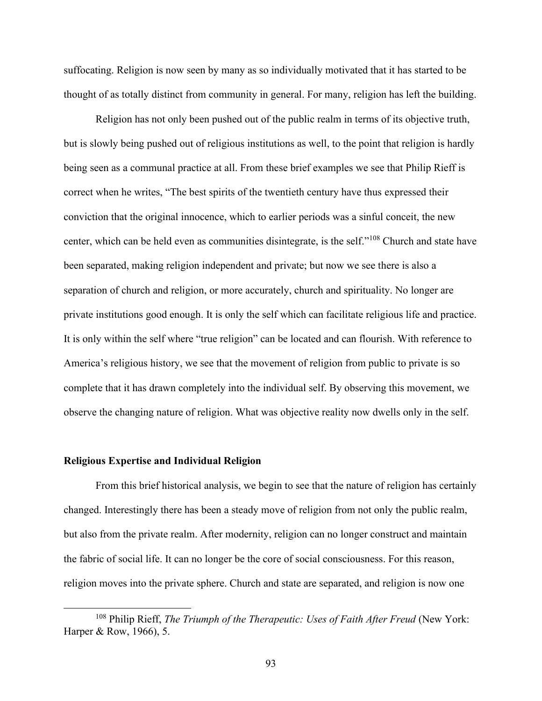suffocating. Religion is now seen by many as so individually motivated that it has started to be thought of as totally distinct from community in general. For many, religion has left the building.

Religion has not only been pushed out of the public realm in terms of its objective truth, but is slowly being pushed out of religious institutions as well, to the point that religion is hardly being seen as a communal practice at all. From these brief examples we see that Philip Rieff is correct when he writes, "The best spirits of the twentieth century have thus expressed their conviction that the original innocence, which to earlier periods was a sinful conceit, the new center, which can be held even as communities disintegrate, is the self."<sup>108</sup> Church and state have been separated, making religion independent and private; but now we see there is also a separation of church and religion, or more accurately, church and spirituality. No longer are private institutions good enough. It is only the self which can facilitate religious life and practice. It is only within the self where "true religion" can be located and can flourish. With reference to America's religious history, we see that the movement of religion from public to private is so complete that it has drawn completely into the individual self. By observing this movement, we observe the changing nature of religion. What was objective reality now dwells only in the self.

#### **Religious Expertise and Individual Religion**

From this brief historical analysis, we begin to see that the nature of religion has certainly changed. Interestingly there has been a steady move of religion from not only the public realm, but also from the private realm. After modernity, religion can no longer construct and maintain the fabric of social life. It can no longer be the core of social consciousness. For this reason, religion moves into the private sphere. Church and state are separated, and religion is now one

<sup>108</sup> Philip Rieff, *The Triumph of the Therapeutic: Uses of Faith After Freud* (New York: Harper & Row, 1966), 5.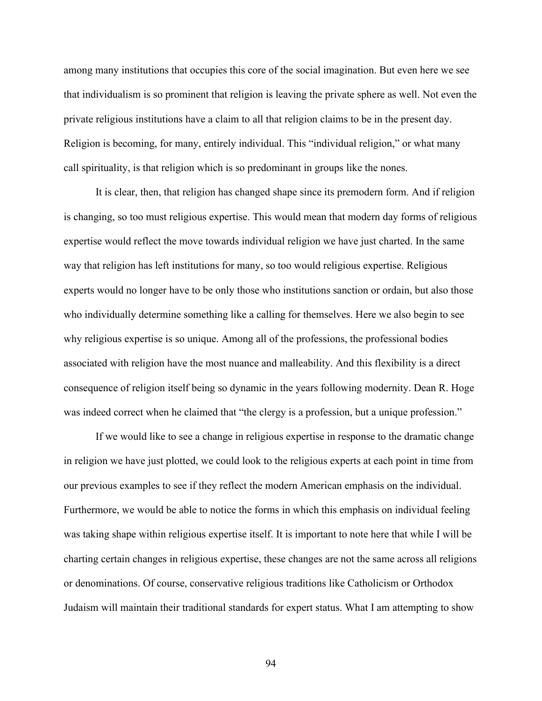among many institutions that occupies this core of the social imagination. But even here we see that individualism is so prominent that religion is leaving the private sphere as well. Not even the private religious institutions have a claim to all that religion claims to be in the present day. Religion is becoming, for many, entirely individual. This "individual religion," or what many call spirituality, is that religion which is so predominant in groups like the nones.

It is clear, then, that religion has changed shape since its premodern form. And if religion is changing, so too must religious expertise. This would mean that modern day forms of religious expertise would reflect the move towards individual religion we have just charted. In the same way that religion has left institutions for many, so too would religious expertise. Religious experts would no longer have to be only those who institutions sanction or ordain, but also those who individually determine something like a calling for themselves. Here we also begin to see why religious expertise is so unique. Among all of the professions, the professional bodies associated with religion have the most nuance and malleability. And this flexibility is a direct consequence of religion itself being so dynamic in the years following modernity. Dean R. Hoge was indeed correct when he claimed that "the clergy is a profession, but a unique profession."

If we would like to see a change in religious expertise in response to the dramatic change in religion we have just plotted, we could look to the religious experts at each point in time from our previous examples to see if they reflect the modern American emphasis on the individual. Furthermore, we would be able to notice the forms in which this emphasis on individual feeling was taking shape within religious expertise itself. It is important to note here that while I will be charting certain changes in religious expertise, these changes are not the same across all religions or denominations. Of course, conservative religious traditions like Catholicism or Orthodox Judaism will maintain their traditional standards for expert status. What I am attempting to show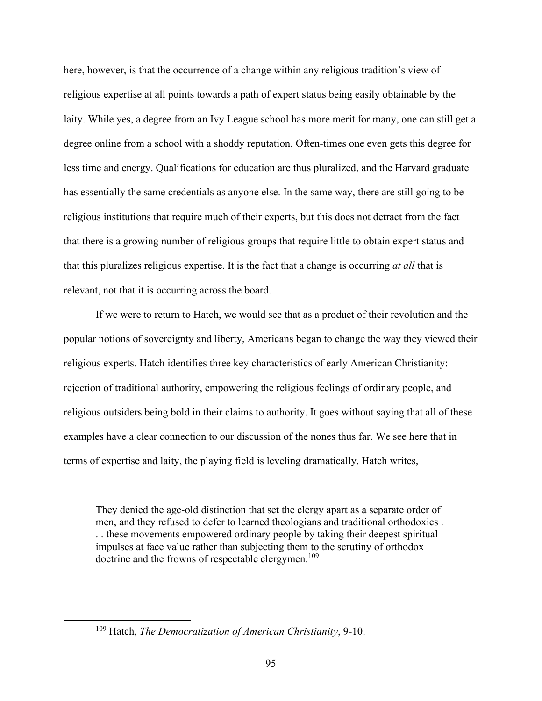here, however, is that the occurrence of a change within any religious tradition's view of religious expertise at all points towards a path of expert status being easily obtainable by the laity. While yes, a degree from an Ivy League school has more merit for many, one can still get a degree online from a school with a shoddy reputation. Often-times one even gets this degree for less time and energy. Qualifications for education are thus pluralized, and the Harvard graduate has essentially the same credentials as anyone else. In the same way, there are still going to be religious institutions that require much of their experts, but this does not detract from the fact that there is a growing number of religious groups that require little to obtain expert status and that this pluralizes religious expertise. It is the fact that a change is occurring *at all* that is relevant, not that it is occurring across the board.

If we were to return to Hatch, we would see that as a product of their revolution and the popular notions of sovereignty and liberty, Americans began to change the way they viewed their religious experts. Hatch identifies three key characteristics of early American Christianity: rejection of traditional authority, empowering the religious feelings of ordinary people, and religious outsiders being bold in their claims to authority. It goes without saying that all of these examples have a clear connection to our discussion of the nones thus far. We see here that in terms of expertise and laity, the playing field is leveling dramatically. Hatch writes,

They denied the age-old distinction that set the clergy apart as a separate order of men, and they refused to defer to learned theologians and traditional orthodoxies . . . these movements empowered ordinary people by taking their deepest spiritual impulses at face value rather than subjecting them to the scrutiny of orthodox doctrine and the frowns of respectable clergymen.<sup>109</sup>

<sup>109</sup> Hatch, *The Democratization of American Christianity*, 9-10.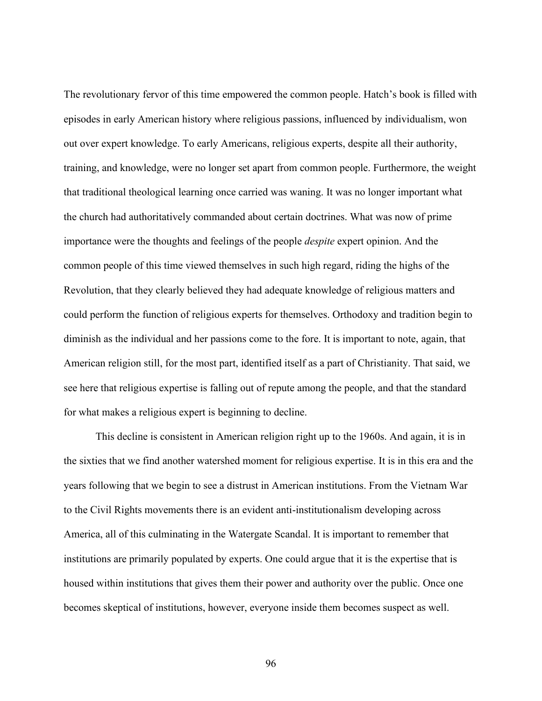The revolutionary fervor of this time empowered the common people. Hatch's book is filled with episodes in early American history where religious passions, influenced by individualism, won out over expert knowledge. To early Americans, religious experts, despite all their authority, training, and knowledge, were no longer set apart from common people. Furthermore, the weight that traditional theological learning once carried was waning. It was no longer important what the church had authoritatively commanded about certain doctrines. What was now of prime importance were the thoughts and feelings of the people *despite* expert opinion. And the common people of this time viewed themselves in such high regard, riding the highs of the Revolution, that they clearly believed they had adequate knowledge of religious matters and could perform the function of religious experts for themselves. Orthodoxy and tradition begin to diminish as the individual and her passions come to the fore. It is important to note, again, that American religion still, for the most part, identified itself as a part of Christianity. That said, we see here that religious expertise is falling out of repute among the people, and that the standard for what makes a religious expert is beginning to decline.

This decline is consistent in American religion right up to the 1960s. And again, it is in the sixties that we find another watershed moment for religious expertise. It is in this era and the years following that we begin to see a distrust in American institutions. From the Vietnam War to the Civil Rights movements there is an evident anti-institutionalism developing across America, all of this culminating in the Watergate Scandal. It is important to remember that institutions are primarily populated by experts. One could argue that it is the expertise that is housed within institutions that gives them their power and authority over the public. Once one becomes skeptical of institutions, however, everyone inside them becomes suspect as well.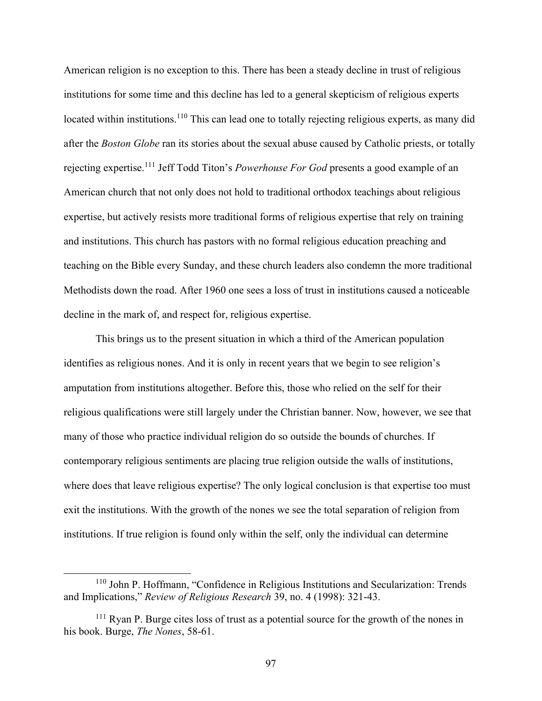American religion is no exception to this. There has been a steady decline in trust of religious institutions for some time and this decline has led to a general skepticism of religious experts located within institutions.<sup>110</sup> This can lead one to totally rejecting religious experts, as many did after the *Boston Globe* ran its stories about the sexual abuse caused by Catholic priests, or totally rejecting expertise.<sup>111</sup> Jeff Todd Titon's *Powerhouse For God* presents a good example of an American church that not only does not hold to traditional orthodox teachings about religious expertise, but actively resists more traditional forms of religious expertise that rely on training and institutions. This church has pastors with no formal religious education preaching and teaching on the Bible every Sunday, and these church leaders also condemn the more traditional Methodists down the road. After 1960 one sees a loss of trust in institutions caused a noticeable decline in the mark of, and respect for, religious expertise.

This brings us to the present situation in which a third of the American population identifies as religious nones. And it is only in recent years that we begin to see religion's amputation from institutions altogether. Before this, those who relied on the self for their religious qualifications were still largely under the Christian banner. Now, however, we see that many of those who practice individual religion do so outside the bounds of churches. If contemporary religious sentiments are placing true religion outside the walls of institutions, where does that leave religious expertise? The only logical conclusion is that expertise too must exit the institutions. With the growth of the nones we see the total separation of religion from institutions. If true religion is found only within the self, only the individual can determine

<sup>110</sup> John P. Hoffmann, "Confidence in Religious Institutions and Secularization: Trends and Implications," *Review of Religious Research* 39, no. 4 (1998): 321-43.

<sup>&</sup>lt;sup>111</sup> Ryan P. Burge cites loss of trust as a potential source for the growth of the nones in his book. Burge, *The Nones*, 58-61.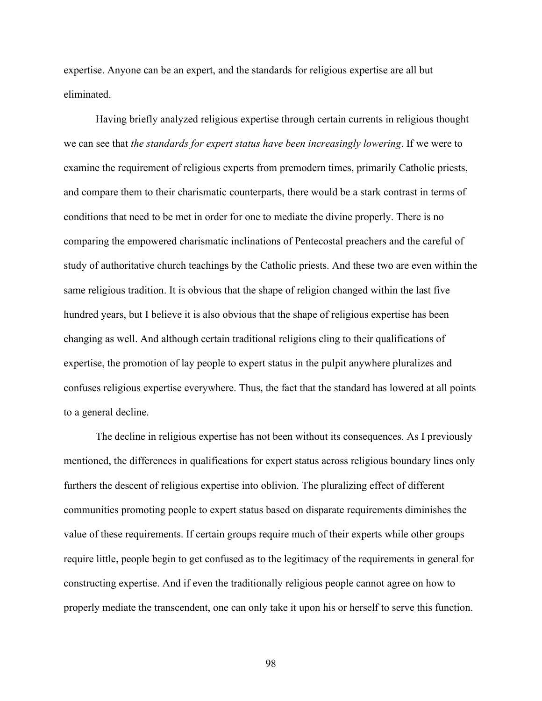expertise. Anyone can be an expert, and the standards for religious expertise are all but eliminated.

Having briefly analyzed religious expertise through certain currents in religious thought we can see that *the standards for expert status have been increasingly lowering*. If we were to examine the requirement of religious experts from premodern times, primarily Catholic priests, and compare them to their charismatic counterparts, there would be a stark contrast in terms of conditions that need to be met in order for one to mediate the divine properly. There is no comparing the empowered charismatic inclinations of Pentecostal preachers and the careful of study of authoritative church teachings by the Catholic priests. And these two are even within the same religious tradition. It is obvious that the shape of religion changed within the last five hundred years, but I believe it is also obvious that the shape of religious expertise has been changing as well. And although certain traditional religions cling to their qualifications of expertise, the promotion of lay people to expert status in the pulpit anywhere pluralizes and confuses religious expertise everywhere. Thus, the fact that the standard has lowered at all points to a general decline.

The decline in religious expertise has not been without its consequences. As I previously mentioned, the differences in qualifications for expert status across religious boundary lines only furthers the descent of religious expertise into oblivion. The pluralizing effect of different communities promoting people to expert status based on disparate requirements diminishes the value of these requirements. If certain groups require much of their experts while other groups require little, people begin to get confused as to the legitimacy of the requirements in general for constructing expertise. And if even the traditionally religious people cannot agree on how to properly mediate the transcendent, one can only take it upon his or herself to serve this function.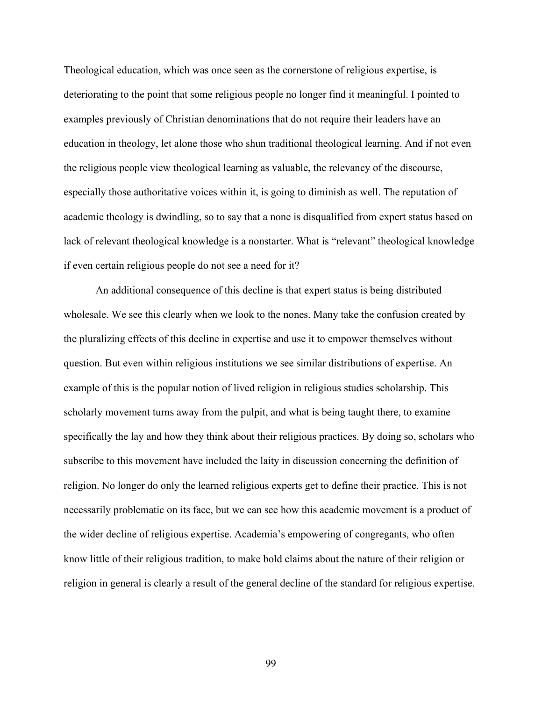Theological education, which was once seen as the cornerstone of religious expertise, is deteriorating to the point that some religious people no longer find it meaningful. I pointed to examples previously of Christian denominations that do not require their leaders have an education in theology, let alone those who shun traditional theological learning. And if not even the religious people view theological learning as valuable, the relevancy of the discourse, especially those authoritative voices within it, is going to diminish as well. The reputation of academic theology is dwindling, so to say that a none is disqualified from expert status based on lack of relevant theological knowledge is a nonstarter. What is "relevant" theological knowledge if even certain religious people do not see a need for it?

An additional consequence of this decline is that expert status is being distributed wholesale. We see this clearly when we look to the nones. Many take the confusion created by the pluralizing effects of this decline in expertise and use it to empower themselves without question. But even within religious institutions we see similar distributions of expertise. An example of this is the popular notion of lived religion in religious studies scholarship. This scholarly movement turns away from the pulpit, and what is being taught there, to examine specifically the lay and how they think about their religious practices. By doing so, scholars who subscribe to this movement have included the laity in discussion concerning the definition of religion. No longer do only the learned religious experts get to define their practice. This is not necessarily problematic on its face, but we can see how this academic movement is a product of the wider decline of religious expertise. Academia's empowering of congregants, who often know little of their religious tradition, to make bold claims about the nature of their religion or religion in general is clearly a result of the general decline of the standard for religious expertise.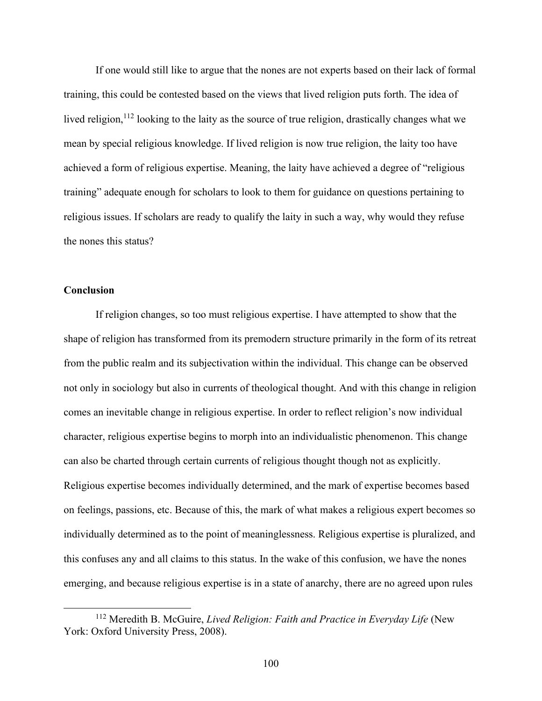If one would still like to argue that the nones are not experts based on their lack of formal training, this could be contested based on the views that lived religion puts forth. The idea of lived religion,<sup>112</sup> looking to the laity as the source of true religion, drastically changes what we mean by special religious knowledge. If lived religion is now true religion, the laity too have achieved a form of religious expertise. Meaning, the laity have achieved a degree of "religious training" adequate enough for scholars to look to them for guidance on questions pertaining to religious issues. If scholars are ready to qualify the laity in such a way, why would they refuse the nones this status?

# **Conclusion**

If religion changes, so too must religious expertise. I have attempted to show that the shape of religion has transformed from its premodern structure primarily in the form of its retreat from the public realm and its subjectivation within the individual. This change can be observed not only in sociology but also in currents of theological thought. And with this change in religion comes an inevitable change in religious expertise. In order to reflect religion's now individual character, religious expertise begins to morph into an individualistic phenomenon. This change can also be charted through certain currents of religious thought though not as explicitly. Religious expertise becomes individually determined, and the mark of expertise becomes based on feelings, passions, etc. Because of this, the mark of what makes a religious expert becomes so individually determined as to the point of meaninglessness. Religious expertise is pluralized, and this confuses any and all claims to this status. In the wake of this confusion, we have the nones emerging, and because religious expertise is in a state of anarchy, there are no agreed upon rules

<sup>112</sup> Meredith B. McGuire, *Lived Religion: Faith and Practice in Everyday Life* (New York: Oxford University Press, 2008).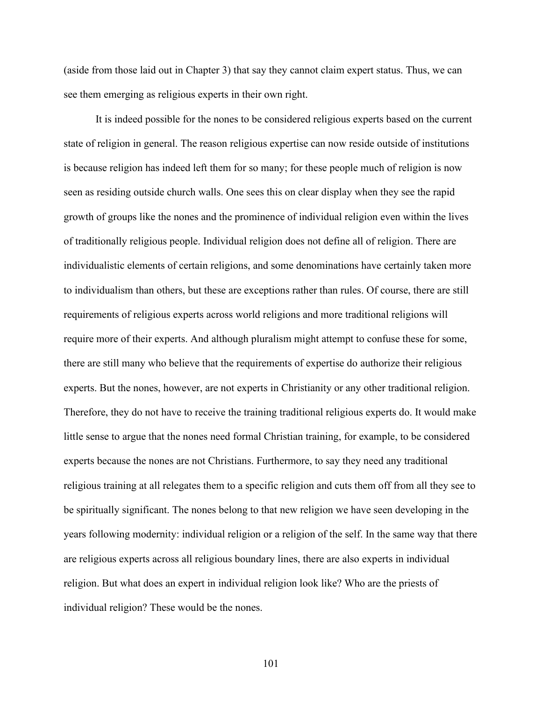(aside from those laid out in Chapter 3) that say they cannot claim expert status. Thus, we can see them emerging as religious experts in their own right.

It is indeed possible for the nones to be considered religious experts based on the current state of religion in general. The reason religious expertise can now reside outside of institutions is because religion has indeed left them for so many; for these people much of religion is now seen as residing outside church walls. One sees this on clear display when they see the rapid growth of groups like the nones and the prominence of individual religion even within the lives of traditionally religious people. Individual religion does not define all of religion. There are individualistic elements of certain religions, and some denominations have certainly taken more to individualism than others, but these are exceptions rather than rules. Of course, there are still requirements of religious experts across world religions and more traditional religions will require more of their experts. And although pluralism might attempt to confuse these for some, there are still many who believe that the requirements of expertise do authorize their religious experts. But the nones, however, are not experts in Christianity or any other traditional religion. Therefore, they do not have to receive the training traditional religious experts do. It would make little sense to argue that the nones need formal Christian training, for example, to be considered experts because the nones are not Christians. Furthermore, to say they need any traditional religious training at all relegates them to a specific religion and cuts them off from all they see to be spiritually significant. The nones belong to that new religion we have seen developing in the years following modernity: individual religion or a religion of the self. In the same way that there are religious experts across all religious boundary lines, there are also experts in individual religion. But what does an expert in individual religion look like? Who are the priests of individual religion? These would be the nones.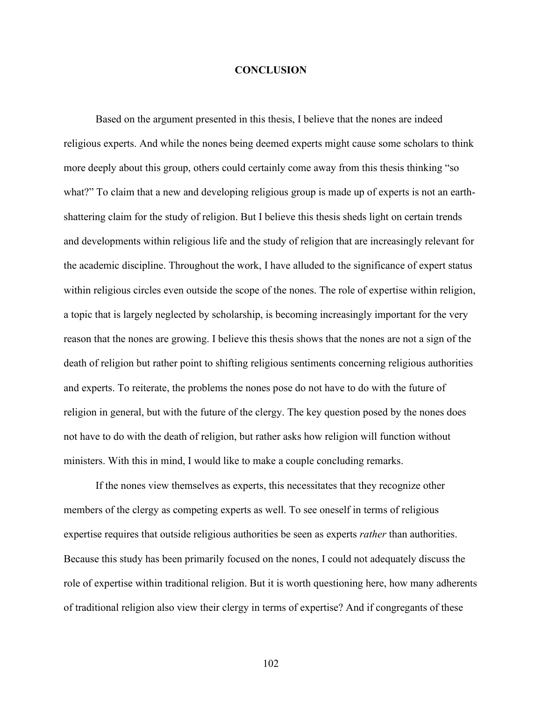## **CONCLUSION**

Based on the argument presented in this thesis, I believe that the nones are indeed religious experts. And while the nones being deemed experts might cause some scholars to think more deeply about this group, others could certainly come away from this thesis thinking "so what?" To claim that a new and developing religious group is made up of experts is not an earthshattering claim for the study of religion. But I believe this thesis sheds light on certain trends and developments within religious life and the study of religion that are increasingly relevant for the academic discipline. Throughout the work, I have alluded to the significance of expert status within religious circles even outside the scope of the nones. The role of expertise within religion, a topic that is largely neglected by scholarship, is becoming increasingly important for the very reason that the nones are growing. I believe this thesis shows that the nones are not a sign of the death of religion but rather point to shifting religious sentiments concerning religious authorities and experts. To reiterate, the problems the nones pose do not have to do with the future of religion in general, but with the future of the clergy. The key question posed by the nones does not have to do with the death of religion, but rather asks how religion will function without ministers. With this in mind, I would like to make a couple concluding remarks.

If the nones view themselves as experts, this necessitates that they recognize other members of the clergy as competing experts as well. To see oneself in terms of religious expertise requires that outside religious authorities be seen as experts *rather* than authorities. Because this study has been primarily focused on the nones, I could not adequately discuss the role of expertise within traditional religion. But it is worth questioning here, how many adherents of traditional religion also view their clergy in terms of expertise? And if congregants of these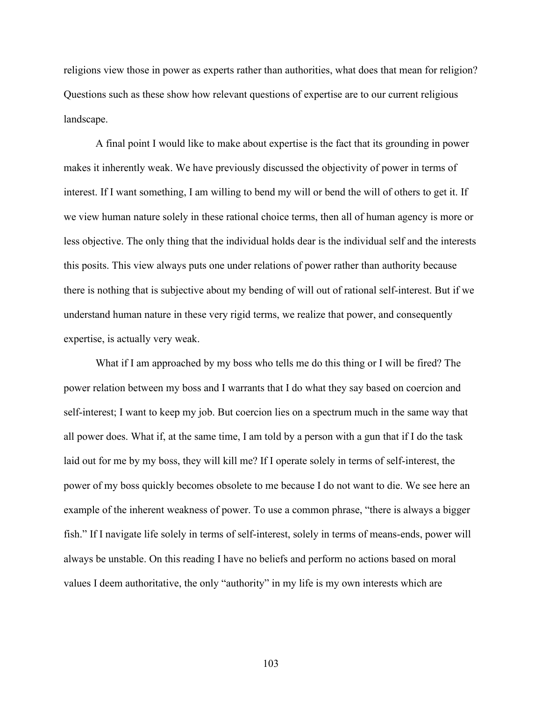religions view those in power as experts rather than authorities, what does that mean for religion? Questions such as these show how relevant questions of expertise are to our current religious landscape.

A final point I would like to make about expertise is the fact that its grounding in power makes it inherently weak. We have previously discussed the objectivity of power in terms of interest. If I want something, I am willing to bend my will or bend the will of others to get it. If we view human nature solely in these rational choice terms, then all of human agency is more or less objective. The only thing that the individual holds dear is the individual self and the interests this posits. This view always puts one under relations of power rather than authority because there is nothing that is subjective about my bending of will out of rational self-interest. But if we understand human nature in these very rigid terms, we realize that power, and consequently expertise, is actually very weak.

What if I am approached by my boss who tells me do this thing or I will be fired? The power relation between my boss and I warrants that I do what they say based on coercion and self-interest; I want to keep my job. But coercion lies on a spectrum much in the same way that all power does. What if, at the same time, I am told by a person with a gun that if I do the task laid out for me by my boss, they will kill me? If I operate solely in terms of self-interest, the power of my boss quickly becomes obsolete to me because I do not want to die. We see here an example of the inherent weakness of power. To use a common phrase, "there is always a bigger fish." If I navigate life solely in terms of self-interest, solely in terms of means-ends, power will always be unstable. On this reading I have no beliefs and perform no actions based on moral values I deem authoritative, the only "authority" in my life is my own interests which are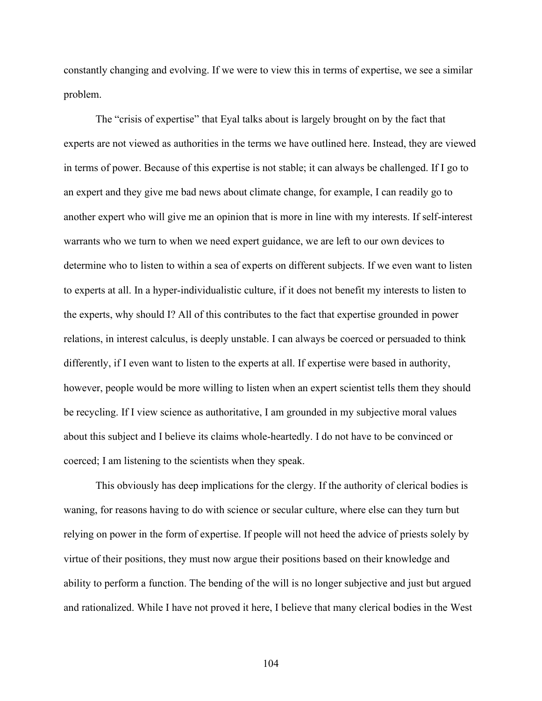constantly changing and evolving. If we were to view this in terms of expertise, we see a similar problem.

The "crisis of expertise" that Eyal talks about is largely brought on by the fact that experts are not viewed as authorities in the terms we have outlined here. Instead, they are viewed in terms of power. Because of this expertise is not stable; it can always be challenged. If I go to an expert and they give me bad news about climate change, for example, I can readily go to another expert who will give me an opinion that is more in line with my interests. If self-interest warrants who we turn to when we need expert guidance, we are left to our own devices to determine who to listen to within a sea of experts on different subjects. If we even want to listen to experts at all. In a hyper-individualistic culture, if it does not benefit my interests to listen to the experts, why should I? All of this contributes to the fact that expertise grounded in power relations, in interest calculus, is deeply unstable. I can always be coerced or persuaded to think differently, if I even want to listen to the experts at all. If expertise were based in authority, however, people would be more willing to listen when an expert scientist tells them they should be recycling. If I view science as authoritative, I am grounded in my subjective moral values about this subject and I believe its claims whole-heartedly. I do not have to be convinced or coerced; I am listening to the scientists when they speak.

This obviously has deep implications for the clergy. If the authority of clerical bodies is waning, for reasons having to do with science or secular culture, where else can they turn but relying on power in the form of expertise. If people will not heed the advice of priests solely by virtue of their positions, they must now argue their positions based on their knowledge and ability to perform a function. The bending of the will is no longer subjective and just but argued and rationalized. While I have not proved it here, I believe that many clerical bodies in the West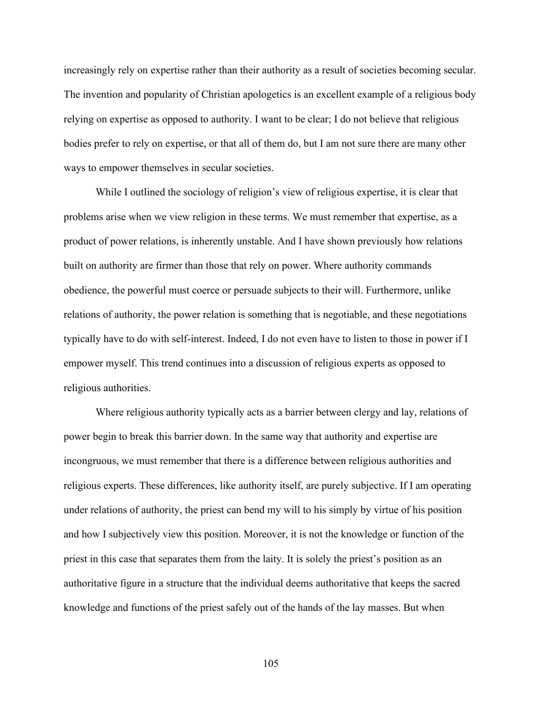increasingly rely on expertise rather than their authority as a result of societies becoming secular. The invention and popularity of Christian apologetics is an excellent example of a religious body relying on expertise as opposed to authority. I want to be clear; I do not believe that religious bodies prefer to rely on expertise, or that all of them do, but I am not sure there are many other ways to empower themselves in secular societies.

While I outlined the sociology of religion's view of religious expertise, it is clear that problems arise when we view religion in these terms. We must remember that expertise, as a product of power relations, is inherently unstable. And I have shown previously how relations built on authority are firmer than those that rely on power. Where authority commands obedience, the powerful must coerce or persuade subjects to their will. Furthermore, unlike relations of authority, the power relation is something that is negotiable, and these negotiations typically have to do with self-interest. Indeed, I do not even have to listen to those in power if I empower myself. This trend continues into a discussion of religious experts as opposed to religious authorities.

Where religious authority typically acts as a barrier between clergy and lay, relations of power begin to break this barrier down. In the same way that authority and expertise are incongruous, we must remember that there is a difference between religious authorities and religious experts. These differences, like authority itself, are purely subjective. If I am operating under relations of authority, the priest can bend my will to his simply by virtue of his position and how I subjectively view this position. Moreover, it is not the knowledge or function of the priest in this case that separates them from the laity. It is solely the priest's position as an authoritative figure in a structure that the individual deems authoritative that keeps the sacred knowledge and functions of the priest safely out of the hands of the lay masses. But when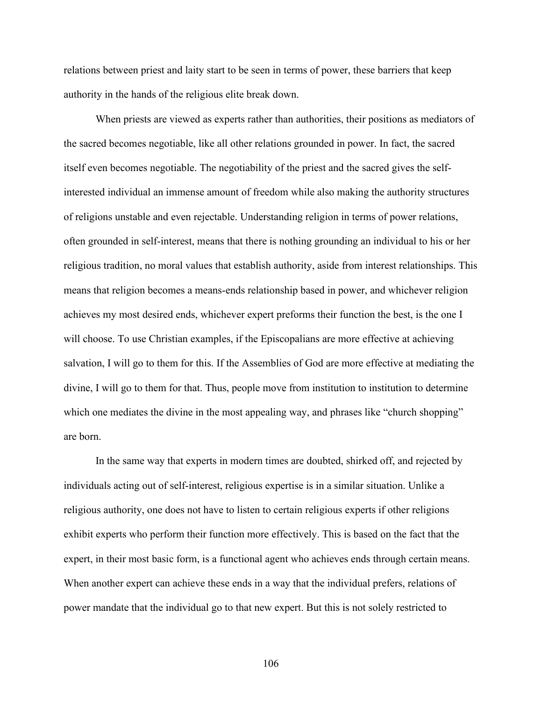relations between priest and laity start to be seen in terms of power, these barriers that keep authority in the hands of the religious elite break down.

When priests are viewed as experts rather than authorities, their positions as mediators of the sacred becomes negotiable, like all other relations grounded in power. In fact, the sacred itself even becomes negotiable. The negotiability of the priest and the sacred gives the selfinterested individual an immense amount of freedom while also making the authority structures of religions unstable and even rejectable. Understanding religion in terms of power relations, often grounded in self-interest, means that there is nothing grounding an individual to his or her religious tradition, no moral values that establish authority, aside from interest relationships. This means that religion becomes a means-ends relationship based in power, and whichever religion achieves my most desired ends, whichever expert preforms their function the best, is the one I will choose. To use Christian examples, if the Episcopalians are more effective at achieving salvation, I will go to them for this. If the Assemblies of God are more effective at mediating the divine, I will go to them for that. Thus, people move from institution to institution to determine which one mediates the divine in the most appealing way, and phrases like "church shopping" are born.

In the same way that experts in modern times are doubted, shirked off, and rejected by individuals acting out of self-interest, religious expertise is in a similar situation. Unlike a religious authority, one does not have to listen to certain religious experts if other religions exhibit experts who perform their function more effectively. This is based on the fact that the expert, in their most basic form, is a functional agent who achieves ends through certain means. When another expert can achieve these ends in a way that the individual prefers, relations of power mandate that the individual go to that new expert. But this is not solely restricted to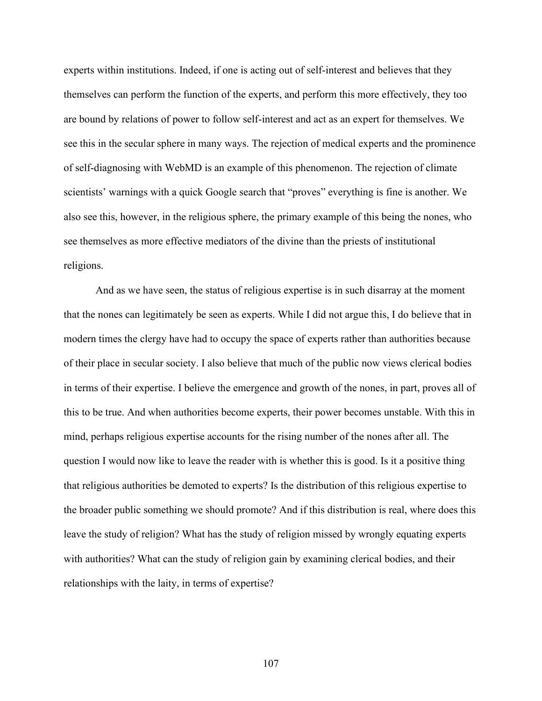experts within institutions. Indeed, if one is acting out of self-interest and believes that they themselves can perform the function of the experts, and perform this more effectively, they too are bound by relations of power to follow self-interest and act as an expert for themselves. We see this in the secular sphere in many ways. The rejection of medical experts and the prominence of self-diagnosing with WebMD is an example of this phenomenon. The rejection of climate scientists' warnings with a quick Google search that "proves" everything is fine is another. We also see this, however, in the religious sphere, the primary example of this being the nones, who see themselves as more effective mediators of the divine than the priests of institutional religions.

And as we have seen, the status of religious expertise is in such disarray at the moment that the nones can legitimately be seen as experts. While I did not argue this, I do believe that in modern times the clergy have had to occupy the space of experts rather than authorities because of their place in secular society. I also believe that much of the public now views clerical bodies in terms of their expertise. I believe the emergence and growth of the nones, in part, proves all of this to be true. And when authorities become experts, their power becomes unstable. With this in mind, perhaps religious expertise accounts for the rising number of the nones after all. The question I would now like to leave the reader with is whether this is good. Is it a positive thing that religious authorities be demoted to experts? Is the distribution of this religious expertise to the broader public something we should promote? And if this distribution is real, where does this leave the study of religion? What has the study of religion missed by wrongly equating experts with authorities? What can the study of religion gain by examining clerical bodies, and their relationships with the laity, in terms of expertise?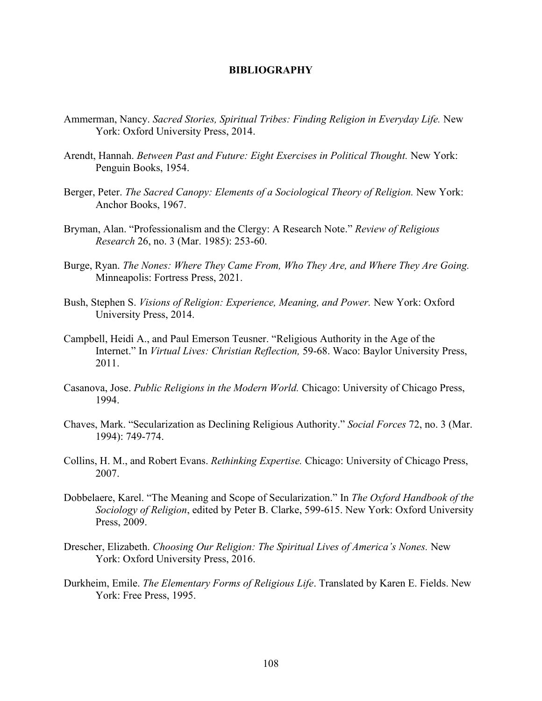## **BIBLIOGRAPHY**

- Ammerman, Nancy. *Sacred Stories, Spiritual Tribes: Finding Religion in Everyday Life.* New York: Oxford University Press, 2014.
- Arendt, Hannah. *Between Past and Future: Eight Exercises in Political Thought.* New York: Penguin Books, 1954.
- Berger, Peter. *The Sacred Canopy: Elements of a Sociological Theory of Religion.* New York: Anchor Books, 1967.
- Bryman, Alan. "Professionalism and the Clergy: A Research Note." *Review of Religious Research* 26, no. 3 (Mar. 1985): 253-60.
- Burge, Ryan. *The Nones: Where They Came From, Who They Are, and Where They Are Going.* Minneapolis: Fortress Press, 2021.
- Bush, Stephen S. *Visions of Religion: Experience, Meaning, and Power.* New York: Oxford University Press, 2014.
- Campbell, Heidi A., and Paul Emerson Teusner. "Religious Authority in the Age of the Internet." In *Virtual Lives: Christian Reflection,* 59-68. Waco: Baylor University Press, 2011.
- Casanova, Jose. *Public Religions in the Modern World.* Chicago: University of Chicago Press, 1994.
- Chaves, Mark. "Secularization as Declining Religious Authority." *Social Forces* 72, no. 3 (Mar. 1994): 749-774.
- Collins, H. M., and Robert Evans. *Rethinking Expertise.* Chicago: University of Chicago Press, 2007.
- Dobbelaere, Karel. "The Meaning and Scope of Secularization." In *The Oxford Handbook of the Sociology of Religion*, edited by Peter B. Clarke, 599-615. New York: Oxford University Press, 2009.
- Drescher, Elizabeth. *Choosing Our Religion: The Spiritual Lives of America's Nones.* New York: Oxford University Press, 2016.
- Durkheim, Emile. *The Elementary Forms of Religious Life*. Translated by Karen E. Fields. New York: Free Press, 1995.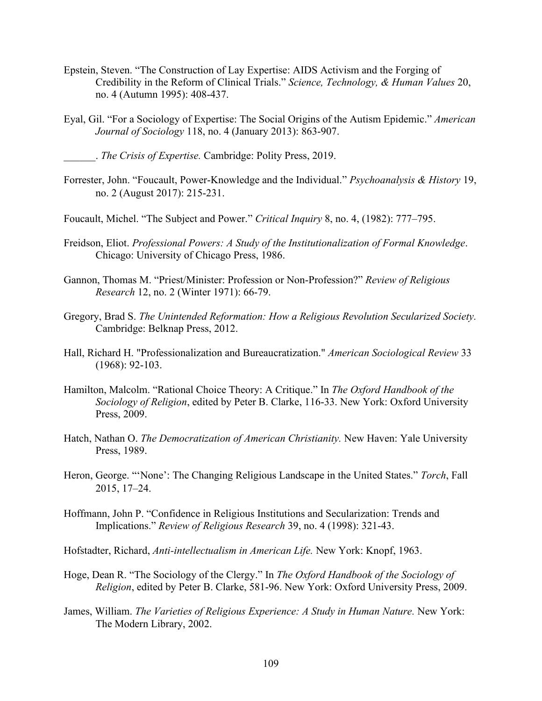- Epstein, Steven. "The Construction of Lay Expertise: AIDS Activism and the Forging of Credibility in the Reform of Clinical Trials." *Science, Technology, & Human Values* 20, no. 4 (Autumn 1995): 408-437.
- Eyal, Gil. "For a Sociology of Expertise: The Social Origins of the Autism Epidemic." *American Journal of Sociology* 118, no. 4 (January 2013): 863-907.
	- \_\_\_\_\_\_. *The Crisis of Expertise.* Cambridge: Polity Press, 2019.
- Forrester, John. "Foucault, Power-Knowledge and the Individual." *Psychoanalysis & History* 19, no. 2 (August 2017): 215-231.
- Foucault, Michel. "The Subject and Power." *Critical Inquiry* 8, no. 4, (1982): 777–795.
- Freidson, Eliot. *Professional Powers: A Study of the Institutionalization of Formal Knowledge*. Chicago: University of Chicago Press, 1986.
- Gannon, Thomas M. "Priest/Minister: Profession or Non-Profession?" *Review of Religious Research* 12, no. 2 (Winter 1971): 66-79.
- Gregory, Brad S. *The Unintended Reformation: How a Religious Revolution Secularized Society.* Cambridge: Belknap Press, 2012.
- Hall, Richard H. "Professionalization and Bureaucratization." *American Sociological Review* 33 (1968): 92-103.
- Hamilton, Malcolm. "Rational Choice Theory: A Critique." In *The Oxford Handbook of the Sociology of Religion*, edited by Peter B. Clarke, 116-33. New York: Oxford University Press, 2009.
- Hatch, Nathan O. *The Democratization of American Christianity.* New Haven: Yale University Press, 1989.
- Heron, George. "'None': The Changing Religious Landscape in the United States." *Torch*, Fall 2015, 17–24.
- Hoffmann, John P. "Confidence in Religious Institutions and Secularization: Trends and Implications." *Review of Religious Research* 39, no. 4 (1998): 321-43.
- Hofstadter, Richard, *Anti-intellectualism in American Life.* New York: Knopf, 1963.
- Hoge, Dean R. "The Sociology of the Clergy." In *The Oxford Handbook of the Sociology of Religion*, edited by Peter B. Clarke, 581-96. New York: Oxford University Press, 2009.
- James, William. *The Varieties of Religious Experience: A Study in Human Nature.* New York: The Modern Library, 2002.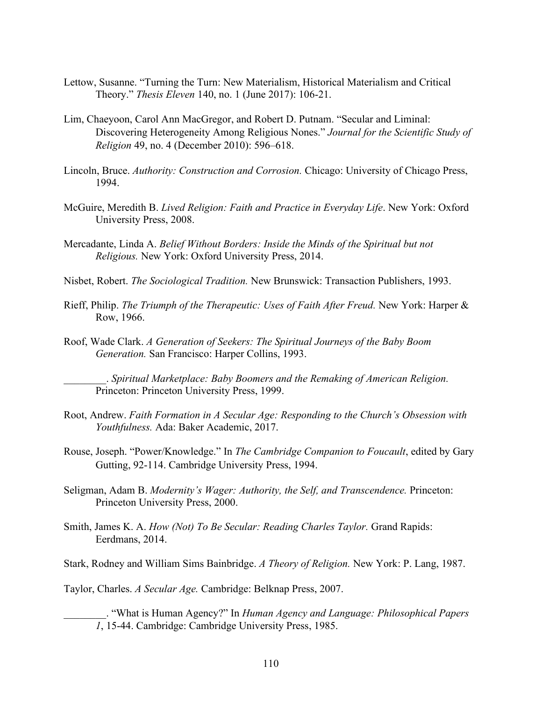- Lettow, Susanne. "Turning the Turn: New Materialism, Historical Materialism and Critical Theory." *Thesis Eleven* 140, no. 1 (June 2017): 106-21.
- Lim, Chaeyoon, Carol Ann MacGregor, and Robert D. Putnam. "Secular and Liminal: Discovering Heterogeneity Among Religious Nones." *Journal for the Scientific Study of Religion* 49, no. 4 (December 2010): 596–618.
- Lincoln, Bruce. *Authority: Construction and Corrosion.* Chicago: University of Chicago Press, 1994.
- McGuire, Meredith B. *Lived Religion: Faith and Practice in Everyday Life*. New York: Oxford University Press, 2008.
- Mercadante, Linda A. *Belief Without Borders: Inside the Minds of the Spiritual but not Religious.* New York: Oxford University Press, 2014.
- Nisbet, Robert. *The Sociological Tradition.* New Brunswick: Transaction Publishers, 1993.
- Rieff, Philip. *The Triumph of the Therapeutic: Uses of Faith After Freud.* New York: Harper & Row, 1966.
- Roof, Wade Clark. *A Generation of Seekers: The Spiritual Journeys of the Baby Boom Generation.* San Francisco: Harper Collins, 1993.

\_\_\_\_\_\_\_\_. *Spiritual Marketplace: Baby Boomers and the Remaking of American Religion.* Princeton: Princeton University Press, 1999.

- Root, Andrew. *Faith Formation in A Secular Age: Responding to the Church's Obsession with Youthfulness.* Ada: Baker Academic, 2017.
- Rouse, Joseph. "Power/Knowledge." In *The Cambridge Companion to Foucault*, edited by Gary Gutting, 92-114. Cambridge University Press, 1994.
- Seligman, Adam B. *Modernity's Wager: Authority, the Self, and Transcendence.* Princeton: Princeton University Press, 2000.
- Smith, James K. A. *How (Not) To Be Secular: Reading Charles Taylor.* Grand Rapids: Eerdmans, 2014.

Stark, Rodney and William Sims Bainbridge. *A Theory of Religion.* New York: P. Lang, 1987.

Taylor, Charles. *A Secular Age.* Cambridge: Belknap Press, 2007.

\_\_\_\_\_\_\_\_. "What is Human Agency?" In *Human Agency and Language: Philosophical Papers 1*, 15-44. Cambridge: Cambridge University Press, 1985.